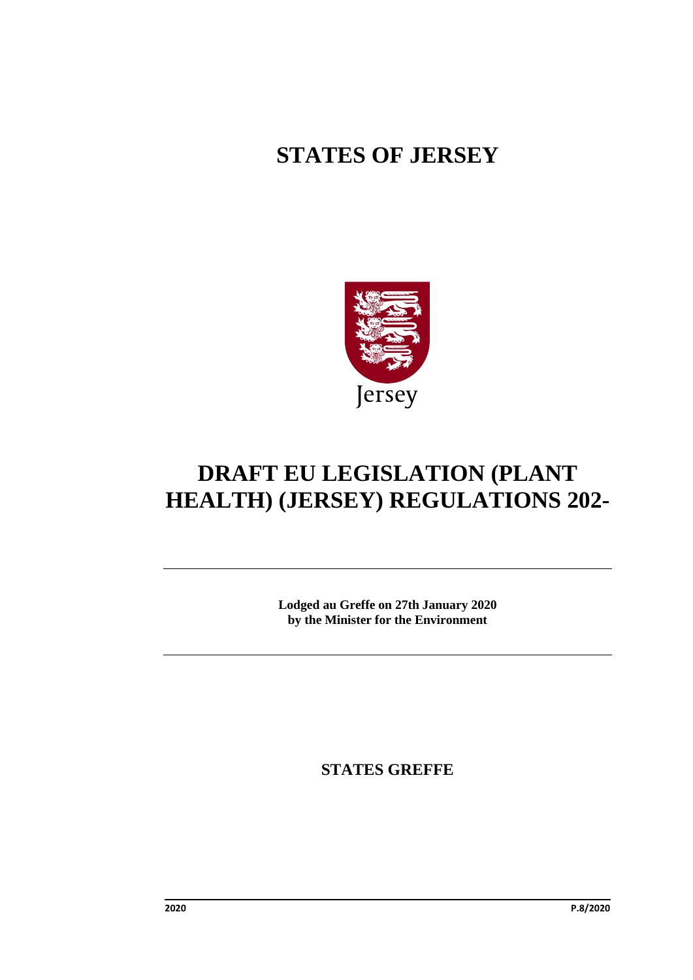# **STATES OF JERSEY**



# **DRAFT EU LEGISLATION (PLANT HEALTH) (JERSEY) REGULATIONS 202-**

**Lodged au Greffe on 27th January 2020 by the Minister for the Environment**

**STATES GREFFE**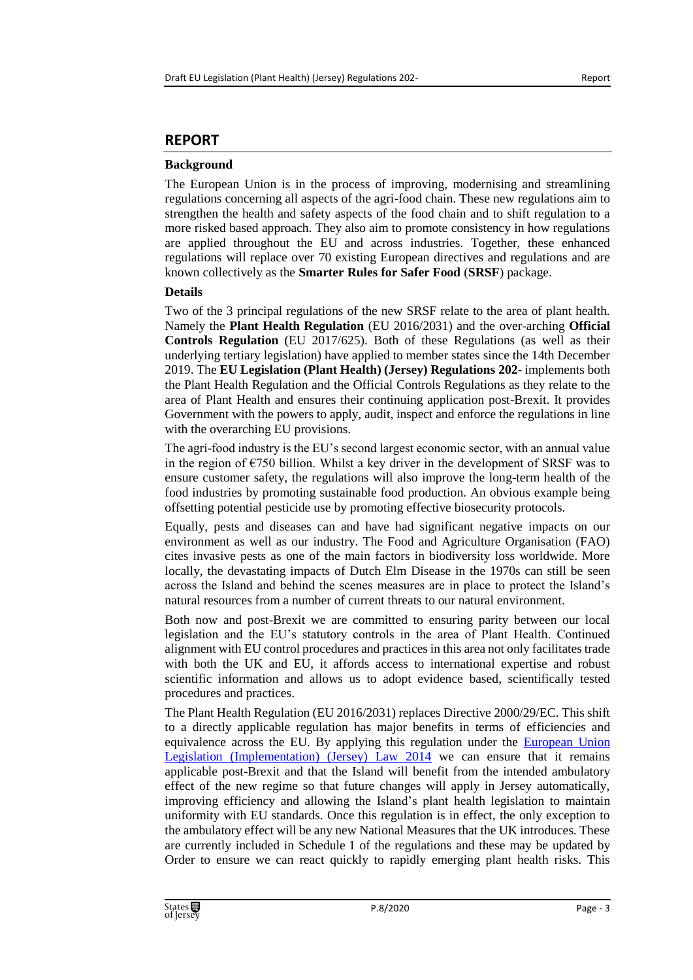# **REPORT**

#### **Background**

The European Union is in the process of improving, modernising and streamlining regulations concerning all aspects of the agri-food chain. These new regulations aim to strengthen the health and safety aspects of the food chain and to shift regulation to a more risked based approach. They also aim to promote consistency in how regulations are applied throughout the EU and across industries. Together, these enhanced regulations will replace over 70 existing European directives and regulations and are known collectively as the **Smarter Rules for Safer Food** (**SRSF**) package.

#### **Details**

Two of the 3 principal regulations of the new SRSF relate to the area of plant health. Namely the **Plant Health Regulation** (EU 2016/2031) and the over-arching **Official Controls Regulation** (EU 2017/625). Both of these Regulations (as well as their underlying tertiary legislation) have applied to member states since the 14th December 2019. The **EU Legislation (Plant Health) (Jersey) Regulations 202-** implements both the Plant Health Regulation and the Official Controls Regulations as they relate to the area of Plant Health and ensures their continuing application post-Brexit. It provides Government with the powers to apply, audit, inspect and enforce the regulations in line with the overarching EU provisions.

The agri-food industry is the EU's second largest economic sector, with an annual value in the region of  $\epsilon$ 750 billion. Whilst a key driver in the development of SRSF was to ensure customer safety, the regulations will also improve the long-term health of the food industries by promoting sustainable food production. An obvious example being offsetting potential pesticide use by promoting effective biosecurity protocols.

Equally, pests and diseases can and have had significant negative impacts on our environment as well as our industry. The Food and Agriculture Organisation (FAO) cites invasive pests as one of the main factors in biodiversity loss worldwide. More locally, the devastating impacts of Dutch Elm Disease in the 1970s can still be seen across the Island and behind the scenes measures are in place to protect the Island's natural resources from a number of current threats to our natural environment.

Both now and post-Brexit we are committed to ensuring parity between our local legislation and the EU's statutory controls in the area of Plant Health. Continued alignment with EU control procedures and practices in this area not only facilitates trade with both the UK and EU, it affords access to international expertise and robust scientific information and allows us to adopt evidence based, scientifically tested procedures and practices.

The Plant Health Regulation (EU 2016/2031) replaces Directive 2000/29/EC. This shift to a directly applicable regulation has major benefits in terms of efficiencies and equivalence across the EU. By applying this regulation under the **European Union** [Legislation \(Implementation\) \(Jersey\) Law 2014](https://www.jerseylaw.je/laws/revised/Pages/17.245.aspx) we can ensure that it remains applicable post-Brexit and that the Island will benefit from the intended ambulatory effect of the new regime so that future changes will apply in Jersey automatically, improving efficiency and allowing the Island's plant health legislation to maintain uniformity with EU standards. Once this regulation is in effect, the only exception to the ambulatory effect will be any new National Measures that the UK introduces. These are currently included in Schedule 1 of the regulations and these may be updated by Order to ensure we can react quickly to rapidly emerging plant health risks. This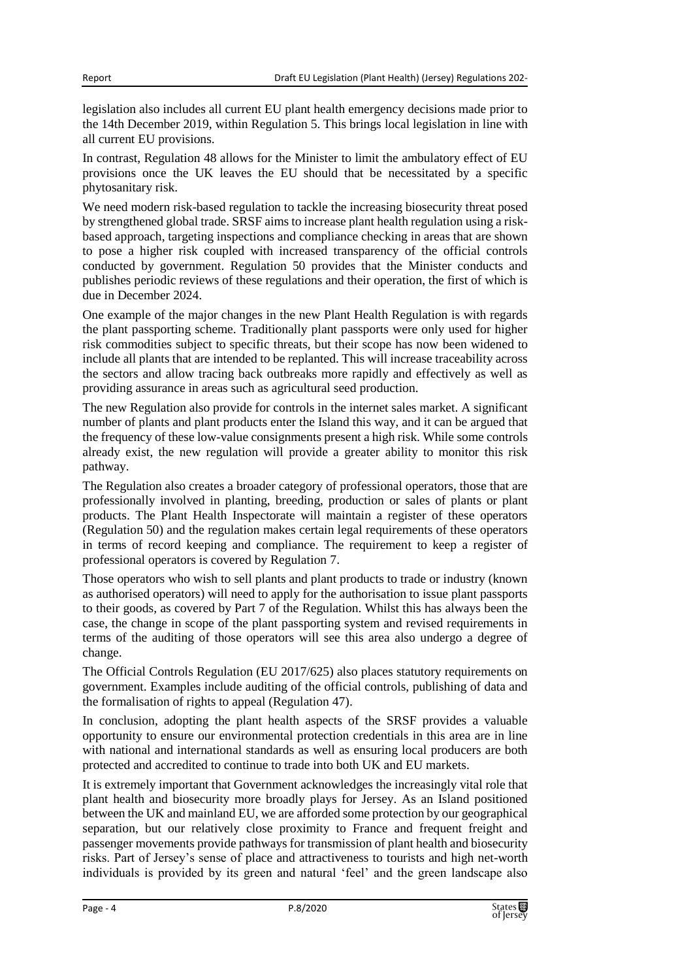legislation also includes all current EU plant health emergency decisions made prior to the 14th December 2019, within Regulation 5. This brings local legislation in line with all current EU provisions.

In contrast, Regulation 48 allows for the Minister to limit the ambulatory effect of EU provisions once the UK leaves the EU should that be necessitated by a specific phytosanitary risk.

We need modern risk-based regulation to tackle the increasing biosecurity threat posed by strengthened global trade. SRSF aims to increase plant health regulation using a riskbased approach, targeting inspections and compliance checking in areas that are shown to pose a higher risk coupled with increased transparency of the official controls conducted by government. Regulation 50 provides that the Minister conducts and publishes periodic reviews of these regulations and their operation, the first of which is due in December 2024.

One example of the major changes in the new Plant Health Regulation is with regards the plant passporting scheme. Traditionally plant passports were only used for higher risk commodities subject to specific threats, but their scope has now been widened to include all plants that are intended to be replanted. This will increase traceability across the sectors and allow tracing back outbreaks more rapidly and effectively as well as providing assurance in areas such as agricultural seed production.

The new Regulation also provide for controls in the internet sales market. A significant number of plants and plant products enter the Island this way, and it can be argued that the frequency of these low-value consignments present a high risk. While some controls already exist, the new regulation will provide a greater ability to monitor this risk pathway.

The Regulation also creates a broader category of professional operators, those that are professionally involved in planting, breeding, production or sales of plants or plant products. The Plant Health Inspectorate will maintain a register of these operators (Regulation 50) and the regulation makes certain legal requirements of these operators in terms of record keeping and compliance. The requirement to keep a register of professional operators is covered by Regulation 7.

Those operators who wish to sell plants and plant products to trade or industry (known as authorised operators) will need to apply for the authorisation to issue plant passports to their goods, as covered by Part 7 of the Regulation. Whilst this has always been the case, the change in scope of the plant passporting system and revised requirements in terms of the auditing of those operators will see this area also undergo a degree of change.

The Official Controls Regulation (EU 2017/625) also places statutory requirements on government. Examples include auditing of the official controls, publishing of data and the formalisation of rights to appeal (Regulation 47).

In conclusion, adopting the plant health aspects of the SRSF provides a valuable opportunity to ensure our environmental protection credentials in this area are in line with national and international standards as well as ensuring local producers are both protected and accredited to continue to trade into both UK and EU markets.

It is extremely important that Government acknowledges the increasingly vital role that plant health and biosecurity more broadly plays for Jersey. As an Island positioned between the UK and mainland EU, we are afforded some protection by our geographical separation, but our relatively close proximity to France and frequent freight and passenger movements provide pathways for transmission of plant health and biosecurity risks. Part of Jersey's sense of place and attractiveness to tourists and high net-worth individuals is provided by its green and natural 'feel' and the green landscape also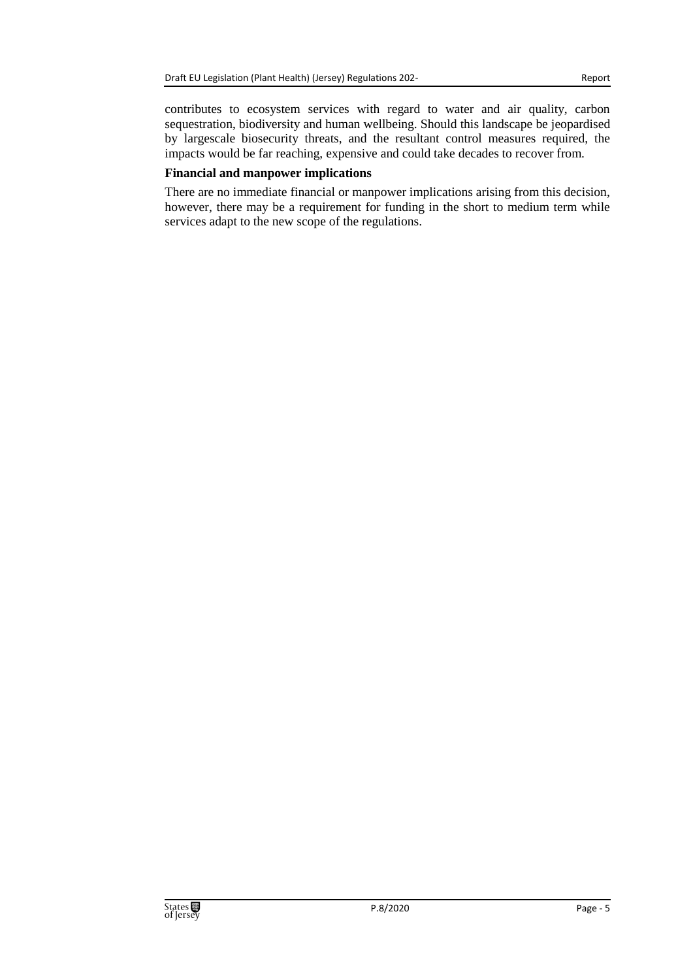contributes to ecosystem services with regard to water and air quality, carbon sequestration, biodiversity and human wellbeing. Should this landscape be jeopardised by largescale biosecurity threats, and the resultant control measures required, the impacts would be far reaching, expensive and could take decades to recover from.

#### **Financial and manpower implications**

There are no immediate financial or manpower implications arising from this decision, however, there may be a requirement for funding in the short to medium term while services adapt to the new scope of the regulations.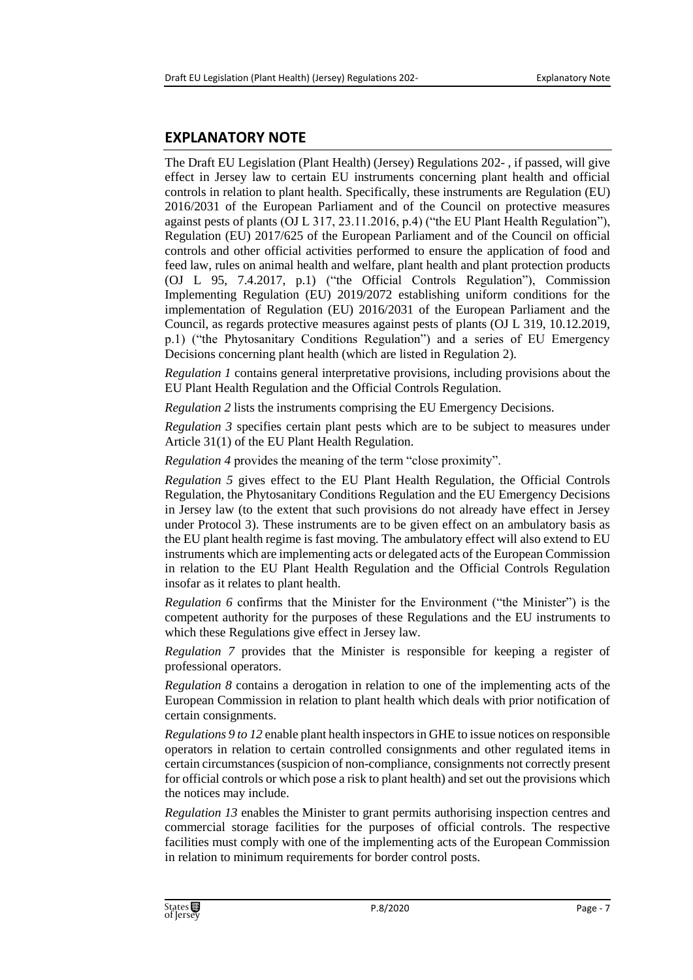# **EXPLANATORY NOTE**

The Draft EU Legislation (Plant Health) (Jersey) Regulations 202- , if passed, will give effect in Jersey law to certain EU instruments concerning plant health and official controls in relation to plant health. Specifically, these instruments are Regulation (EU) 2016/2031 of the European Parliament and of the Council on protective measures against pests of plants (OJ L 317, 23.11.2016, p.4) ("the EU Plant Health Regulation"), Regulation (EU) 2017/625 of the European Parliament and of the Council on official controls and other official activities performed to ensure the application of food and feed law, rules on animal health and welfare, plant health and plant protection products (OJ L 95, 7.4.2017, p.1) ("the Official Controls Regulation"), Commission Implementing Regulation (EU) 2019/2072 establishing uniform conditions for the implementation of Regulation (EU) 2016/2031 of the European Parliament and the Council, as regards protective measures against pests of plants (OJ L 319, 10.12.2019, p.1) ("the Phytosanitary Conditions Regulation") and a series of EU Emergency Decisions concerning plant health (which are listed in Regulation 2).

*Regulation 1* contains general interpretative provisions, including provisions about the EU Plant Health Regulation and the Official Controls Regulation.

*Regulation 2* lists the instruments comprising the EU Emergency Decisions.

*Regulation 3* specifies certain plant pests which are to be subject to measures under Article 31(1) of the EU Plant Health Regulation.

*Regulation 4* provides the meaning of the term "close proximity".

*Regulation 5* gives effect to the EU Plant Health Regulation, the Official Controls Regulation, the Phytosanitary Conditions Regulation and the EU Emergency Decisions in Jersey law (to the extent that such provisions do not already have effect in Jersey under Protocol 3). These instruments are to be given effect on an ambulatory basis as the EU plant health regime is fast moving. The ambulatory effect will also extend to EU instruments which are implementing acts or delegated acts of the European Commission in relation to the EU Plant Health Regulation and the Official Controls Regulation insofar as it relates to plant health.

*Regulation 6* confirms that the Minister for the Environment ("the Minister") is the competent authority for the purposes of these Regulations and the EU instruments to which these Regulations give effect in Jersey law.

*Regulation 7* provides that the Minister is responsible for keeping a register of professional operators.

*Regulation 8* contains a derogation in relation to one of the implementing acts of the European Commission in relation to plant health which deals with prior notification of certain consignments.

*Regulations 9 to 12* enable plant health inspectors in GHE to issue notices on responsible operators in relation to certain controlled consignments and other regulated items in certain circumstances (suspicion of non-compliance, consignments not correctly present for official controls or which pose a risk to plant health) and set out the provisions which the notices may include.

*Regulation 13* enables the Minister to grant permits authorising inspection centres and commercial storage facilities for the purposes of official controls. The respective facilities must comply with one of the implementing acts of the European Commission in relation to minimum requirements for border control posts.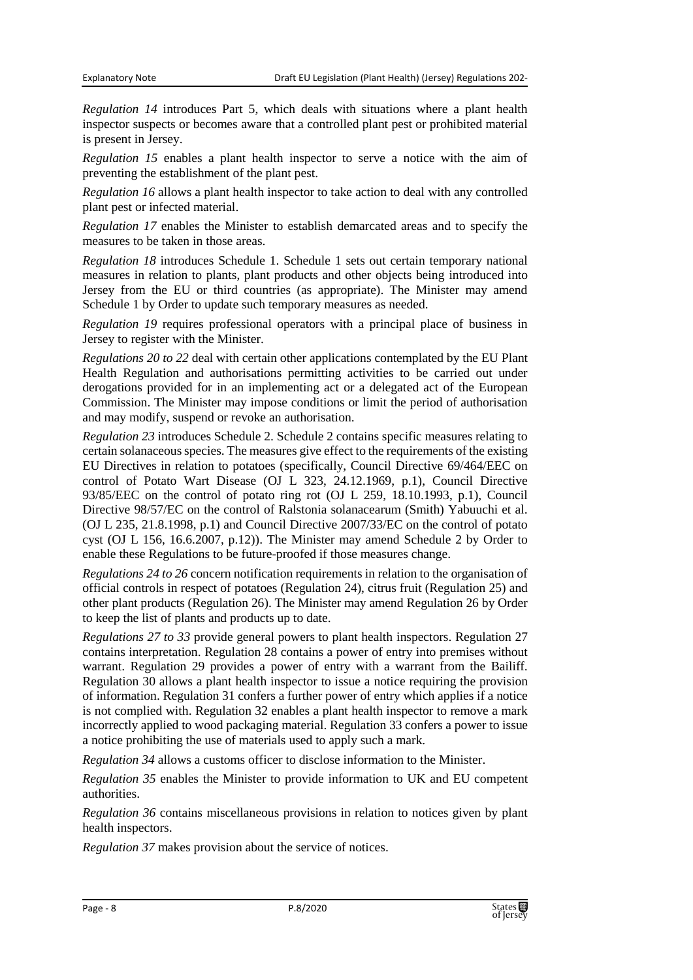*Regulation 14* introduces Part 5, which deals with situations where a plant health inspector suspects or becomes aware that a controlled plant pest or prohibited material is present in Jersey.

*Regulation 15* enables a plant health inspector to serve a notice with the aim of preventing the establishment of the plant pest.

*Regulation 16* allows a plant health inspector to take action to deal with any controlled plant pest or infected material.

*Regulation 17* enables the Minister to establish demarcated areas and to specify the measures to be taken in those areas.

*Regulation 18* introduces Schedule 1. Schedule 1 sets out certain temporary national measures in relation to plants, plant products and other objects being introduced into Jersey from the EU or third countries (as appropriate). The Minister may amend Schedule 1 by Order to update such temporary measures as needed.

*Regulation 19* requires professional operators with a principal place of business in Jersey to register with the Minister.

*Regulations 20 to 22* deal with certain other applications contemplated by the EU Plant Health Regulation and authorisations permitting activities to be carried out under derogations provided for in an implementing act or a delegated act of the European Commission. The Minister may impose conditions or limit the period of authorisation and may modify, suspend or revoke an authorisation.

*Regulation 23* introduces Schedule 2. Schedule 2 contains specific measures relating to certain solanaceous species. The measures give effect to the requirements of the existing EU Directives in relation to potatoes (specifically, Council Directive 69/464/EEC on control of Potato Wart Disease (OJ L 323, 24.12.1969, p.1), Council Directive 93/85/EEC on the control of potato ring rot (OJ L 259, 18.10.1993, p.1), Council Directive 98/57/EC on the control of Ralstonia solanacearum (Smith) Yabuuchi et al. (OJ L 235, 21.8.1998, p.1) and Council Directive 2007/33/EC on the control of potato cyst (OJ L 156, 16.6.2007, p.12)). The Minister may amend Schedule 2 by Order to enable these Regulations to be future-proofed if those measures change.

*Regulations 24 to 26* concern notification requirements in relation to the organisation of official controls in respect of potatoes (Regulation 24), citrus fruit (Regulation 25) and other plant products (Regulation 26). The Minister may amend Regulation 26 by Order to keep the list of plants and products up to date.

*Regulations 27 to 33* provide general powers to plant health inspectors. Regulation 27 contains interpretation. Regulation 28 contains a power of entry into premises without warrant. Regulation 29 provides a power of entry with a warrant from the Bailiff. Regulation 30 allows a plant health inspector to issue a notice requiring the provision of information. Regulation 31 confers a further power of entry which applies if a notice is not complied with. Regulation 32 enables a plant health inspector to remove a mark incorrectly applied to wood packaging material. Regulation 33 confers a power to issue a notice prohibiting the use of materials used to apply such a mark.

*Regulation 34* allows a customs officer to disclose information to the Minister.

*Regulation 35* enables the Minister to provide information to UK and EU competent authorities.

*Regulation 36* contains miscellaneous provisions in relation to notices given by plant health inspectors.

*Regulation 37* makes provision about the service of notices.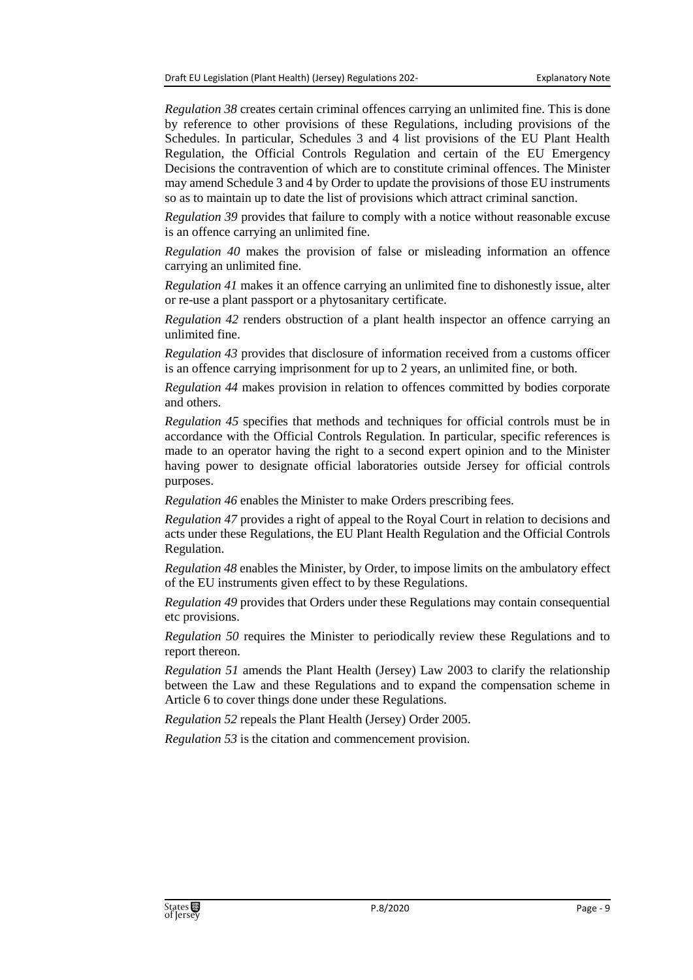*Regulation 38* creates certain criminal offences carrying an unlimited fine. This is done by reference to other provisions of these Regulations, including provisions of the Schedules. In particular, Schedules 3 and 4 list provisions of the EU Plant Health Regulation, the Official Controls Regulation and certain of the EU Emergency Decisions the contravention of which are to constitute criminal offences. The Minister may amend Schedule 3 and 4 by Order to update the provisions of those EU instruments so as to maintain up to date the list of provisions which attract criminal sanction.

*Regulation 39* provides that failure to comply with a notice without reasonable excuse is an offence carrying an unlimited fine.

*Regulation 40* makes the provision of false or misleading information an offence carrying an unlimited fine.

*Regulation 41* makes it an offence carrying an unlimited fine to dishonestly issue, alter or re-use a plant passport or a phytosanitary certificate.

*Regulation 42* renders obstruction of a plant health inspector an offence carrying an unlimited fine.

*Regulation 43* provides that disclosure of information received from a customs officer is an offence carrying imprisonment for up to 2 years, an unlimited fine, or both.

*Regulation 44* makes provision in relation to offences committed by bodies corporate and others.

*Regulation 45* specifies that methods and techniques for official controls must be in accordance with the Official Controls Regulation. In particular, specific references is made to an operator having the right to a second expert opinion and to the Minister having power to designate official laboratories outside Jersey for official controls purposes.

*Regulation 46* enables the Minister to make Orders prescribing fees.

*Regulation 47* provides a right of appeal to the Royal Court in relation to decisions and acts under these Regulations, the EU Plant Health Regulation and the Official Controls Regulation.

*Regulation 48* enables the Minister, by Order, to impose limits on the ambulatory effect of the EU instruments given effect to by these Regulations.

*Regulation 49* provides that Orders under these Regulations may contain consequential etc provisions.

*Regulation 50* requires the Minister to periodically review these Regulations and to report thereon.

*Regulation 51* amends the Plant Health (Jersey) Law 2003 to clarify the relationship between the Law and these Regulations and to expand the compensation scheme in Article 6 to cover things done under these Regulations.

*Regulation 52* repeals the Plant Health (Jersey) Order 2005.

*Regulation 53* is the citation and commencement provision.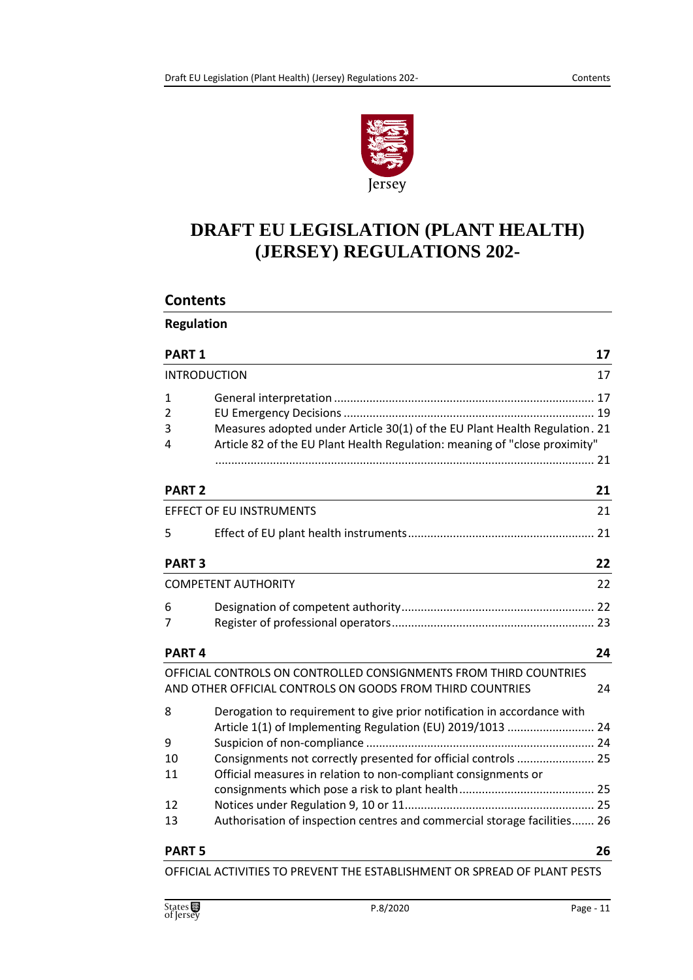

# **DRAFT EU LEGISLATION (PLANT HEALTH) (JERSEY) REGULATIONS 202-**

#### **Contents**

| <b>PART 1</b>       |                                                                            | 17 |
|---------------------|----------------------------------------------------------------------------|----|
| <b>INTRODUCTION</b> |                                                                            | 17 |
| 1                   |                                                                            |    |
| 2                   |                                                                            |    |
| 3                   | Measures adopted under Article 30(1) of the EU Plant Health Regulation. 21 |    |
| 4                   | Article 82 of the EU Plant Health Regulation: meaning of "close proximity" |    |
|                     |                                                                            |    |
| <b>PART 2</b>       |                                                                            | 21 |
|                     | <b>EFFECT OF EU INSTRUMENTS</b>                                            | 21 |
| 5                   |                                                                            |    |
| <b>PART 3</b>       |                                                                            | 22 |
|                     | <b>COMPETENT AUTHORITY</b>                                                 | 22 |
| 6                   |                                                                            |    |
| 7                   |                                                                            |    |
| <b>PART4</b>        |                                                                            | 24 |
|                     | OFFICIAL CONTROLS ON CONTROLLED CONSIGNMENTS FROM THIRD COUNTRIES          |    |
|                     | AND OTHER OFFICIAL CONTROLS ON GOODS FROM THIRD COUNTRIES                  | 24 |
| 8                   | Derogation to requirement to give prior notification in accordance with    |    |
|                     | Article 1(1) of Implementing Regulation (EU) 2019/1013  24                 |    |
| 9                   |                                                                            |    |
| 10                  | Consignments not correctly presented for official controls  25             |    |
| 11                  | Official measures in relation to non-compliant consignments or             |    |
|                     |                                                                            |    |
| 12                  |                                                                            |    |
| 13                  | Authorisation of inspection centres and commercial storage facilities 26   |    |
| <b>PART 5</b>       |                                                                            | 26 |

[OFFICIAL ACTIVITIES TO PREVENT THE ESTABLISHMENT OR SPREAD OF PLANT](#page-25-2) PESTS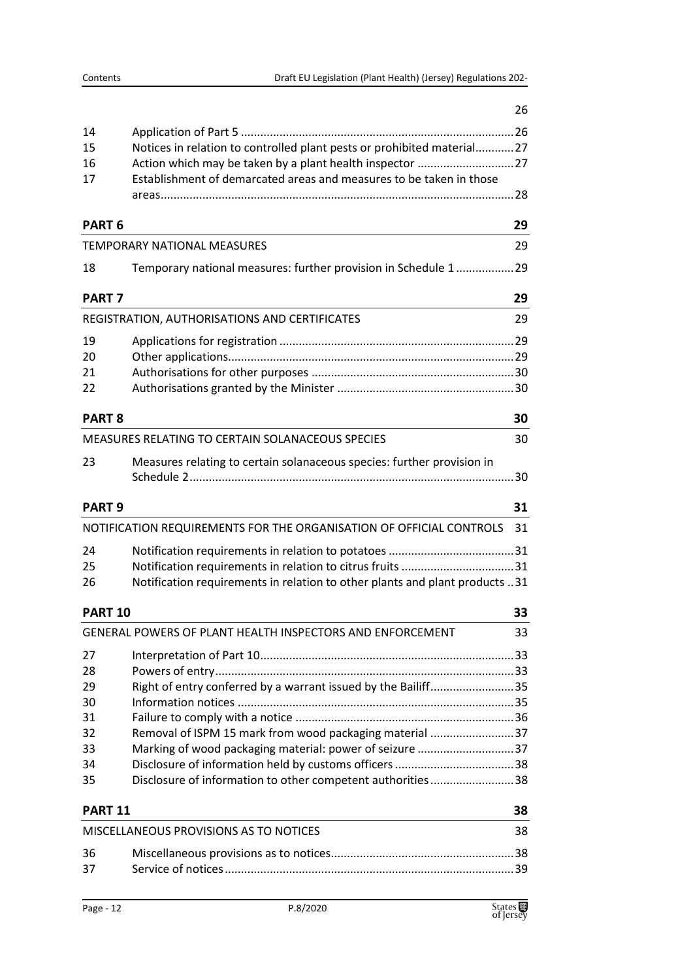| 14<br>Notices in relation to controlled plant pests or prohibited material27<br>15<br>16<br>Establishment of demarcated areas and measures to be taken in those<br>17<br>PART <sub>6</sub><br>29<br><b>TEMPORARY NATIONAL MEASURES</b><br>29<br>Temporary national measures: further provision in Schedule 1<br>.29<br>18<br><b>PART7</b><br>29<br>REGISTRATION, AUTHORISATIONS AND CERTIFICATES<br>29<br>19<br>20<br>21<br>22<br><b>PART 8</b><br>30<br>MEASURES RELATING TO CERTAIN SOLANACEOUS SPECIES<br>30<br>Measures relating to certain solanaceous species: further provision in<br>23<br><b>PART 9</b><br>31<br>NOTIFICATION REQUIREMENTS FOR THE ORGANISATION OF OFFICIAL CONTROLS<br>31<br>24<br>25<br>Notification requirements in relation to other plants and plant products 31<br>26<br><b>PART 10</b><br>33<br>GENERAL POWERS OF PLANT HEALTH INSPECTORS AND ENFORCEMENT<br>33<br>27<br>28<br>Right of entry conferred by a warrant issued by the Bailiff35<br>29<br>30<br>31<br>Removal of ISPM 15 mark from wood packaging material 37<br>32<br>Marking of wood packaging material: power of seizure 37<br>33<br>34<br>Disclosure of information to other competent authorities38<br>35<br><b>PART 11</b><br>38<br>MISCELLANEOUS PROVISIONS AS TO NOTICES<br>38<br>36<br>37 |  | 26 |
|------------------------------------------------------------------------------------------------------------------------------------------------------------------------------------------------------------------------------------------------------------------------------------------------------------------------------------------------------------------------------------------------------------------------------------------------------------------------------------------------------------------------------------------------------------------------------------------------------------------------------------------------------------------------------------------------------------------------------------------------------------------------------------------------------------------------------------------------------------------------------------------------------------------------------------------------------------------------------------------------------------------------------------------------------------------------------------------------------------------------------------------------------------------------------------------------------------------------------------------------------------------------------------------------|--|----|
|                                                                                                                                                                                                                                                                                                                                                                                                                                                                                                                                                                                                                                                                                                                                                                                                                                                                                                                                                                                                                                                                                                                                                                                                                                                                                                |  |    |
|                                                                                                                                                                                                                                                                                                                                                                                                                                                                                                                                                                                                                                                                                                                                                                                                                                                                                                                                                                                                                                                                                                                                                                                                                                                                                                |  |    |
|                                                                                                                                                                                                                                                                                                                                                                                                                                                                                                                                                                                                                                                                                                                                                                                                                                                                                                                                                                                                                                                                                                                                                                                                                                                                                                |  |    |
|                                                                                                                                                                                                                                                                                                                                                                                                                                                                                                                                                                                                                                                                                                                                                                                                                                                                                                                                                                                                                                                                                                                                                                                                                                                                                                |  |    |
|                                                                                                                                                                                                                                                                                                                                                                                                                                                                                                                                                                                                                                                                                                                                                                                                                                                                                                                                                                                                                                                                                                                                                                                                                                                                                                |  |    |
|                                                                                                                                                                                                                                                                                                                                                                                                                                                                                                                                                                                                                                                                                                                                                                                                                                                                                                                                                                                                                                                                                                                                                                                                                                                                                                |  |    |
|                                                                                                                                                                                                                                                                                                                                                                                                                                                                                                                                                                                                                                                                                                                                                                                                                                                                                                                                                                                                                                                                                                                                                                                                                                                                                                |  |    |
|                                                                                                                                                                                                                                                                                                                                                                                                                                                                                                                                                                                                                                                                                                                                                                                                                                                                                                                                                                                                                                                                                                                                                                                                                                                                                                |  |    |
|                                                                                                                                                                                                                                                                                                                                                                                                                                                                                                                                                                                                                                                                                                                                                                                                                                                                                                                                                                                                                                                                                                                                                                                                                                                                                                |  |    |
|                                                                                                                                                                                                                                                                                                                                                                                                                                                                                                                                                                                                                                                                                                                                                                                                                                                                                                                                                                                                                                                                                                                                                                                                                                                                                                |  |    |
|                                                                                                                                                                                                                                                                                                                                                                                                                                                                                                                                                                                                                                                                                                                                                                                                                                                                                                                                                                                                                                                                                                                                                                                                                                                                                                |  |    |
|                                                                                                                                                                                                                                                                                                                                                                                                                                                                                                                                                                                                                                                                                                                                                                                                                                                                                                                                                                                                                                                                                                                                                                                                                                                                                                |  |    |
|                                                                                                                                                                                                                                                                                                                                                                                                                                                                                                                                                                                                                                                                                                                                                                                                                                                                                                                                                                                                                                                                                                                                                                                                                                                                                                |  |    |
|                                                                                                                                                                                                                                                                                                                                                                                                                                                                                                                                                                                                                                                                                                                                                                                                                                                                                                                                                                                                                                                                                                                                                                                                                                                                                                |  |    |
|                                                                                                                                                                                                                                                                                                                                                                                                                                                                                                                                                                                                                                                                                                                                                                                                                                                                                                                                                                                                                                                                                                                                                                                                                                                                                                |  |    |
|                                                                                                                                                                                                                                                                                                                                                                                                                                                                                                                                                                                                                                                                                                                                                                                                                                                                                                                                                                                                                                                                                                                                                                                                                                                                                                |  |    |
|                                                                                                                                                                                                                                                                                                                                                                                                                                                                                                                                                                                                                                                                                                                                                                                                                                                                                                                                                                                                                                                                                                                                                                                                                                                                                                |  |    |
|                                                                                                                                                                                                                                                                                                                                                                                                                                                                                                                                                                                                                                                                                                                                                                                                                                                                                                                                                                                                                                                                                                                                                                                                                                                                                                |  |    |
|                                                                                                                                                                                                                                                                                                                                                                                                                                                                                                                                                                                                                                                                                                                                                                                                                                                                                                                                                                                                                                                                                                                                                                                                                                                                                                |  |    |
|                                                                                                                                                                                                                                                                                                                                                                                                                                                                                                                                                                                                                                                                                                                                                                                                                                                                                                                                                                                                                                                                                                                                                                                                                                                                                                |  |    |
|                                                                                                                                                                                                                                                                                                                                                                                                                                                                                                                                                                                                                                                                                                                                                                                                                                                                                                                                                                                                                                                                                                                                                                                                                                                                                                |  |    |
|                                                                                                                                                                                                                                                                                                                                                                                                                                                                                                                                                                                                                                                                                                                                                                                                                                                                                                                                                                                                                                                                                                                                                                                                                                                                                                |  |    |
|                                                                                                                                                                                                                                                                                                                                                                                                                                                                                                                                                                                                                                                                                                                                                                                                                                                                                                                                                                                                                                                                                                                                                                                                                                                                                                |  |    |
|                                                                                                                                                                                                                                                                                                                                                                                                                                                                                                                                                                                                                                                                                                                                                                                                                                                                                                                                                                                                                                                                                                                                                                                                                                                                                                |  |    |
|                                                                                                                                                                                                                                                                                                                                                                                                                                                                                                                                                                                                                                                                                                                                                                                                                                                                                                                                                                                                                                                                                                                                                                                                                                                                                                |  |    |
|                                                                                                                                                                                                                                                                                                                                                                                                                                                                                                                                                                                                                                                                                                                                                                                                                                                                                                                                                                                                                                                                                                                                                                                                                                                                                                |  |    |
|                                                                                                                                                                                                                                                                                                                                                                                                                                                                                                                                                                                                                                                                                                                                                                                                                                                                                                                                                                                                                                                                                                                                                                                                                                                                                                |  |    |
|                                                                                                                                                                                                                                                                                                                                                                                                                                                                                                                                                                                                                                                                                                                                                                                                                                                                                                                                                                                                                                                                                                                                                                                                                                                                                                |  |    |
|                                                                                                                                                                                                                                                                                                                                                                                                                                                                                                                                                                                                                                                                                                                                                                                                                                                                                                                                                                                                                                                                                                                                                                                                                                                                                                |  |    |
|                                                                                                                                                                                                                                                                                                                                                                                                                                                                                                                                                                                                                                                                                                                                                                                                                                                                                                                                                                                                                                                                                                                                                                                                                                                                                                |  |    |
|                                                                                                                                                                                                                                                                                                                                                                                                                                                                                                                                                                                                                                                                                                                                                                                                                                                                                                                                                                                                                                                                                                                                                                                                                                                                                                |  |    |
|                                                                                                                                                                                                                                                                                                                                                                                                                                                                                                                                                                                                                                                                                                                                                                                                                                                                                                                                                                                                                                                                                                                                                                                                                                                                                                |  |    |
|                                                                                                                                                                                                                                                                                                                                                                                                                                                                                                                                                                                                                                                                                                                                                                                                                                                                                                                                                                                                                                                                                                                                                                                                                                                                                                |  |    |
|                                                                                                                                                                                                                                                                                                                                                                                                                                                                                                                                                                                                                                                                                                                                                                                                                                                                                                                                                                                                                                                                                                                                                                                                                                                                                                |  |    |
|                                                                                                                                                                                                                                                                                                                                                                                                                                                                                                                                                                                                                                                                                                                                                                                                                                                                                                                                                                                                                                                                                                                                                                                                                                                                                                |  |    |
|                                                                                                                                                                                                                                                                                                                                                                                                                                                                                                                                                                                                                                                                                                                                                                                                                                                                                                                                                                                                                                                                                                                                                                                                                                                                                                |  |    |
|                                                                                                                                                                                                                                                                                                                                                                                                                                                                                                                                                                                                                                                                                                                                                                                                                                                                                                                                                                                                                                                                                                                                                                                                                                                                                                |  |    |
|                                                                                                                                                                                                                                                                                                                                                                                                                                                                                                                                                                                                                                                                                                                                                                                                                                                                                                                                                                                                                                                                                                                                                                                                                                                                                                |  |    |
|                                                                                                                                                                                                                                                                                                                                                                                                                                                                                                                                                                                                                                                                                                                                                                                                                                                                                                                                                                                                                                                                                                                                                                                                                                                                                                |  |    |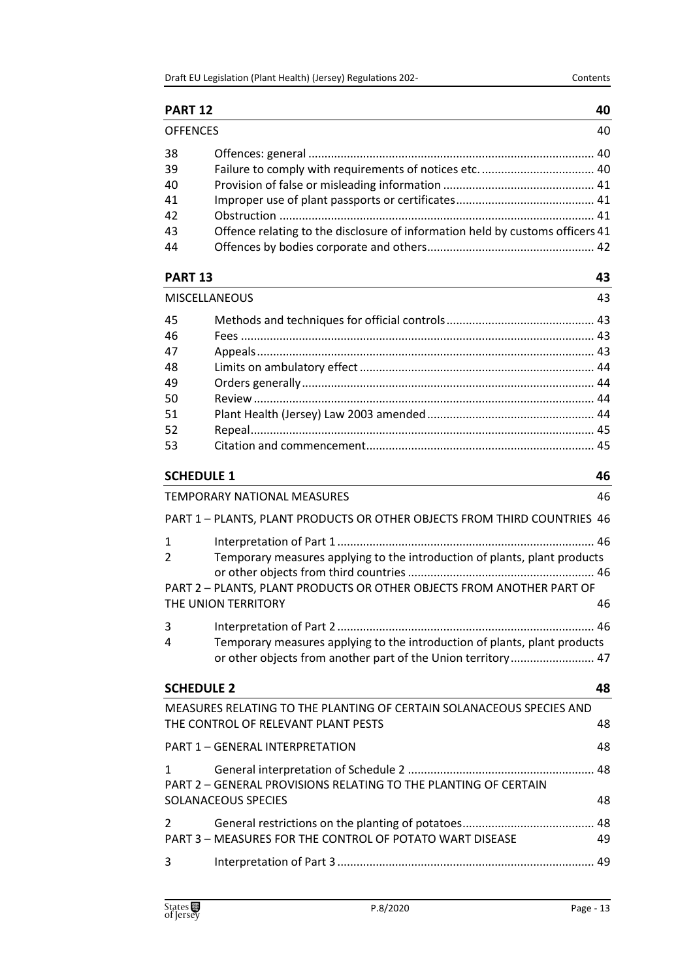# **[PART 12](#page-39-0) 40**

| <b>OFFENCES</b> |                                                                               | 40 |
|-----------------|-------------------------------------------------------------------------------|----|
| 38              |                                                                               |    |
| 39              |                                                                               |    |
| 40              |                                                                               |    |
| 41              |                                                                               |    |
| 42              |                                                                               |    |
| 43              | Offence relating to the disclosure of information held by customs officers 41 |    |
| 44              |                                                                               |    |
|                 |                                                                               |    |

# **[PART 13](#page-42-0) 43**

| MISCELLANEOUS |  | 43 |
|---------------|--|----|
| 45            |  |    |
| 46            |  |    |
| 47            |  |    |
| 48            |  |    |
| 49            |  |    |
| 50            |  |    |
| 51            |  |    |
| 52            |  |    |
| 53            |  |    |
|               |  |    |

# **[SCHEDULE 1](#page-45-0) 46**

|                                                | TEMPORARY NATIONAL MEASURES                                                                                                                                               | 46 |
|------------------------------------------------|---------------------------------------------------------------------------------------------------------------------------------------------------------------------------|----|
|                                                | PART 1 - PLANTS, PLANT PRODUCTS OR OTHER OBJECTS FROM THIRD COUNTRIES 46                                                                                                  |    |
| $\mathbf{1}$<br>$2 \left( \frac{1}{2} \right)$ | Temporary measures applying to the introduction of plants, plant products<br>PART 2 - PLANTS, PLANT PRODUCTS OR OTHER OBJECTS FROM ANOTHER PART OF<br>THE UNION TERRITORY | 46 |
| $3 \sim$<br>4                                  | Temporary measures applying to the introduction of plants, plant products<br>or other objects from another part of the Union territory 47                                 |    |
| <b>SCHEDULE 2</b>                              |                                                                                                                                                                           | 48 |
|                                                | MEASURES RELATING TO THE PLANTING OF CERTAIN SOLANACEOUS SPECIES AND<br>THE CONTROL OF RELEVANT PLANT PESTS                                                               | 48 |
|                                                | PART 1 - GENERAL INTERPRETATION                                                                                                                                           | 48 |
|                                                | PART 2 - GENERAL PROVISIONS RELATING TO THE PLANTING OF CERTAIN<br><b>SOLANACEOUS SPECIES</b>                                                                             | 48 |
|                                                | PART 3 – MEASURES FOR THE CONTROL OF POTATO WART DISEASE                                                                                                                  | 49 |
| $\overline{3}$                                 |                                                                                                                                                                           |    |
|                                                |                                                                                                                                                                           |    |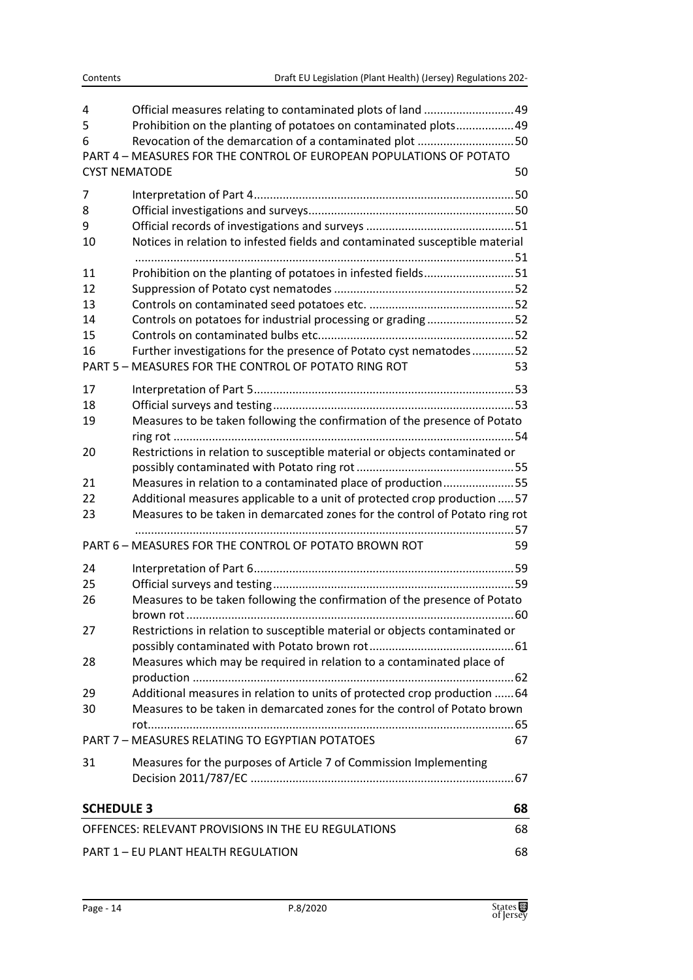| 4<br>5<br>6                               | Official measures relating to contaminated plots of land 49<br>Prohibition on the planting of potatoes on contaminated plots49<br>Revocation of the demarcation of a contaminated plot 50<br>PART 4 - MEASURES FOR THE CONTROL OF EUROPEAN POPULATIONS OF POTATO |    |
|-------------------------------------------|------------------------------------------------------------------------------------------------------------------------------------------------------------------------------------------------------------------------------------------------------------------|----|
|                                           | <b>CYST NEMATODE</b>                                                                                                                                                                                                                                             | 50 |
| 7                                         |                                                                                                                                                                                                                                                                  |    |
| 8                                         |                                                                                                                                                                                                                                                                  |    |
| 9                                         |                                                                                                                                                                                                                                                                  |    |
| 10                                        | Notices in relation to infested fields and contaminated susceptible material                                                                                                                                                                                     |    |
| 11                                        | Prohibition on the planting of potatoes in infested fields51                                                                                                                                                                                                     |    |
| 12                                        |                                                                                                                                                                                                                                                                  |    |
| 13                                        |                                                                                                                                                                                                                                                                  |    |
| 14                                        | Controls on potatoes for industrial processing or grading52                                                                                                                                                                                                      |    |
| 15                                        |                                                                                                                                                                                                                                                                  |    |
| 16                                        | Further investigations for the presence of Potato cyst nematodes52                                                                                                                                                                                               |    |
|                                           | PART 5 - MEASURES FOR THE CONTROL OF POTATO RING ROT                                                                                                                                                                                                             | 53 |
| 17                                        |                                                                                                                                                                                                                                                                  |    |
| 18                                        |                                                                                                                                                                                                                                                                  |    |
| 19                                        | Measures to be taken following the confirmation of the presence of Potato                                                                                                                                                                                        |    |
| 20                                        | Restrictions in relation to susceptible material or objects contaminated or                                                                                                                                                                                      |    |
| 21                                        | Measures in relation to a contaminated place of production55                                                                                                                                                                                                     |    |
| 22                                        | Additional measures applicable to a unit of protected crop production  57                                                                                                                                                                                        |    |
| 23                                        | Measures to be taken in demarcated zones for the control of Potato ring rot                                                                                                                                                                                      |    |
|                                           | PART 6 - MEASURES FOR THE CONTROL OF POTATO BROWN ROT                                                                                                                                                                                                            | 59 |
| 24                                        |                                                                                                                                                                                                                                                                  |    |
| 25                                        |                                                                                                                                                                                                                                                                  |    |
| 26                                        | Measures to be taken following the confirmation of the presence of Potato                                                                                                                                                                                        |    |
| 27                                        | Restrictions in relation to susceptible material or objects contaminated or                                                                                                                                                                                      |    |
|                                           |                                                                                                                                                                                                                                                                  |    |
| 28                                        | Measures which may be required in relation to a contaminated place of                                                                                                                                                                                            |    |
| 29                                        | Additional measures in relation to units of protected crop production  64                                                                                                                                                                                        |    |
| 30                                        | Measures to be taken in demarcated zones for the control of Potato brown                                                                                                                                                                                         |    |
|                                           | PART 7 - MEASURES RELATING TO EGYPTIAN POTATOES                                                                                                                                                                                                                  | 67 |
| 31                                        | Measures for the purposes of Article 7 of Commission Implementing                                                                                                                                                                                                |    |
| <b>SCHEDULE 3</b>                         |                                                                                                                                                                                                                                                                  | 68 |
|                                           | OFFENCES: RELEVANT PROVISIONS IN THE EU REGULATIONS                                                                                                                                                                                                              | 68 |
|                                           |                                                                                                                                                                                                                                                                  |    |
| PART 1 - EU PLANT HEALTH REGULATION<br>68 |                                                                                                                                                                                                                                                                  |    |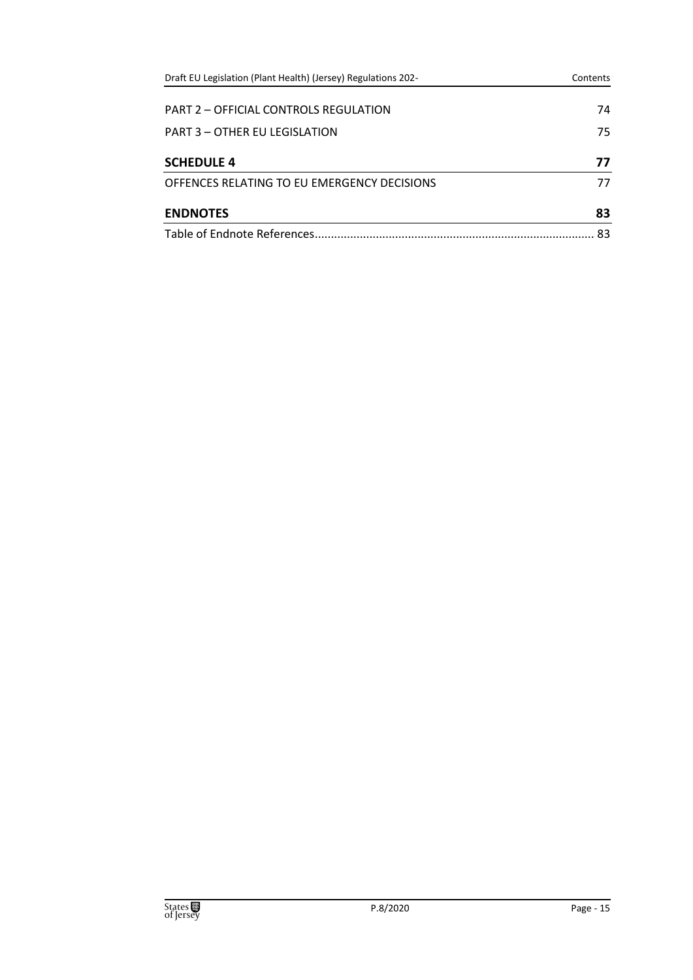| Draft EU Legislation (Plant Health) (Jersey) Regulations 202- | Contents |
|---------------------------------------------------------------|----------|
| PART 2 - OFFICIAL CONTROLS REGULATION                         | 74       |
| PART 3 - OTHER FU LEGISLATION                                 | 75       |
| <b>SCHEDULE 4</b>                                             | 77       |
| OFFENCES RELATING TO EU EMERGENCY DECISIONS                   | 77       |
| <b>ENDNOTES</b>                                               | 83       |
| Table of Endnote References.                                  | 83       |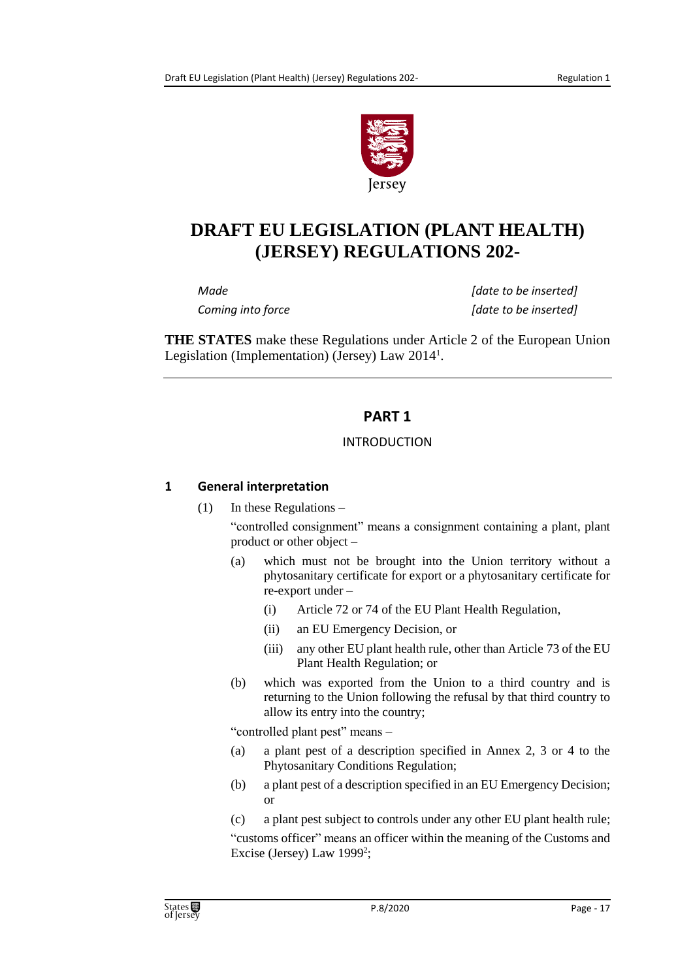

# **DRAFT EU LEGISLATION (PLANT HEALTH) (JERSEY) REGULATIONS 202-**

*Made [date to be inserted] Coming into force [date to be inserted]*

<span id="page-16-0"></span>**THE STATES** make these Regulations under Article 2 of the European Union Legislation (Implementation) (Jersey) Law 2014<sup>1</sup> .

# **PART 1**

#### INTRODUCTION

# <span id="page-16-2"></span><span id="page-16-1"></span>**1 General interpretation**

(1) In these Regulations –

"controlled consignment" means a consignment containing a plant, plant product or other object –

- (a) which must not be brought into the Union territory without a phytosanitary certificate for export or a phytosanitary certificate for re-export under –
	- (i) Article 72 or 74 of the EU Plant Health Regulation,
	- (ii) an EU Emergency Decision, or
	- (iii) any other EU plant health rule, other than Article 73 of the EU Plant Health Regulation; or
- (b) which was exported from the Union to a third country and is returning to the Union following the refusal by that third country to allow its entry into the country;

"controlled plant pest" means –

- (a) a plant pest of a description specified in Annex 2, 3 or 4 to the Phytosanitary Conditions Regulation;
- (b) a plant pest of a description specified in an EU Emergency Decision; or
- (c) a plant pest subject to controls under any other EU plant health rule;

"customs officer" means an officer within the meaning of the Customs and Excise (Jersey) Law 1999<sup>2</sup>;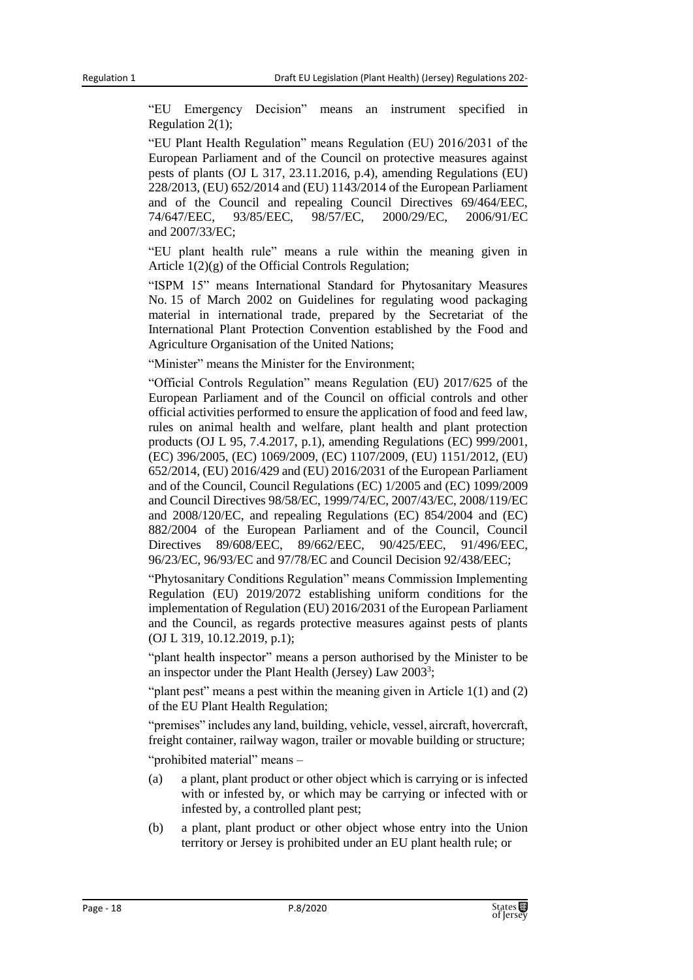"EU Emergency Decision" means an instrument specified in Regulation 2(1);

"EU Plant Health Regulation" means Regulation (EU) 2016/2031 of the European Parliament and of the Council on protective measures against pests of plants (OJ L 317, 23.11.2016, p.4), amending Regulations (EU) 228/2013, (EU) 652/2014 and (EU) 1143/2014 of the European Parliament and of the Council and repealing Council Directives 69/464/EEC, 74/647/EEC, 93/85/EEC, 98/57/EC, 2000/29/EC, 2006/91/EC and 2007/33/EC;

"EU plant health rule" means a rule within the meaning given in Article 1(2)(g) of the Official Controls Regulation;

"ISPM 15" means International Standard for Phytosanitary Measures No. 15 of March 2002 on Guidelines for regulating wood packaging material in international trade, prepared by the Secretariat of the International Plant Protection Convention established by the Food and Agriculture Organisation of the United Nations;

"Minister" means the Minister for the Environment;

"Official Controls Regulation" means Regulation (EU) 2017/625 of the European Parliament and of the Council on official controls and other official activities performed to ensure the application of food and feed law, rules on animal health and welfare, plant health and plant protection products (OJ L 95, 7.4.2017, p.1), amending Regulations (EC) 999/2001, (EC) 396/2005, (EC) 1069/2009, (EC) 1107/2009, (EU) 1151/2012, (EU) 652/2014, (EU) 2016/429 and (EU) 2016/2031 of the European Parliament and of the Council, Council Regulations (EC) 1/2005 and (EC) 1099/2009 and Council Directives 98/58/EC, 1999/74/EC, 2007/43/EC, 2008/119/EC and 2008/120/EC, and repealing Regulations (EC) 854/2004 and (EC) 882/2004 of the European Parliament and of the Council, Council Directives 89/608/EEC, 89/662/EEC, 90/425/EEC, 91/496/EEC, 96/23/EC, 96/93/EC and 97/78/EC and Council Decision 92/438/EEC;

"Phytosanitary Conditions Regulation" means Commission Implementing Regulation (EU) 2019/2072 establishing uniform conditions for the implementation of Regulation (EU) 2016/2031 of the European Parliament and the Council, as regards protective measures against pests of plants (OJ L 319, 10.12.2019, p.1);

"plant health inspector" means a person authorised by the Minister to be an inspector under the Plant Health (Jersey) Law 2003<sup>3</sup>;

"plant pest" means a pest within the meaning given in Article 1(1) and (2) of the EU Plant Health Regulation;

"premises" includes any land, building, vehicle, vessel, aircraft, hovercraft, freight container, railway wagon, trailer or movable building or structure;

"prohibited material" means –

- (a) a plant, plant product or other object which is carrying or is infected with or infested by, or which may be carrying or infected with or infested by, a controlled plant pest;
- (b) a plant, plant product or other object whose entry into the Union territory or Jersey is prohibited under an EU plant health rule; or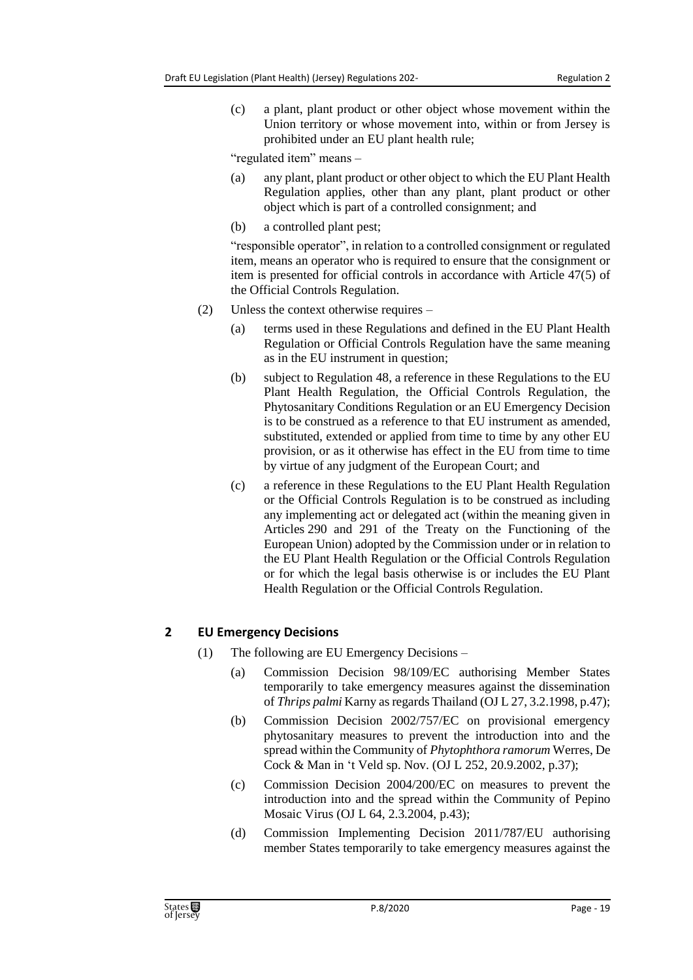(c) a plant, plant product or other object whose movement within the Union territory or whose movement into, within or from Jersey is prohibited under an EU plant health rule;

"regulated item" means –

- (a) any plant, plant product or other object to which the EU Plant Health Regulation applies, other than any plant, plant product or other object which is part of a controlled consignment; and
- (b) a controlled plant pest;

"responsible operator", in relation to a controlled consignment or regulated item, means an operator who is required to ensure that the consignment or item is presented for official controls in accordance with Article 47(5) of the Official Controls Regulation.

- (2) Unless the context otherwise requires
	- (a) terms used in these Regulations and defined in the EU Plant Health Regulation or Official Controls Regulation have the same meaning as in the EU instrument in question;
	- (b) subject to Regulation 48, a reference in these Regulations to the EU Plant Health Regulation, the Official Controls Regulation, the Phytosanitary Conditions Regulation or an EU Emergency Decision is to be construed as a reference to that EU instrument as amended, substituted, extended or applied from time to time by any other EU provision, or as it otherwise has effect in the EU from time to time by virtue of any judgment of the European Court; and
	- (c) a reference in these Regulations to the EU Plant Health Regulation or the Official Controls Regulation is to be construed as including any implementing act or delegated act (within the meaning given in Articles 290 and 291 of the Treaty on the Functioning of the European Union) adopted by the Commission under or in relation to the EU Plant Health Regulation or the Official Controls Regulation or for which the legal basis otherwise is or includes the EU Plant Health Regulation or the Official Controls Regulation.

# <span id="page-18-0"></span>**2 EU Emergency Decisions**

- (1) The following are EU Emergency Decisions
	- (a) Commission Decision 98/109/EC authorising Member States temporarily to take emergency measures against the dissemination of *Thrips palmi* Karny as regards Thailand (OJ L 27, 3.2.1998, p.47);
	- (b) Commission Decision 2002/757/EC on provisional emergency phytosanitary measures to prevent the introduction into and the spread within the Community of *Phytophthora ramorum* Werres, De Cock & Man in 't Veld sp. Nov. (OJ L 252, 20.9.2002, p.37);
	- (c) Commission Decision 2004/200/EC on measures to prevent the introduction into and the spread within the Community of Pepino Mosaic Virus (OJ L 64, 2.3.2004, p.43);
	- (d) Commission Implementing Decision 2011/787/EU authorising member States temporarily to take emergency measures against the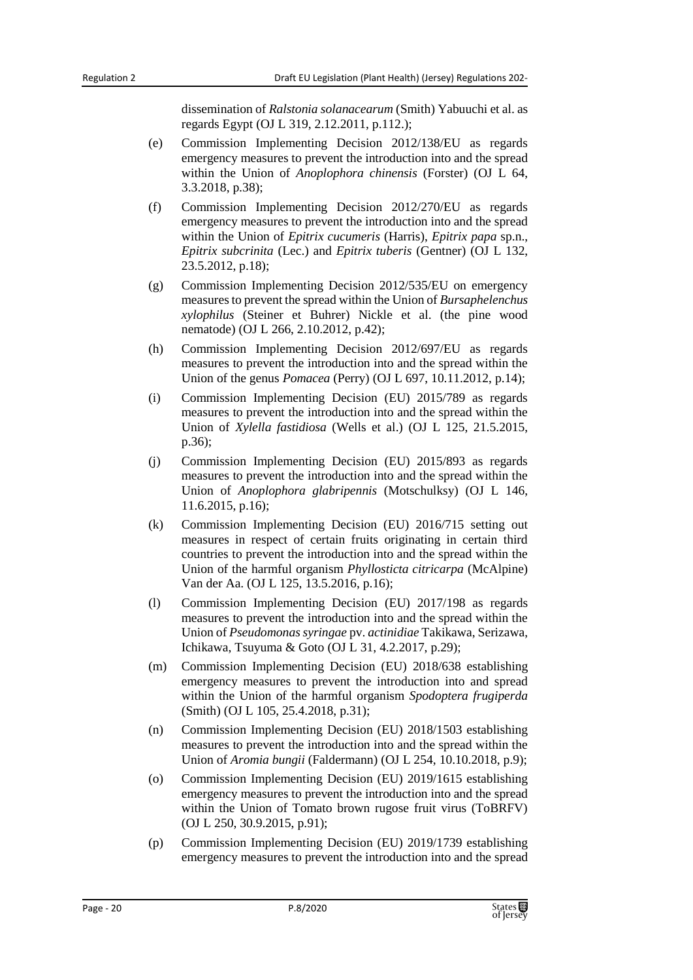dissemination of *Ralstonia solanacearum* (Smith) Yabuuchi et al. as regards Egypt (OJ L 319, 2.12.2011, p.112.);

- (e) Commission Implementing Decision 2012/138/EU as regards emergency measures to prevent the introduction into and the spread within the Union of *Anoplophora chinensis* (Forster) (OJ L 64, 3.3.2018, p.38);
- (f) Commission Implementing Decision 2012/270/EU as regards emergency measures to prevent the introduction into and the spread within the Union of *Epitrix cucumeris* (Harris), *Epitrix papa* sp.n., *Epitrix subcrinita* (Lec.) and *Epitrix tuberis* (Gentner) (OJ L 132, 23.5.2012, p.18);
- (g) Commission Implementing Decision 2012/535/EU on emergency measures to prevent the spread within the Union of *Bursaphelenchus xylophilus* (Steiner et Buhrer) Nickle et al. (the pine wood nematode) (OJ L 266, 2.10.2012, p.42);
- (h) Commission Implementing Decision 2012/697/EU as regards measures to prevent the introduction into and the spread within the Union of the genus *Pomacea* (Perry) (OJ L 697, 10.11.2012, p.14);
- (i) Commission Implementing Decision (EU) 2015/789 as regards measures to prevent the introduction into and the spread within the Union of *Xylella fastidiosa* (Wells et al.) (OJ L 125, 21.5.2015, p.36);
- (j) Commission Implementing Decision (EU) 2015/893 as regards measures to prevent the introduction into and the spread within the Union of *Anoplophora glabripennis* (Motschulksy) (OJ L 146, 11.6.2015, p.16);
- (k) Commission Implementing Decision (EU) 2016/715 setting out measures in respect of certain fruits originating in certain third countries to prevent the introduction into and the spread within the Union of the harmful organism *Phyllosticta citricarpa* (McAlpine) Van der Aa. (OJ L 125, 13.5.2016, p.16);
- (l) Commission Implementing Decision (EU) 2017/198 as regards measures to prevent the introduction into and the spread within the Union of *Pseudomonas syringae* pv. *actinidiae* Takikawa, Serizawa, Ichikawa, Tsuyuma & Goto (OJ L 31, 4.2.2017, p.29);
- (m) Commission Implementing Decision (EU) 2018/638 establishing emergency measures to prevent the introduction into and spread within the Union of the harmful organism *Spodoptera frugiperda* (Smith) (OJ L 105, 25.4.2018, p.31);
- (n) Commission Implementing Decision (EU) 2018/1503 establishing measures to prevent the introduction into and the spread within the Union of *Aromia bungii* (Faldermann) (OJ L 254, 10.10.2018, p.9);
- (o) Commission Implementing Decision (EU) 2019/1615 establishing emergency measures to prevent the introduction into and the spread within the Union of Tomato brown rugose fruit virus (ToBRFV) (OJ L 250, 30.9.2015, p.91);
- (p) Commission Implementing Decision (EU) 2019/1739 establishing emergency measures to prevent the introduction into and the spread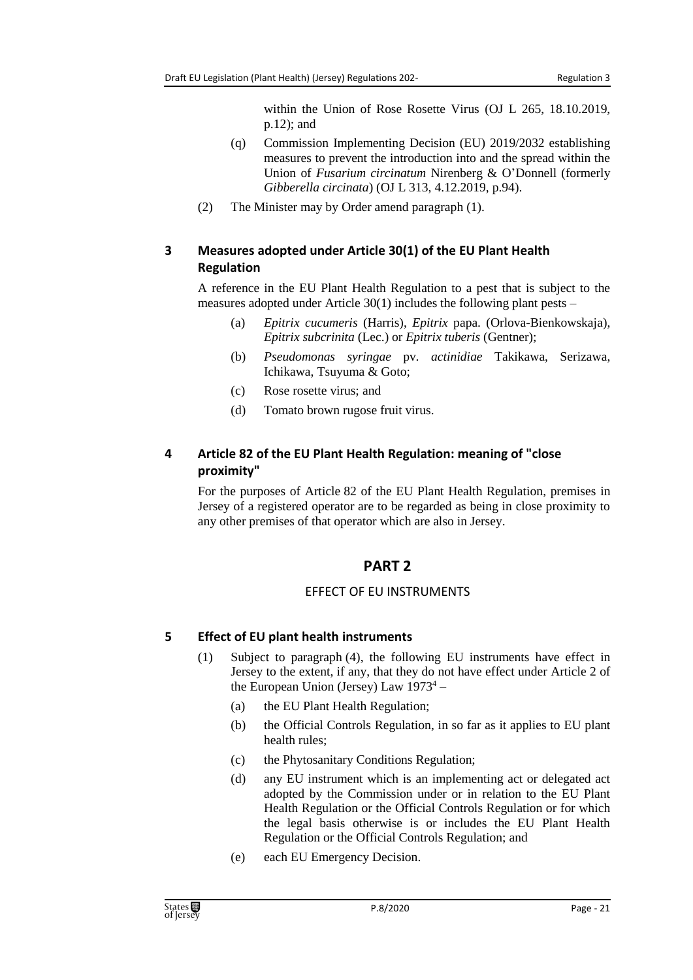within the Union of Rose Rosette Virus (OJ L 265, 18.10.2019, p.12); and

- (q) Commission Implementing Decision (EU) 2019/2032 establishing measures to prevent the introduction into and the spread within the Union of *Fusarium circinatum* Nirenberg & O'Donnell (formerly *Gibberella circinata*) (OJ L 313, 4.12.2019, p.94).
- (2) The Minister may by Order amend paragraph (1).

# <span id="page-20-0"></span>**3 Measures adopted under Article 30(1) of the EU Plant Health Regulation**

A reference in the EU Plant Health Regulation to a pest that is subject to the measures adopted under Article  $30(1)$  includes the following plant pests –

- (a) *Epitrix cucumeris* (Harris), *Epitrix* papa. (Orlova-Bienkowskaja), *Epitrix subcrinita* (Lec.) or *Epitrix tuberis* (Gentner);
- (b) *Pseudomonas syringae* pv. *actinidiae* Takikawa, Serizawa, Ichikawa, Tsuyuma & Goto;
- (c) Rose rosette virus; and
- (d) Tomato brown rugose fruit virus.

# <span id="page-20-1"></span>**4 Article 82 of the EU Plant Health Regulation: meaning of "close proximity"**

<span id="page-20-2"></span>For the purposes of Article 82 of the EU Plant Health Regulation, premises in Jersey of a registered operator are to be regarded as being in close proximity to any other premises of that operator which are also in Jersey.

# **PART 2**

# EFFECT OF EU INSTRUMENTS

# <span id="page-20-4"></span><span id="page-20-3"></span>**5 Effect of EU plant health instruments**

- (1) Subject to paragraph (4), the following EU instruments have effect in Jersey to the extent, if any, that they do not have effect under Article 2 of the European Union (Jersey) Law  $1973^4$  –
	- (a) the EU Plant Health Regulation;
	- (b) the Official Controls Regulation, in so far as it applies to EU plant health rules;
	- (c) the Phytosanitary Conditions Regulation;
	- (d) any EU instrument which is an implementing act or delegated act adopted by the Commission under or in relation to the EU Plant Health Regulation or the Official Controls Regulation or for which the legal basis otherwise is or includes the EU Plant Health Regulation or the Official Controls Regulation; and
	- (e) each EU Emergency Decision.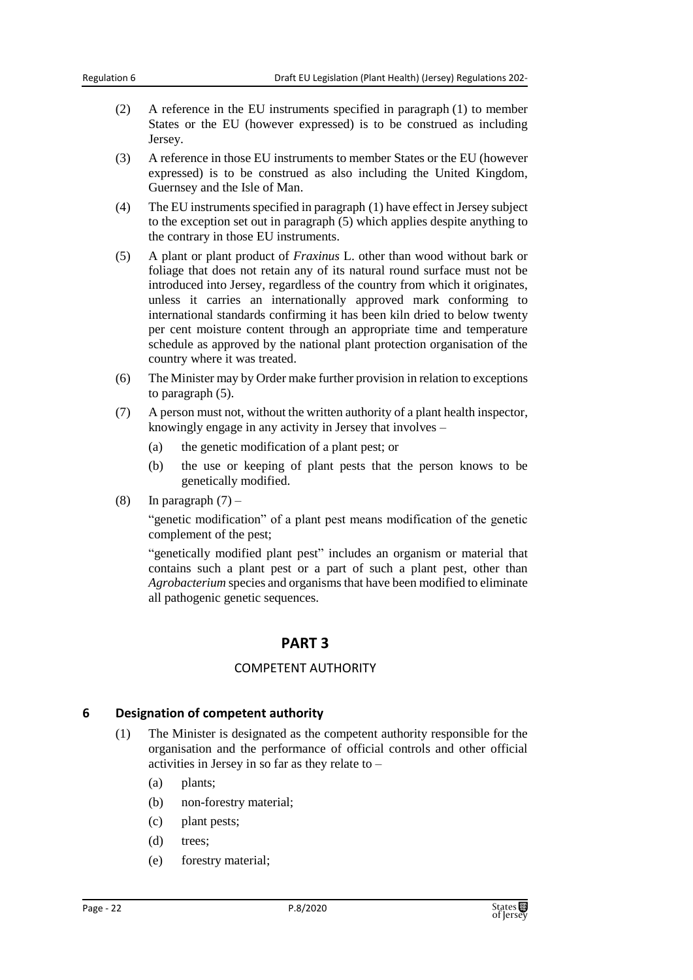- (2) A reference in the EU instruments specified in paragraph (1) to member States or the EU (however expressed) is to be construed as including Jersey.
- (3) A reference in those EU instruments to member States or the EU (however expressed) is to be construed as also including the United Kingdom, Guernsey and the Isle of Man.
- (4) The EU instruments specified in paragraph (1) have effect in Jersey subject to the exception set out in paragraph (5) which applies despite anything to the contrary in those EU instruments.
- (5) A plant or plant product of *Fraxinus* L. other than wood without bark or foliage that does not retain any of its natural round surface must not be introduced into Jersey, regardless of the country from which it originates, unless it carries an internationally approved mark conforming to international standards confirming it has been kiln dried to below twenty per cent moisture content through an appropriate time and temperature schedule as approved by the national plant protection organisation of the country where it was treated.
- (6) The Minister may by Order make further provision in relation to exceptions to paragraph (5).
- (7) A person must not, without the written authority of a plant health inspector, knowingly engage in any activity in Jersey that involves –
	- (a) the genetic modification of a plant pest; or
	- (b) the use or keeping of plant pests that the person knows to be genetically modified.
- (8) In paragraph  $(7)$  –

"genetic modification" of a plant pest means modification of the genetic complement of the pest;

<span id="page-21-0"></span>"genetically modified plant pest" includes an organism or material that contains such a plant pest or a part of such a plant pest, other than *Agrobacterium* species and organisms that have been modified to eliminate all pathogenic genetic sequences.

# **PART 3**

#### COMPETENT AUTHORITY

#### <span id="page-21-2"></span><span id="page-21-1"></span>**6 Designation of competent authority**

- (1) The Minister is designated as the competent authority responsible for the organisation and the performance of official controls and other official activities in Jersey in so far as they relate to –
	- (a) plants;
	- (b) non-forestry material;
	- (c) plant pests;
	- (d) trees;
	- (e) forestry material;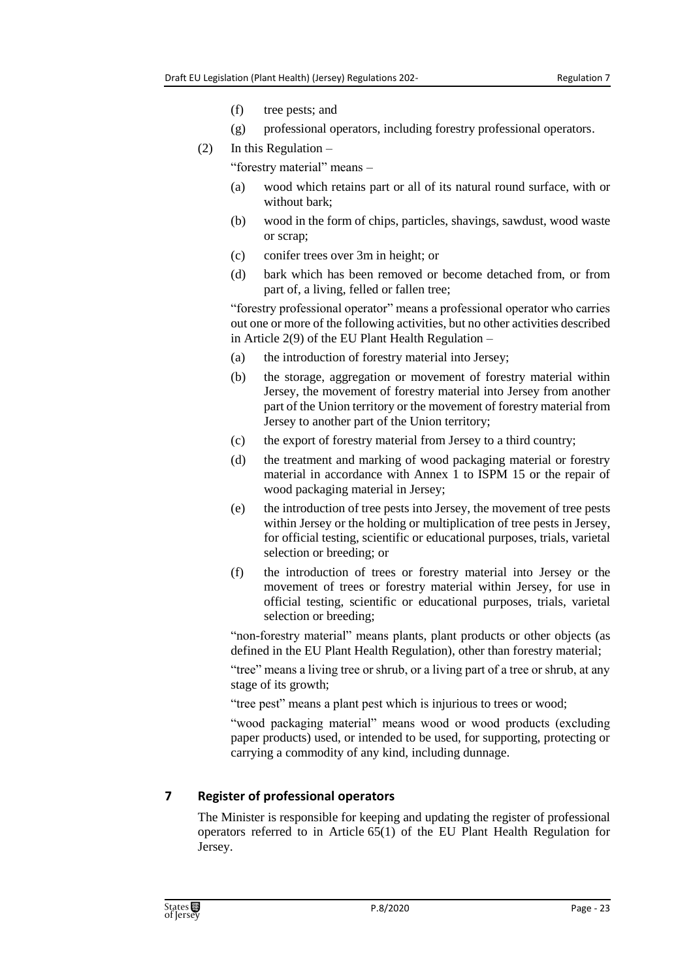- (f) tree pests; and
- (g) professional operators, including forestry professional operators.
- (2) In this Regulation –

"forestry material" means –

- (a) wood which retains part or all of its natural round surface, with or without bark;
- (b) wood in the form of chips, particles, shavings, sawdust, wood waste or scrap;
- (c) conifer trees over 3m in height; or
- (d) bark which has been removed or become detached from, or from part of, a living, felled or fallen tree;

"forestry professional operator" means a professional operator who carries out one or more of the following activities, but no other activities described in Article 2(9) of the EU Plant Health Regulation –

- (a) the introduction of forestry material into Jersey;
- (b) the storage, aggregation or movement of forestry material within Jersey, the movement of forestry material into Jersey from another part of the Union territory or the movement of forestry material from Jersey to another part of the Union territory;
- (c) the export of forestry material from Jersey to a third country;
- (d) the treatment and marking of wood packaging material or forestry material in accordance with Annex 1 to ISPM 15 or the repair of wood packaging material in Jersey;
- (e) the introduction of tree pests into Jersey, the movement of tree pests within Jersey or the holding or multiplication of tree pests in Jersey, for official testing, scientific or educational purposes, trials, varietal selection or breeding; or
- (f) the introduction of trees or forestry material into Jersey or the movement of trees or forestry material within Jersey, for use in official testing, scientific or educational purposes, trials, varietal selection or breeding;

"non-forestry material" means plants, plant products or other objects (as defined in the EU Plant Health Regulation), other than forestry material;

"tree" means a living tree or shrub, or a living part of a tree or shrub, at any stage of its growth;

"tree pest" means a plant pest which is injurious to trees or wood;

"wood packaging material" means wood or wood products (excluding paper products) used, or intended to be used, for supporting, protecting or carrying a commodity of any kind, including dunnage.

# <span id="page-22-0"></span>**7 Register of professional operators**

The Minister is responsible for keeping and updating the register of professional operators referred to in Article 65(1) of the EU Plant Health Regulation for Jersey.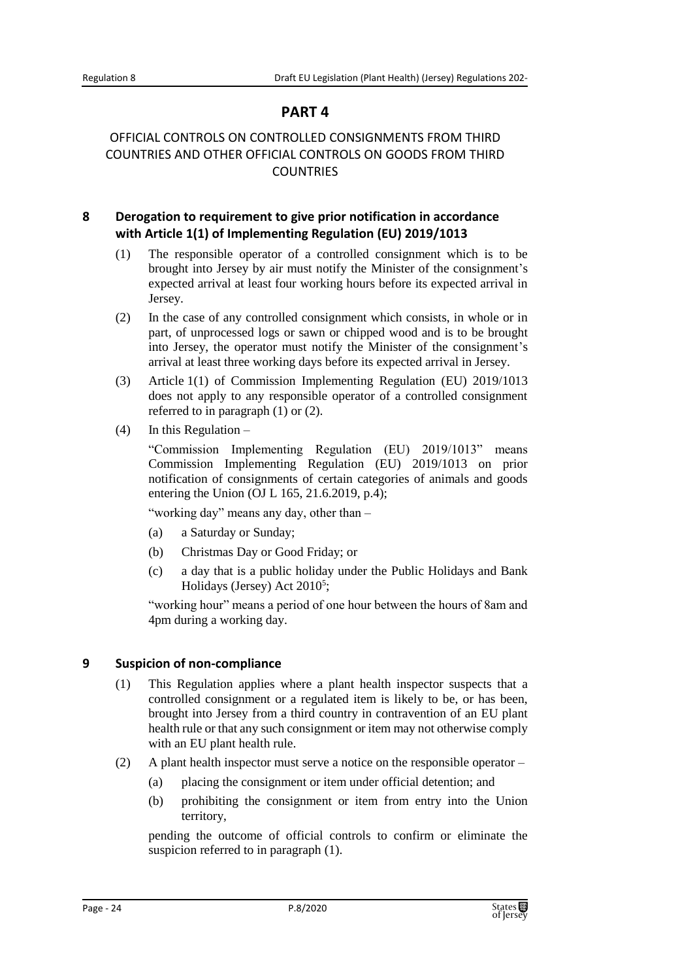# **PART 4**

# <span id="page-23-1"></span><span id="page-23-0"></span>OFFICIAL CONTROLS ON CONTROLLED CONSIGNMENTS FROM THIRD COUNTRIES AND OTHER OFFICIAL CONTROLS ON GOODS FROM THIRD **COUNTRIES**

# <span id="page-23-2"></span>**8 Derogation to requirement to give prior notification in accordance with Article 1(1) of Implementing Regulation (EU) 2019/1013**

- (1) The responsible operator of a controlled consignment which is to be brought into Jersey by air must notify the Minister of the consignment's expected arrival at least four working hours before its expected arrival in Jersey.
- (2) In the case of any controlled consignment which consists, in whole or in part, of unprocessed logs or sawn or chipped wood and is to be brought into Jersey, the operator must notify the Minister of the consignment's arrival at least three working days before its expected arrival in Jersey.
- (3) Article 1(1) of Commission Implementing Regulation (EU) 2019/1013 does not apply to any responsible operator of a controlled consignment referred to in paragraph (1) or (2).
- (4) In this Regulation –

"Commission Implementing Regulation (EU) 2019/1013" means Commission Implementing Regulation (EU) 2019/1013 on prior notification of consignments of certain categories of animals and goods entering the Union (OJ L 165, 21.6.2019, p.4);

"working day" means any day, other than –

- (a) a Saturday or Sunday;
- (b) Christmas Day or Good Friday; or
- (c) a day that is a public holiday under the Public Holidays and Bank Holidays (Jersey) Act 2010<sup>5</sup>;

"working hour" means a period of one hour between the hours of 8am and 4pm during a working day.

#### <span id="page-23-3"></span>**9 Suspicion of non-compliance**

- (1) This Regulation applies where a plant health inspector suspects that a controlled consignment or a regulated item is likely to be, or has been, brought into Jersey from a third country in contravention of an EU plant health rule or that any such consignment or item may not otherwise comply with an EU plant health rule.
- (2) A plant health inspector must serve a notice on the responsible operator
	- (a) placing the consignment or item under official detention; and
	- (b) prohibiting the consignment or item from entry into the Union territory,

pending the outcome of official controls to confirm or eliminate the suspicion referred to in paragraph (1).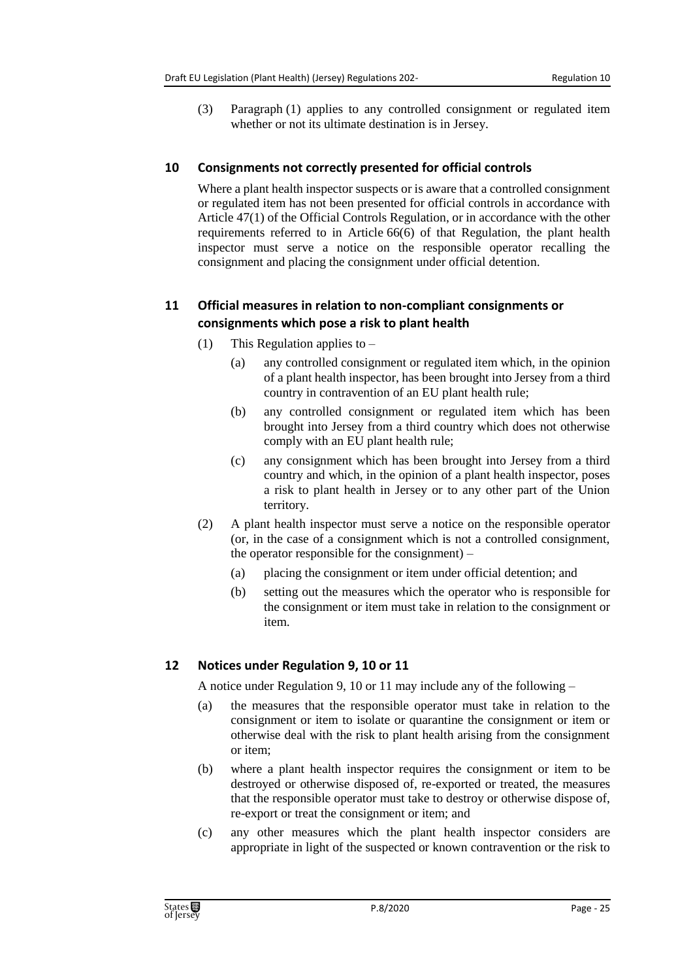(3) Paragraph (1) applies to any controlled consignment or regulated item whether or not its ultimate destination is in Jersey.

#### <span id="page-24-0"></span>**10 Consignments not correctly presented for official controls**

Where a plant health inspector suspects or is aware that a controlled consignment or regulated item has not been presented for official controls in accordance with Article 47(1) of the Official Controls Regulation, or in accordance with the other requirements referred to in Article 66(6) of that Regulation, the plant health inspector must serve a notice on the responsible operator recalling the consignment and placing the consignment under official detention.

#### <span id="page-24-1"></span>**11 Official measures in relation to non-compliant consignments or consignments which pose a risk to plant health**

- (1) This Regulation applies to
	- (a) any controlled consignment or regulated item which, in the opinion of a plant health inspector, has been brought into Jersey from a third country in contravention of an EU plant health rule;
	- (b) any controlled consignment or regulated item which has been brought into Jersey from a third country which does not otherwise comply with an EU plant health rule;
	- (c) any consignment which has been brought into Jersey from a third country and which, in the opinion of a plant health inspector, poses a risk to plant health in Jersey or to any other part of the Union territory.
- (2) A plant health inspector must serve a notice on the responsible operator (or, in the case of a consignment which is not a controlled consignment, the operator responsible for the consignment) –
	- (a) placing the consignment or item under official detention; and
	- (b) setting out the measures which the operator who is responsible for the consignment or item must take in relation to the consignment or item.

# <span id="page-24-2"></span>**12 Notices under Regulation 9, 10 or 11**

A notice under Regulation 9, 10 or 11 may include any of the following –

- (a) the measures that the responsible operator must take in relation to the consignment or item to isolate or quarantine the consignment or item or otherwise deal with the risk to plant health arising from the consignment or item;
- (b) where a plant health inspector requires the consignment or item to be destroyed or otherwise disposed of, re-exported or treated, the measures that the responsible operator must take to destroy or otherwise dispose of, re-export or treat the consignment or item; and
- (c) any other measures which the plant health inspector considers are appropriate in light of the suspected or known contravention or the risk to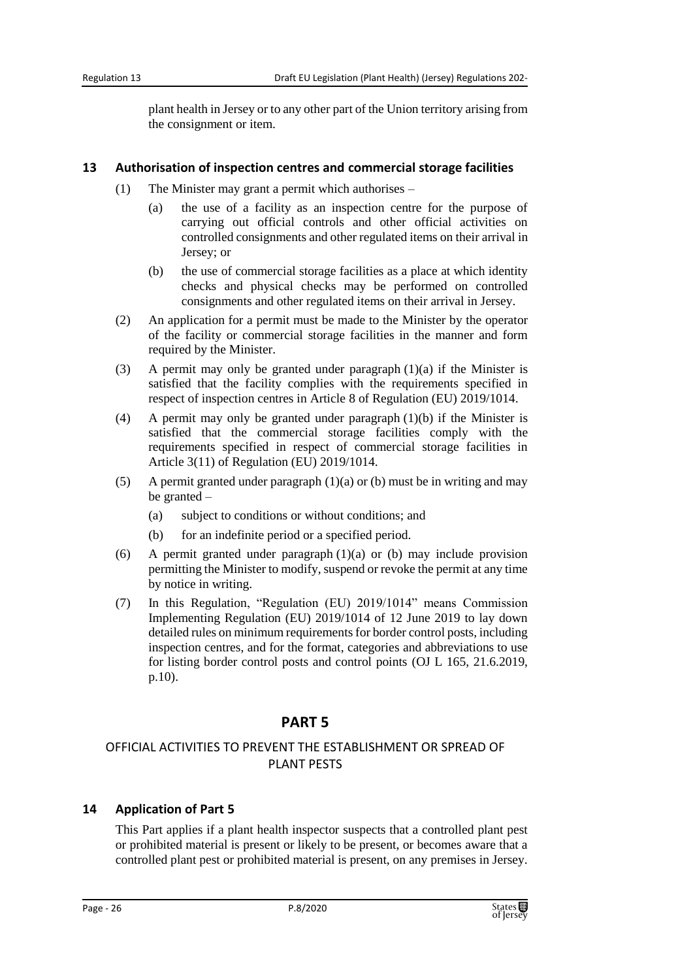plant health in Jersey or to any other part of the Union territory arising from the consignment or item.

#### <span id="page-25-0"></span>**13 Authorisation of inspection centres and commercial storage facilities**

- (1) The Minister may grant a permit which authorises
	- (a) the use of a facility as an inspection centre for the purpose of carrying out official controls and other official activities on controlled consignments and other regulated items on their arrival in Jersey; or
	- (b) the use of commercial storage facilities as a place at which identity checks and physical checks may be performed on controlled consignments and other regulated items on their arrival in Jersey.
- (2) An application for a permit must be made to the Minister by the operator of the facility or commercial storage facilities in the manner and form required by the Minister.
- (3) A permit may only be granted under paragraph  $(1)(a)$  if the Minister is satisfied that the facility complies with the requirements specified in respect of inspection centres in Article 8 of Regulation (EU) 2019/1014.
- (4) A permit may only be granted under paragraph (1)(b) if the Minister is satisfied that the commercial storage facilities comply with the requirements specified in respect of commercial storage facilities in Article 3(11) of Regulation (EU) 2019/1014.
- (5) A permit granted under paragraph  $(1)(a)$  or (b) must be in writing and may be granted –
	- (a) subject to conditions or without conditions; and
	- (b) for an indefinite period or a specified period.
- (6) A permit granted under paragraph (1)(a) or (b) may include provision permitting the Minister to modify, suspend or revoke the permit at any time by notice in writing.
- (7) In this Regulation, "Regulation (EU) 2019/1014" means Commission Implementing Regulation (EU) 2019/1014 of 12 June 2019 to lay down detailed rules on minimum requirements for border control posts, including inspection centres, and for the format, categories and abbreviations to use for listing border control posts and control points (OJ L 165, 21.6.2019, p.10).

# **PART 5**

#### <span id="page-25-2"></span><span id="page-25-1"></span>OFFICIAL ACTIVITIES TO PREVENT THE ESTABLISHMENT OR SPREAD OF PLANT PESTS

#### <span id="page-25-3"></span>**14 Application of Part 5**

This Part applies if a plant health inspector suspects that a controlled plant pest or prohibited material is present or likely to be present, or becomes aware that a controlled plant pest or prohibited material is present, on any premises in Jersey.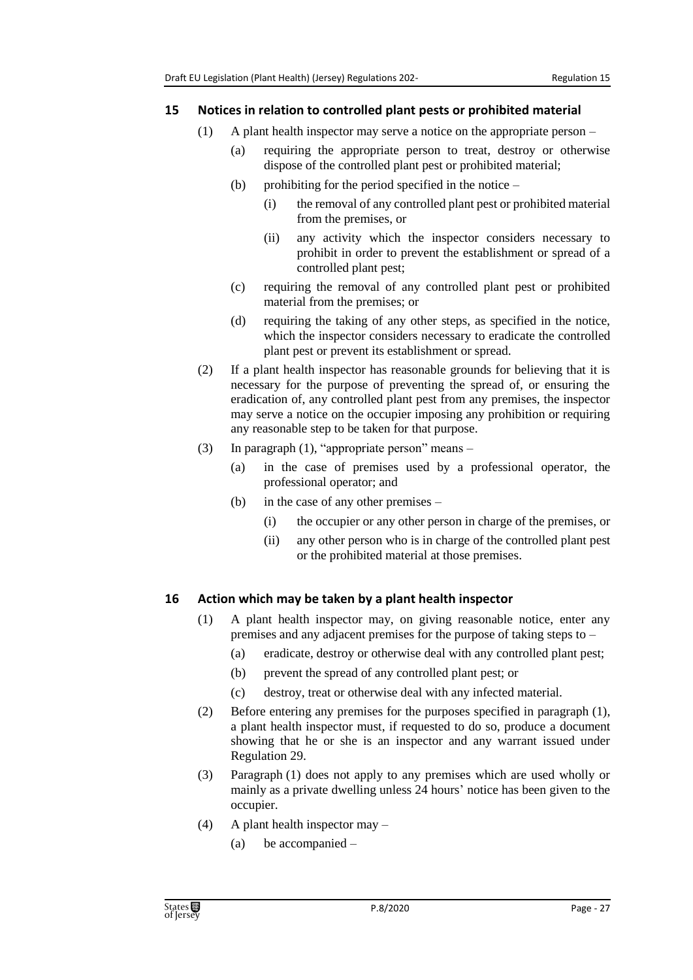#### <span id="page-26-0"></span>**15 Notices in relation to controlled plant pests or prohibited material**

- (1) A plant health inspector may serve a notice on the appropriate person
	- (a) requiring the appropriate person to treat, destroy or otherwise dispose of the controlled plant pest or prohibited material;
		- (b) prohibiting for the period specified in the notice  $-$ 
			- (i) the removal of any controlled plant pest or prohibited material from the premises, or
			- (ii) any activity which the inspector considers necessary to prohibit in order to prevent the establishment or spread of a controlled plant pest;
		- (c) requiring the removal of any controlled plant pest or prohibited material from the premises; or
	- (d) requiring the taking of any other steps, as specified in the notice, which the inspector considers necessary to eradicate the controlled plant pest or prevent its establishment or spread.
- (2) If a plant health inspector has reasonable grounds for believing that it is necessary for the purpose of preventing the spread of, or ensuring the eradication of, any controlled plant pest from any premises, the inspector may serve a notice on the occupier imposing any prohibition or requiring any reasonable step to be taken for that purpose.
- (3) In paragraph (1), "appropriate person" means
	- (a) in the case of premises used by a professional operator, the professional operator; and
	- (b) in the case of any other premises
		- (i) the occupier or any other person in charge of the premises, or
		- (ii) any other person who is in charge of the controlled plant pest or the prohibited material at those premises.

#### <span id="page-26-1"></span>**16 Action which may be taken by a plant health inspector**

- (1) A plant health inspector may, on giving reasonable notice, enter any premises and any adjacent premises for the purpose of taking steps to –
	- (a) eradicate, destroy or otherwise deal with any controlled plant pest;
	- (b) prevent the spread of any controlled plant pest; or
	- (c) destroy, treat or otherwise deal with any infected material.
- (2) Before entering any premises for the purposes specified in paragraph (1), a plant health inspector must, if requested to do so, produce a document showing that he or she is an inspector and any warrant issued under Regulation 29.
- (3) Paragraph (1) does not apply to any premises which are used wholly or mainly as a private dwelling unless 24 hours' notice has been given to the occupier.
- (4) A plant health inspector may
	- (a) be accompanied –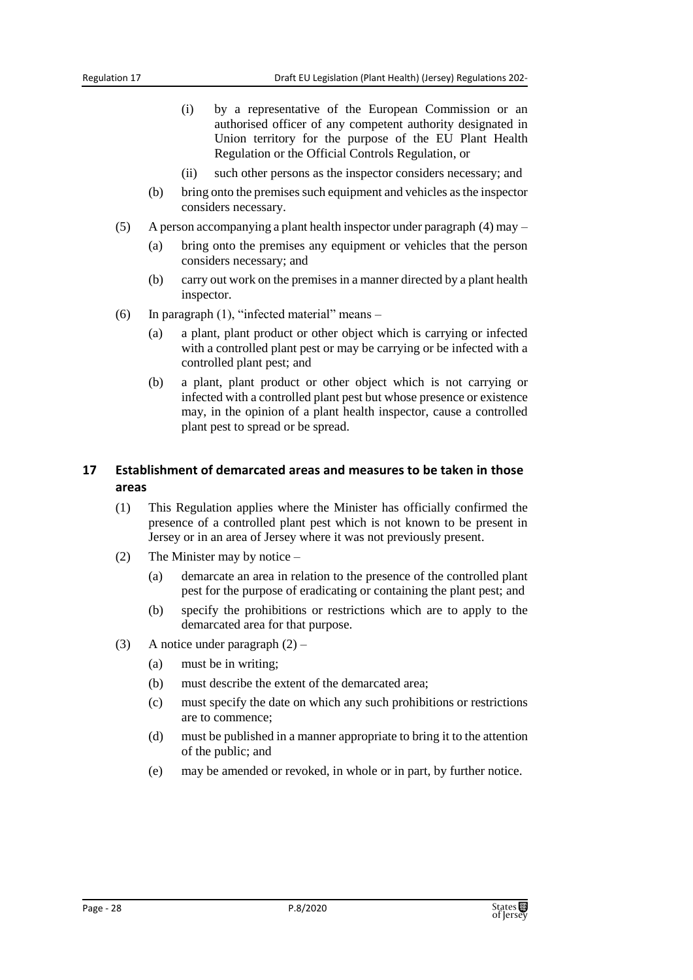- (i) by a representative of the European Commission or an authorised officer of any competent authority designated in Union territory for the purpose of the EU Plant Health Regulation or the Official Controls Regulation, or
- (ii) such other persons as the inspector considers necessary; and
- (b) bring onto the premises such equipment and vehicles as the inspector considers necessary.
- (5) A person accompanying a plant health inspector under paragraph (4) may
	- (a) bring onto the premises any equipment or vehicles that the person considers necessary; and
	- (b) carry out work on the premises in a manner directed by a plant health inspector.
- (6) In paragraph (1), "infected material" means
	- (a) a plant, plant product or other object which is carrying or infected with a controlled plant pest or may be carrying or be infected with a controlled plant pest; and
	- (b) a plant, plant product or other object which is not carrying or infected with a controlled plant pest but whose presence or existence may, in the opinion of a plant health inspector, cause a controlled plant pest to spread or be spread.

#### <span id="page-27-0"></span>**17 Establishment of demarcated areas and measures to be taken in those areas**

- (1) This Regulation applies where the Minister has officially confirmed the presence of a controlled plant pest which is not known to be present in Jersey or in an area of Jersey where it was not previously present.
- (2) The Minister may by notice
	- (a) demarcate an area in relation to the presence of the controlled plant pest for the purpose of eradicating or containing the plant pest; and
	- (b) specify the prohibitions or restrictions which are to apply to the demarcated area for that purpose.
- (3) A notice under paragraph  $(2)$ 
	- (a) must be in writing;
	- (b) must describe the extent of the demarcated area;
	- (c) must specify the date on which any such prohibitions or restrictions are to commence;
	- (d) must be published in a manner appropriate to bring it to the attention of the public; and
	- (e) may be amended or revoked, in whole or in part, by further notice.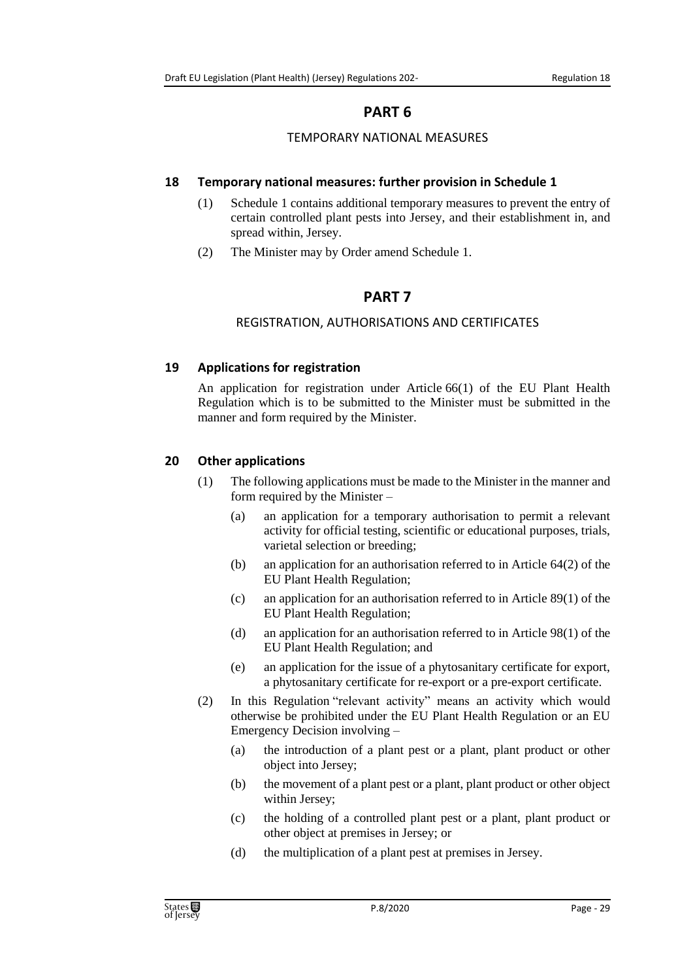# **PART 6**

#### TEMPORARY NATIONAL MEASURES

#### <span id="page-28-2"></span><span id="page-28-1"></span><span id="page-28-0"></span>**18 Temporary national measures: further provision in Schedule 1**

- (1) Schedule 1 contains additional temporary measures to prevent the entry of certain controlled plant pests into Jersey, and their establishment in, and spread within, Jersey.
- <span id="page-28-3"></span>(2) The Minister may by Order amend Schedule 1.

# **PART 7**

#### REGISTRATION, AUTHORISATIONS AND CERTIFICATES

#### <span id="page-28-5"></span><span id="page-28-4"></span>**19 Applications for registration**

An application for registration under Article 66(1) of the EU Plant Health Regulation which is to be submitted to the Minister must be submitted in the manner and form required by the Minister.

#### <span id="page-28-6"></span>**20 Other applications**

- (1) The following applications must be made to the Minister in the manner and form required by the Minister –
	- (a) an application for a temporary authorisation to permit a relevant activity for official testing, scientific or educational purposes, trials, varietal selection or breeding;
	- (b) an application for an authorisation referred to in Article 64(2) of the EU Plant Health Regulation;
	- (c) an application for an authorisation referred to in Article 89(1) of the EU Plant Health Regulation;
	- (d) an application for an authorisation referred to in Article 98(1) of the EU Plant Health Regulation; and
	- (e) an application for the issue of a phytosanitary certificate for export, a phytosanitary certificate for re-export or a pre-export certificate.
- (2) In this Regulation "relevant activity" means an activity which would otherwise be prohibited under the EU Plant Health Regulation or an EU Emergency Decision involving –
	- (a) the introduction of a plant pest or a plant, plant product or other object into Jersey;
	- (b) the movement of a plant pest or a plant, plant product or other object within Jersey;
	- (c) the holding of a controlled plant pest or a plant, plant product or other object at premises in Jersey; or
	- (d) the multiplication of a plant pest at premises in Jersey.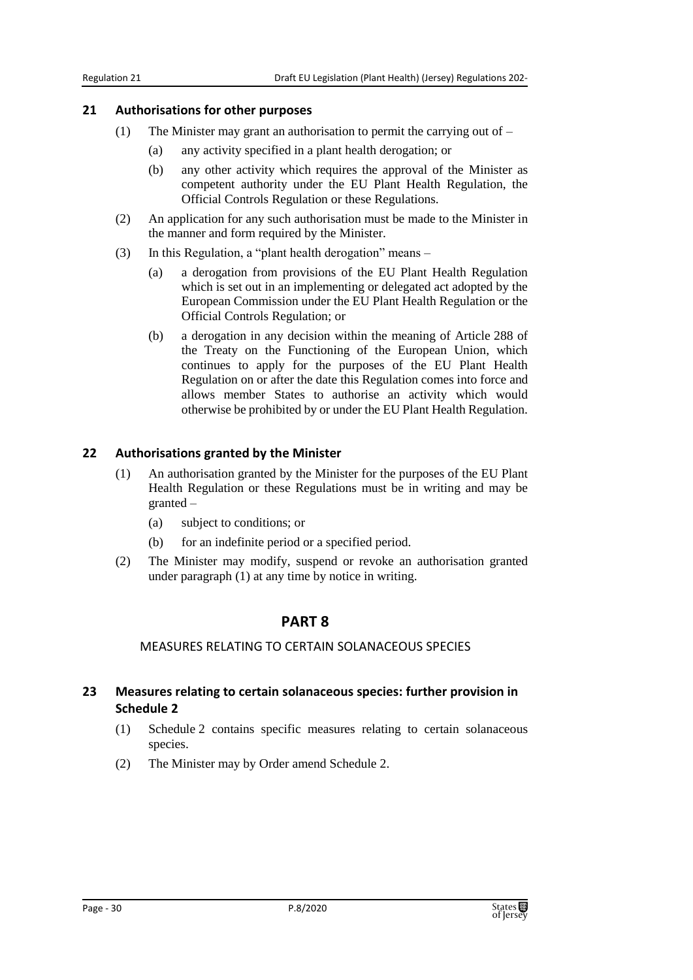#### <span id="page-29-0"></span>**21 Authorisations for other purposes**

- (1) The Minister may grant an authorisation to permit the carrying out of
	- (a) any activity specified in a plant health derogation; or
	- (b) any other activity which requires the approval of the Minister as competent authority under the EU Plant Health Regulation, the Official Controls Regulation or these Regulations.
- (2) An application for any such authorisation must be made to the Minister in the manner and form required by the Minister.
- (3) In this Regulation, a "plant health derogation" means
	- (a) a derogation from provisions of the EU Plant Health Regulation which is set out in an implementing or delegated act adopted by the European Commission under the EU Plant Health Regulation or the Official Controls Regulation; or
	- (b) a derogation in any decision within the meaning of Article 288 of the Treaty on the Functioning of the European Union, which continues to apply for the purposes of the EU Plant Health Regulation on or after the date this Regulation comes into force and allows member States to authorise an activity which would otherwise be prohibited by or under the EU Plant Health Regulation.

#### <span id="page-29-1"></span>**22 Authorisations granted by the Minister**

- (1) An authorisation granted by the Minister for the purposes of the EU Plant Health Regulation or these Regulations must be in writing and may be granted –
	- (a) subject to conditions; or
	- (b) for an indefinite period or a specified period.
- <span id="page-29-2"></span>(2) The Minister may modify, suspend or revoke an authorisation granted under paragraph (1) at any time by notice in writing.

#### **PART 8**

#### MEASURES RELATING TO CERTAIN SOLANACEOUS SPECIES

#### <span id="page-29-4"></span><span id="page-29-3"></span>**23 Measures relating to certain solanaceous species: further provision in Schedule 2**

- (1) Schedule 2 contains specific measures relating to certain solanaceous species.
- (2) The Minister may by Order amend Schedule 2.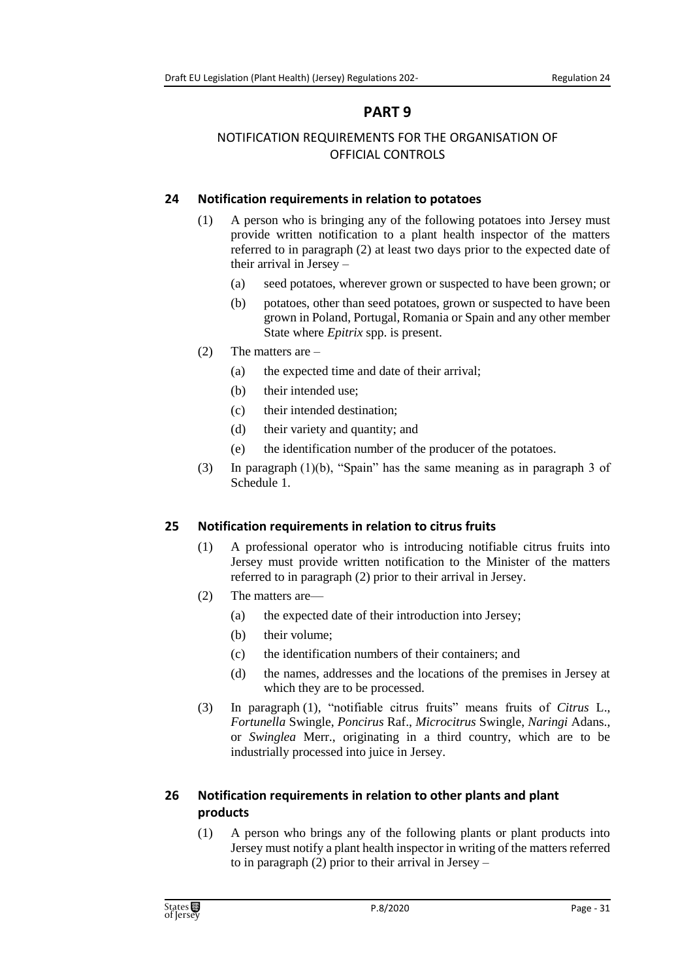# **PART 9**

# <span id="page-30-1"></span><span id="page-30-0"></span>NOTIFICATION REQUIREMENTS FOR THE ORGANISATION OF OFFICIAL CONTROLS

# <span id="page-30-2"></span>**24 Notification requirements in relation to potatoes**

- (1) A person who is bringing any of the following potatoes into Jersey must provide written notification to a plant health inspector of the matters referred to in paragraph (2) at least two days prior to the expected date of their arrival in Jersey –
	- (a) seed potatoes, wherever grown or suspected to have been grown; or
	- (b) potatoes, other than seed potatoes, grown or suspected to have been grown in Poland, Portugal, Romania or Spain and any other member State where *Epitrix* spp. is present.
- (2) The matters are
	- (a) the expected time and date of their arrival;
	- (b) their intended use;
	- (c) their intended destination;
	- (d) their variety and quantity; and
	- (e) the identification number of the producer of the potatoes.
- (3) In paragraph (1)(b), "Spain" has the same meaning as in paragraph 3 of Schedule 1.

# <span id="page-30-3"></span>**25 Notification requirements in relation to citrus fruits**

- (1) A professional operator who is introducing notifiable citrus fruits into Jersey must provide written notification to the Minister of the matters referred to in paragraph (2) prior to their arrival in Jersey.
- (2) The matters are—
	- (a) the expected date of their introduction into Jersey;
	- (b) their volume;
	- (c) the identification numbers of their containers; and
	- (d) the names, addresses and the locations of the premises in Jersey at which they are to be processed.
- (3) In paragraph (1), "notifiable citrus fruits" means fruits of *Citrus* L., *Fortunella* Swingle, *Poncirus* Raf., *Microcitrus* Swingle, *Naringi* Adans., or *Swinglea* Merr., originating in a third country, which are to be industrially processed into juice in Jersey.

# <span id="page-30-4"></span>**26 Notification requirements in relation to other plants and plant products**

(1) A person who brings any of the following plants or plant products into Jersey must notify a plant health inspector in writing of the matters referred to in paragraph (2) prior to their arrival in Jersey –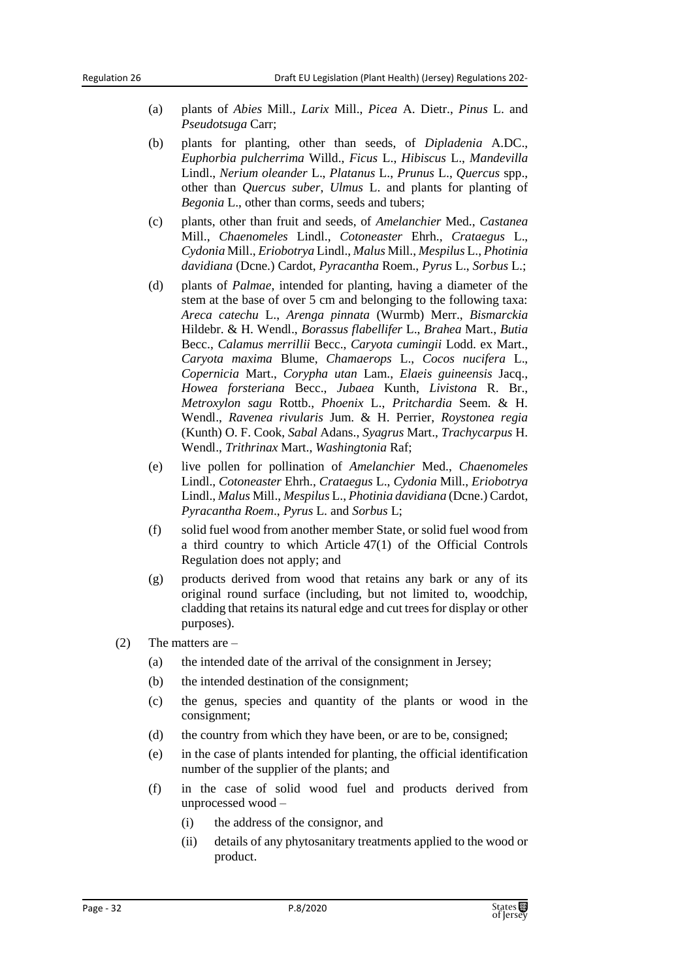- (a) plants of *Abies* Mill., *Larix* Mill., *Picea* A. Dietr., *Pinus* L. and *Pseudotsuga* Carr;
- (b) plants for planting, other than seeds, of *Dipladenia* A.DC., *Euphorbia pulcherrima* Willd., *Ficus* L., *Hibiscus* L., *Mandevilla* Lindl., *Nerium oleander* L., *Platanus* L., *Prunus* L., *Quercus* spp., other than *Quercus suber*, *Ulmus* L. and plants for planting of *Begonia* L., other than corms, seeds and tubers;
- (c) plants, other than fruit and seeds, of *Amelanchier* Med., *Castanea* Mill., *Chaenomeles* Lindl., *Cotoneaster* Ehrh., *Crataegus* L., *Cydonia* Mill., *Eriobotrya* Lindl., *Malus* Mill., *Mespilus* L., *Photinia davidiana* (Dcne.) Cardot, *Pyracantha* Roem., *Pyrus* L., *Sorbus* L.;
- (d) plants of *Palmae*, intended for planting, having a diameter of the stem at the base of over 5 cm and belonging to the following taxa: *Areca catechu* L., *Arenga pinnata* (Wurmb) Merr., *Bismarckia* Hildebr. & H. Wendl., *Borassus flabellifer* L., *Brahea* Mart., *Butia* Becc., *Calamus merrillii* Becc., *Caryota cumingii* Lodd. ex Mart., *Caryota maxima* Blume, *Chamaerops* L., *Cocos nucifera* L., *Copernicia* Mart., *Corypha utan* Lam., *Elaeis guineensis* Jacq., *Howea forsteriana* Becc., *Jubaea* Kunth, *Livistona* R. Br., *Metroxylon sagu* Rottb., *Phoenix* L., *Pritchardia* Seem. & H. Wendl., *Ravenea rivularis* Jum. & H. Perrier, *Roystonea regia* (Kunth) O. F. Cook, *Sabal* Adans., *Syagrus* Mart., *Trachycarpus* H. Wendl., *Trithrinax* Mart., *Washingtonia* Raf;
- (e) live pollen for pollination of *Amelanchier* Med., *Chaenomeles* Lindl., *Cotoneaster* Ehrh., *Crataegus* L., *Cydonia* Mill., *Eriobotrya* Lindl., *Malus* Mill., *Mespilus* L., *Photinia davidiana* (Dcne.) Cardot, *Pyracantha Roem*., *Pyrus* L. and *Sorbus* L;
- (f) solid fuel wood from another member State, or solid fuel wood from a third country to which Article 47(1) of the Official Controls Regulation does not apply; and
- (g) products derived from wood that retains any bark or any of its original round surface (including, but not limited to, woodchip, cladding that retains its natural edge and cut trees for display or other purposes).
- (2) The matters are
	- (a) the intended date of the arrival of the consignment in Jersey;
	- (b) the intended destination of the consignment;
	- (c) the genus, species and quantity of the plants or wood in the consignment;
	- (d) the country from which they have been, or are to be, consigned;
	- (e) in the case of plants intended for planting, the official identification number of the supplier of the plants; and
	- (f) in the case of solid wood fuel and products derived from unprocessed wood –
		- (i) the address of the consignor, and
		- (ii) details of any phytosanitary treatments applied to the wood or product.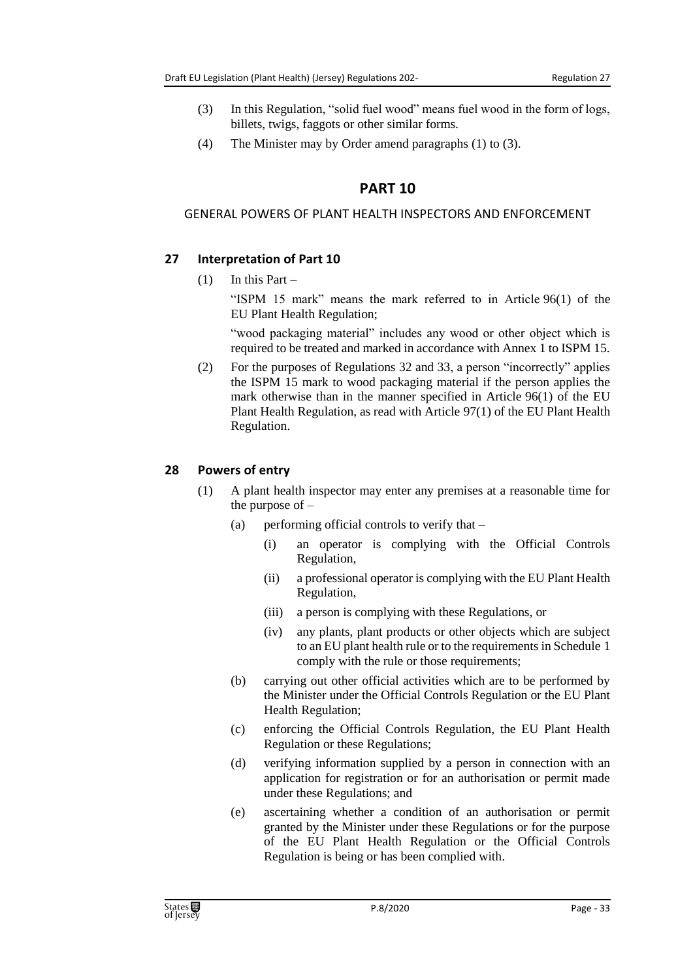- (3) In this Regulation, "solid fuel wood" means fuel wood in the form of logs, billets, twigs, faggots or other similar forms.
- <span id="page-32-0"></span>(4) The Minister may by Order amend paragraphs (1) to (3).

# **PART 10**

#### <span id="page-32-1"></span>GENERAL POWERS OF PLANT HEALTH INSPECTORS AND ENFORCEMENT

# <span id="page-32-2"></span>**27 Interpretation of Part 10**

 $(1)$  In this Part –

"ISPM 15 mark" means the mark referred to in Article 96(1) of the EU Plant Health Regulation;

"wood packaging material" includes any wood or other object which is required to be treated and marked in accordance with Annex 1 to ISPM 15.

(2) For the purposes of Regulations 32 and 33, a person "incorrectly" applies the ISPM 15 mark to wood packaging material if the person applies the mark otherwise than in the manner specified in Article 96(1) of the EU Plant Health Regulation, as read with Article 97(1) of the EU Plant Health Regulation.

#### <span id="page-32-3"></span>**28 Powers of entry**

- (1) A plant health inspector may enter any premises at a reasonable time for the purpose of  $-$ 
	- (a) performing official controls to verify that
		- (i) an operator is complying with the Official Controls Regulation,
		- (ii) a professional operator is complying with the EU Plant Health Regulation,
		- (iii) a person is complying with these Regulations, or
		- (iv) any plants, plant products or other objects which are subject to an EU plant health rule or to the requirements in Schedule 1 comply with the rule or those requirements;
	- (b) carrying out other official activities which are to be performed by the Minister under the Official Controls Regulation or the EU Plant Health Regulation;
	- (c) enforcing the Official Controls Regulation, the EU Plant Health Regulation or these Regulations;
	- (d) verifying information supplied by a person in connection with an application for registration or for an authorisation or permit made under these Regulations; and
	- (e) ascertaining whether a condition of an authorisation or permit granted by the Minister under these Regulations or for the purpose of the EU Plant Health Regulation or the Official Controls Regulation is being or has been complied with.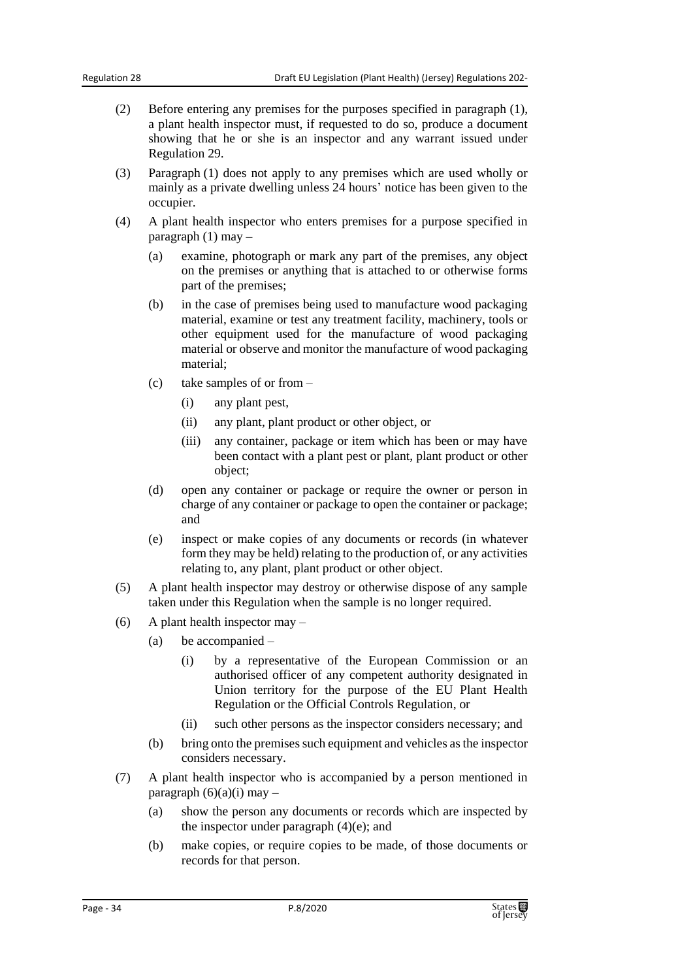- (2) Before entering any premises for the purposes specified in paragraph (1), a plant health inspector must, if requested to do so, produce a document showing that he or she is an inspector and any warrant issued under Regulation 29.
- (3) Paragraph (1) does not apply to any premises which are used wholly or mainly as a private dwelling unless 24 hours' notice has been given to the occupier.
- (4) A plant health inspector who enters premises for a purpose specified in paragraph (1) may –
	- (a) examine, photograph or mark any part of the premises, any object on the premises or anything that is attached to or otherwise forms part of the premises;
	- (b) in the case of premises being used to manufacture wood packaging material, examine or test any treatment facility, machinery, tools or other equipment used for the manufacture of wood packaging material or observe and monitor the manufacture of wood packaging material;
	- (c) take samples of or from
		- (i) any plant pest,
		- (ii) any plant, plant product or other object, or
		- (iii) any container, package or item which has been or may have been contact with a plant pest or plant, plant product or other object;
	- (d) open any container or package or require the owner or person in charge of any container or package to open the container or package; and
	- (e) inspect or make copies of any documents or records (in whatever form they may be held) relating to the production of, or any activities relating to, any plant, plant product or other object.
- (5) A plant health inspector may destroy or otherwise dispose of any sample taken under this Regulation when the sample is no longer required.
- (6) A plant health inspector may
	- (a) be accompanied
		- (i) by a representative of the European Commission or an authorised officer of any competent authority designated in Union territory for the purpose of the EU Plant Health Regulation or the Official Controls Regulation, or
		- (ii) such other persons as the inspector considers necessary; and
	- (b) bring onto the premises such equipment and vehicles as the inspector considers necessary.
- (7) A plant health inspector who is accompanied by a person mentioned in paragraph  $(6)(a)(i)$  may –
	- (a) show the person any documents or records which are inspected by the inspector under paragraph  $(4)(e)$ ; and
	- (b) make copies, or require copies to be made, of those documents or records for that person.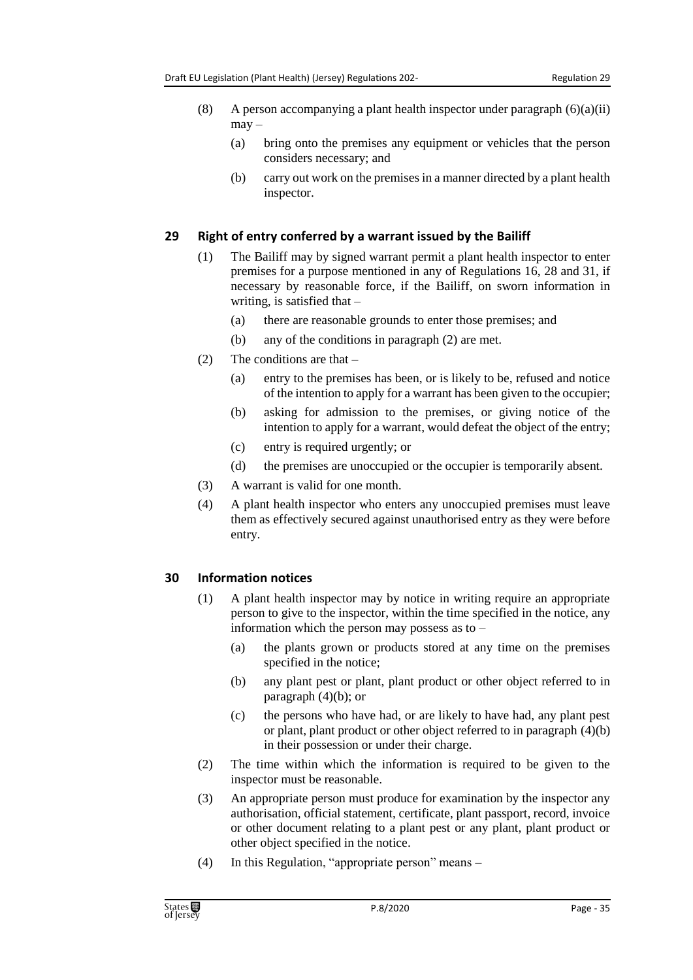- (8) A person accompanying a plant health inspector under paragraph  $(6)(a)(ii)$  $may -$ 
	- (a) bring onto the premises any equipment or vehicles that the person considers necessary; and
	- (b) carry out work on the premises in a manner directed by a plant health inspector.

#### <span id="page-34-0"></span>**29 Right of entry conferred by a warrant issued by the Bailiff**

- (1) The Bailiff may by signed warrant permit a plant health inspector to enter premises for a purpose mentioned in any of Regulations 16, 28 and 31, if necessary by reasonable force, if the Bailiff, on sworn information in writing, is satisfied that –
	- (a) there are reasonable grounds to enter those premises; and
	- (b) any of the conditions in paragraph (2) are met.
- (2) The conditions are that
	- (a) entry to the premises has been, or is likely to be, refused and notice of the intention to apply for a warrant has been given to the occupier;
	- (b) asking for admission to the premises, or giving notice of the intention to apply for a warrant, would defeat the object of the entry;
	- (c) entry is required urgently; or
	- (d) the premises are unoccupied or the occupier is temporarily absent.
- (3) A warrant is valid for one month.
- (4) A plant health inspector who enters any unoccupied premises must leave them as effectively secured against unauthorised entry as they were before entry.

#### <span id="page-34-1"></span>**30 Information notices**

- (1) A plant health inspector may by notice in writing require an appropriate person to give to the inspector, within the time specified in the notice, any information which the person may possess as to –
	- (a) the plants grown or products stored at any time on the premises specified in the notice;
	- (b) any plant pest or plant, plant product or other object referred to in paragraph  $(4)(b)$ ; or
	- (c) the persons who have had, or are likely to have had, any plant pest or plant, plant product or other object referred to in paragraph (4)(b) in their possession or under their charge.
- (2) The time within which the information is required to be given to the inspector must be reasonable.
- (3) An appropriate person must produce for examination by the inspector any authorisation, official statement, certificate, plant passport, record, invoice or other document relating to a plant pest or any plant, plant product or other object specified in the notice.
- (4) In this Regulation, "appropriate person" means –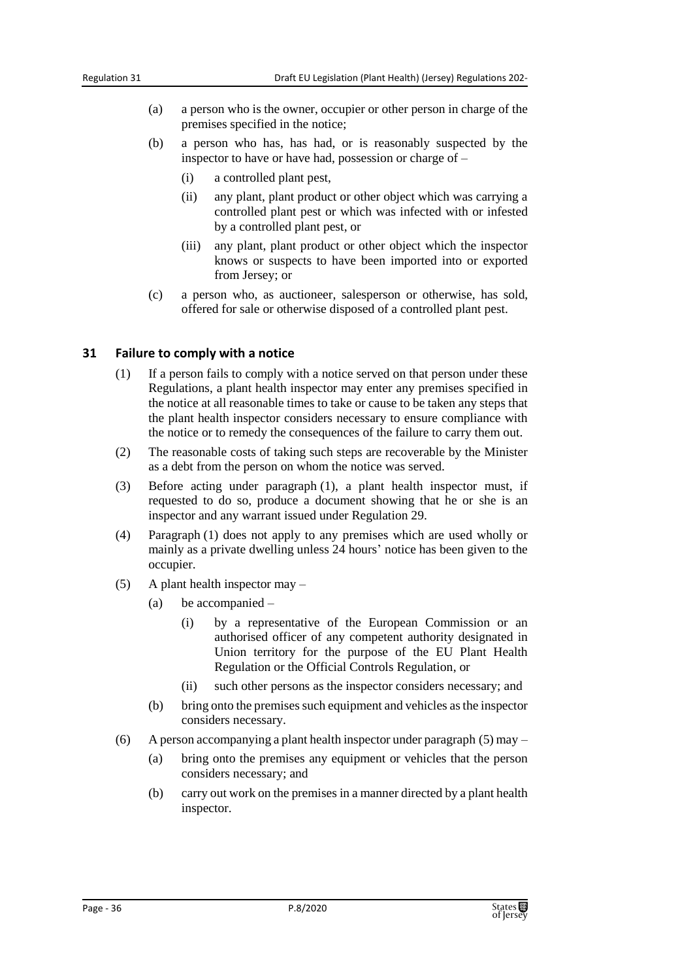- (a) a person who is the owner, occupier or other person in charge of the premises specified in the notice;
- (b) a person who has, has had, or is reasonably suspected by the inspector to have or have had, possession or charge of –
	- (i) a controlled plant pest,
	- (ii) any plant, plant product or other object which was carrying a controlled plant pest or which was infected with or infested by a controlled plant pest, or
	- (iii) any plant, plant product or other object which the inspector knows or suspects to have been imported into or exported from Jersey; or
- (c) a person who, as auctioneer, salesperson or otherwise, has sold, offered for sale or otherwise disposed of a controlled plant pest.

#### <span id="page-35-0"></span>**31 Failure to comply with a notice**

- (1) If a person fails to comply with a notice served on that person under these Regulations, a plant health inspector may enter any premises specified in the notice at all reasonable times to take or cause to be taken any steps that the plant health inspector considers necessary to ensure compliance with the notice or to remedy the consequences of the failure to carry them out.
- (2) The reasonable costs of taking such steps are recoverable by the Minister as a debt from the person on whom the notice was served.
- (3) Before acting under paragraph (1), a plant health inspector must, if requested to do so, produce a document showing that he or she is an inspector and any warrant issued under Regulation 29.
- (4) Paragraph (1) does not apply to any premises which are used wholly or mainly as a private dwelling unless 24 hours' notice has been given to the occupier.
- (5) A plant health inspector may
	- (a) be accompanied
		- (i) by a representative of the European Commission or an authorised officer of any competent authority designated in Union territory for the purpose of the EU Plant Health Regulation or the Official Controls Regulation, or
		- (ii) such other persons as the inspector considers necessary; and
	- (b) bring onto the premises such equipment and vehicles as the inspector considers necessary.
- (6) A person accompanying a plant health inspector under paragraph  $(5)$  may
	- (a) bring onto the premises any equipment or vehicles that the person considers necessary; and
	- (b) carry out work on the premises in a manner directed by a plant health inspector.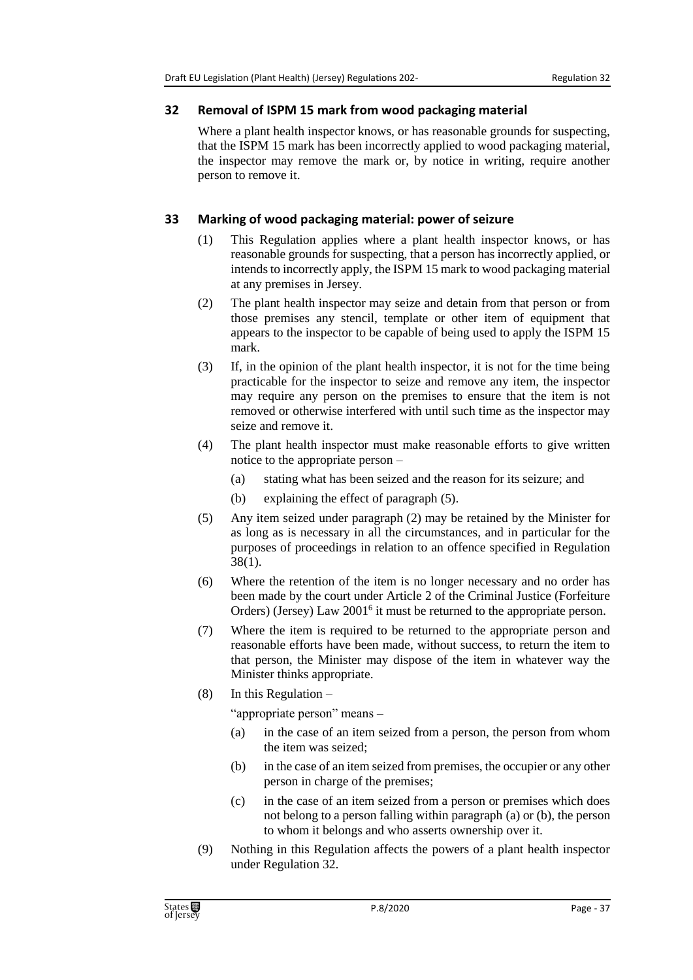### **32 Removal of ISPM 15 mark from wood packaging material**

Where a plant health inspector knows, or has reasonable grounds for suspecting, that the ISPM 15 mark has been incorrectly applied to wood packaging material, the inspector may remove the mark or, by notice in writing, require another person to remove it.

## **33 Marking of wood packaging material: power of seizure**

- (1) This Regulation applies where a plant health inspector knows, or has reasonable grounds for suspecting, that a person has incorrectly applied, or intends to incorrectly apply, the ISPM 15 mark to wood packaging material at any premises in Jersey.
- (2) The plant health inspector may seize and detain from that person or from those premises any stencil, template or other item of equipment that appears to the inspector to be capable of being used to apply the ISPM 15 mark.
- (3) If, in the opinion of the plant health inspector, it is not for the time being practicable for the inspector to seize and remove any item, the inspector may require any person on the premises to ensure that the item is not removed or otherwise interfered with until such time as the inspector may seize and remove it.
- (4) The plant health inspector must make reasonable efforts to give written notice to the appropriate person –
	- (a) stating what has been seized and the reason for its seizure; and
	- (b) explaining the effect of paragraph (5).
- (5) Any item seized under paragraph (2) may be retained by the Minister for as long as is necessary in all the circumstances, and in particular for the purposes of proceedings in relation to an offence specified in Regulation 38(1).
- (6) Where the retention of the item is no longer necessary and no order has been made by the court under Article 2 of the Criminal Justice (Forfeiture Orders) (Jersey) Law 2001<sup>6</sup> it must be returned to the appropriate person.
- (7) Where the item is required to be returned to the appropriate person and reasonable efforts have been made, without success, to return the item to that person, the Minister may dispose of the item in whatever way the Minister thinks appropriate.
- (8) In this Regulation –

"appropriate person" means –

- (a) in the case of an item seized from a person, the person from whom the item was seized;
- (b) in the case of an item seized from premises, the occupier or any other person in charge of the premises;
- (c) in the case of an item seized from a person or premises which does not belong to a person falling within paragraph (a) or (b), the person to whom it belongs and who asserts ownership over it.
- (9) Nothing in this Regulation affects the powers of a plant health inspector under Regulation 32.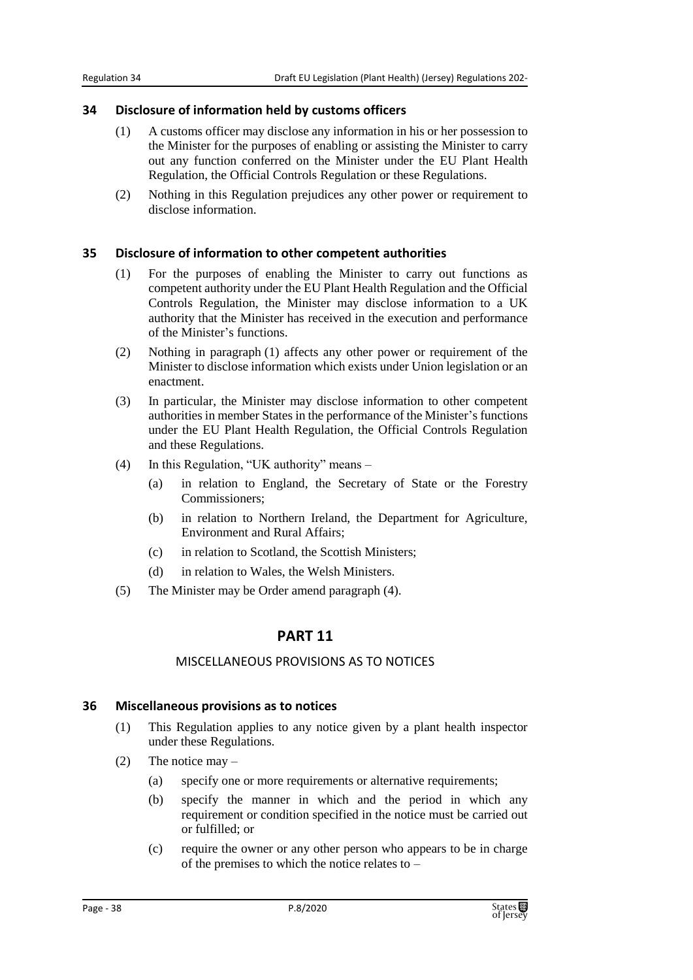#### **34 Disclosure of information held by customs officers**

- (1) A customs officer may disclose any information in his or her possession to the Minister for the purposes of enabling or assisting the Minister to carry out any function conferred on the Minister under the EU Plant Health Regulation, the Official Controls Regulation or these Regulations.
- (2) Nothing in this Regulation prejudices any other power or requirement to disclose information.

#### **35 Disclosure of information to other competent authorities**

- (1) For the purposes of enabling the Minister to carry out functions as competent authority under the EU Plant Health Regulation and the Official Controls Regulation, the Minister may disclose information to a UK authority that the Minister has received in the execution and performance of the Minister's functions.
- (2) Nothing in paragraph (1) affects any other power or requirement of the Minister to disclose information which exists under Union legislation or an enactment.
- (3) In particular, the Minister may disclose information to other competent authorities in member States in the performance of the Minister's functions under the EU Plant Health Regulation, the Official Controls Regulation and these Regulations.
- (4) In this Regulation, "UK authority" means
	- (a) in relation to England, the Secretary of State or the Forestry Commissioners;
	- (b) in relation to Northern Ireland, the Department for Agriculture, Environment and Rural Affairs;
	- (c) in relation to Scotland, the Scottish Ministers;
	- (d) in relation to Wales, the Welsh Ministers.
- (5) The Minister may be Order amend paragraph (4).

# **PART 11**

#### MISCELLANEOUS PROVISIONS AS TO NOTICES

#### **36 Miscellaneous provisions as to notices**

- (1) This Regulation applies to any notice given by a plant health inspector under these Regulations.
- (2) The notice may
	- (a) specify one or more requirements or alternative requirements;
	- (b) specify the manner in which and the period in which any requirement or condition specified in the notice must be carried out or fulfilled; or
	- (c) require the owner or any other person who appears to be in charge of the premises to which the notice relates to –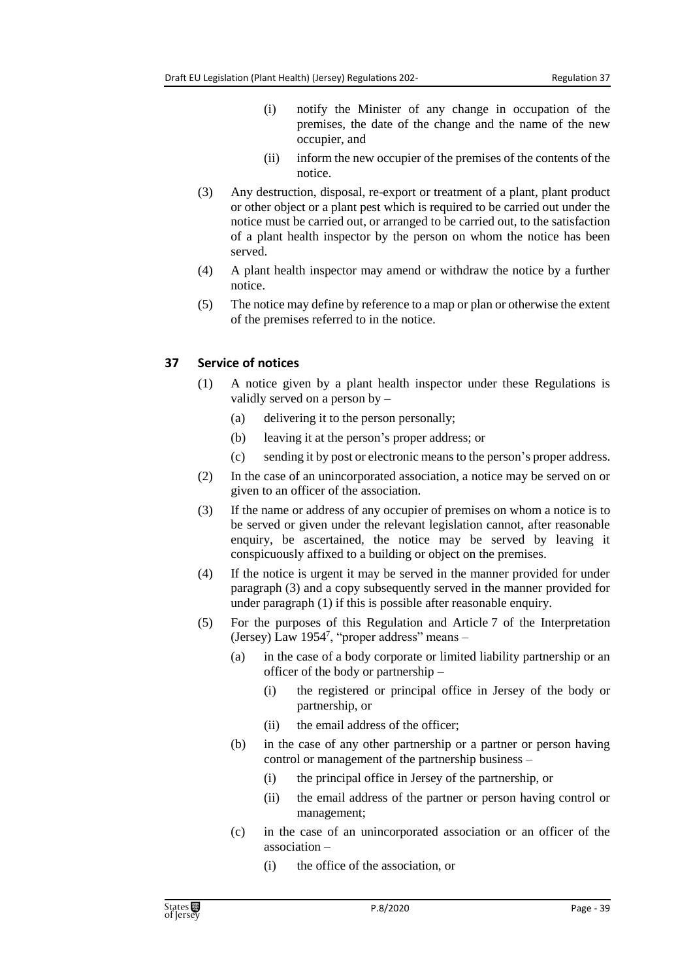- (i) notify the Minister of any change in occupation of the premises, the date of the change and the name of the new occupier, and
- (ii) inform the new occupier of the premises of the contents of the notice.
- (3) Any destruction, disposal, re-export or treatment of a plant, plant product or other object or a plant pest which is required to be carried out under the notice must be carried out, or arranged to be carried out, to the satisfaction of a plant health inspector by the person on whom the notice has been served.
- (4) A plant health inspector may amend or withdraw the notice by a further notice.
- (5) The notice may define by reference to a map or plan or otherwise the extent of the premises referred to in the notice.

### **37 Service of notices**

- (1) A notice given by a plant health inspector under these Regulations is validly served on a person by –
	- (a) delivering it to the person personally;
	- (b) leaving it at the person's proper address; or
	- (c) sending it by post or electronic means to the person's proper address.
- (2) In the case of an unincorporated association, a notice may be served on or given to an officer of the association.
- (3) If the name or address of any occupier of premises on whom a notice is to be served or given under the relevant legislation cannot, after reasonable enquiry, be ascertained, the notice may be served by leaving it conspicuously affixed to a building or object on the premises.
- (4) If the notice is urgent it may be served in the manner provided for under paragraph (3) and a copy subsequently served in the manner provided for under paragraph (1) if this is possible after reasonable enquiry.
- (5) For the purposes of this Regulation and Article 7 of the Interpretation (Jersey) Law 1954<sup>7</sup> , "proper address" means –
	- (a) in the case of a body corporate or limited liability partnership or an officer of the body or partnership –
		- (i) the registered or principal office in Jersey of the body or partnership, or
		- (ii) the email address of the officer;
	- (b) in the case of any other partnership or a partner or person having control or management of the partnership business –
		- (i) the principal office in Jersey of the partnership, or
		- (ii) the email address of the partner or person having control or management;
	- (c) in the case of an unincorporated association or an officer of the association –
		- (i) the office of the association, or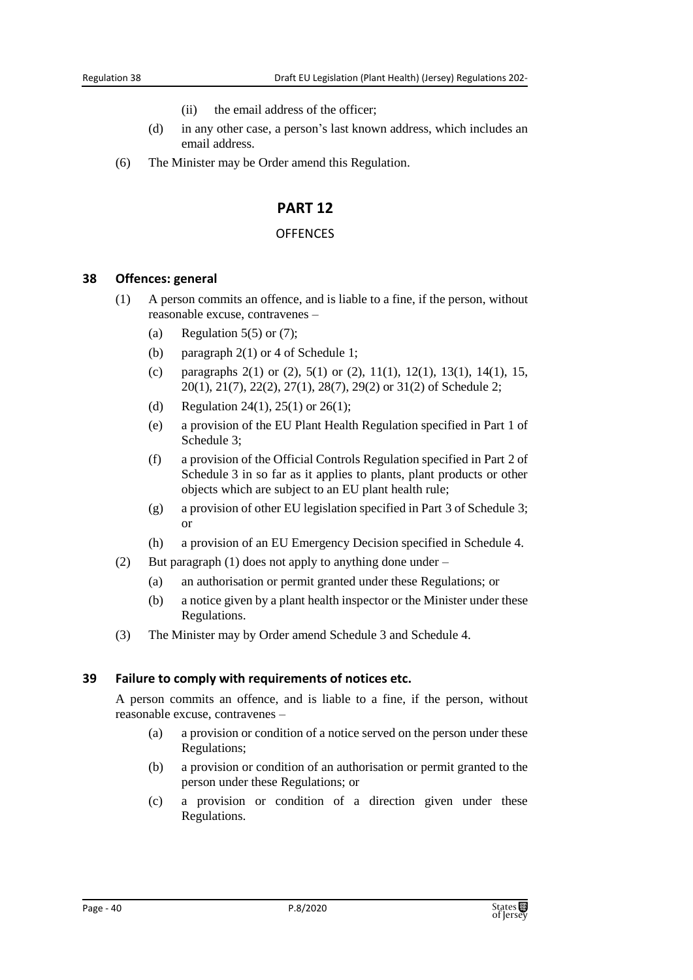- (ii) the email address of the officer;
- (d) in any other case, a person's last known address, which includes an email address.
- (6) The Minister may be Order amend this Regulation.

#### **PART 12**

#### **OFFENCES**

#### **38 Offences: general**

- (1) A person commits an offence, and is liable to a fine, if the person, without reasonable excuse, contravenes –
	- (a) Regulation  $5(5)$  or  $(7)$ ;
	- (b) paragraph 2(1) or 4 of Schedule 1;
	- (c) paragraphs  $2(1)$  or  $(2)$ ,  $5(1)$  or  $(2)$ ,  $11(1)$ ,  $12(1)$ ,  $13(1)$ ,  $14(1)$ ,  $15$ , 20(1), 21(7), 22(2), 27(1), 28(7), 29(2) or 31(2) of Schedule 2;
	- (d) Regulation 24(1), 25(1) or 26(1);
	- (e) a provision of the EU Plant Health Regulation specified in Part 1 of Schedule 3;
	- (f) a provision of the Official Controls Regulation specified in Part 2 of Schedule 3 in so far as it applies to plants, plant products or other objects which are subject to an EU plant health rule;
	- (g) a provision of other EU legislation specified in Part 3 of Schedule 3; or
	- (h) a provision of an EU Emergency Decision specified in Schedule 4.
- (2) But paragraph (1) does not apply to anything done under
	- (a) an authorisation or permit granted under these Regulations; or
	- (b) a notice given by a plant health inspector or the Minister under these Regulations.
- (3) The Minister may by Order amend Schedule 3 and Schedule 4.

#### **39 Failure to comply with requirements of notices etc.**

A person commits an offence, and is liable to a fine, if the person, without reasonable excuse, contravenes –

- (a) a provision or condition of a notice served on the person under these Regulations;
- (b) a provision or condition of an authorisation or permit granted to the person under these Regulations; or
- (c) a provision or condition of a direction given under these Regulations.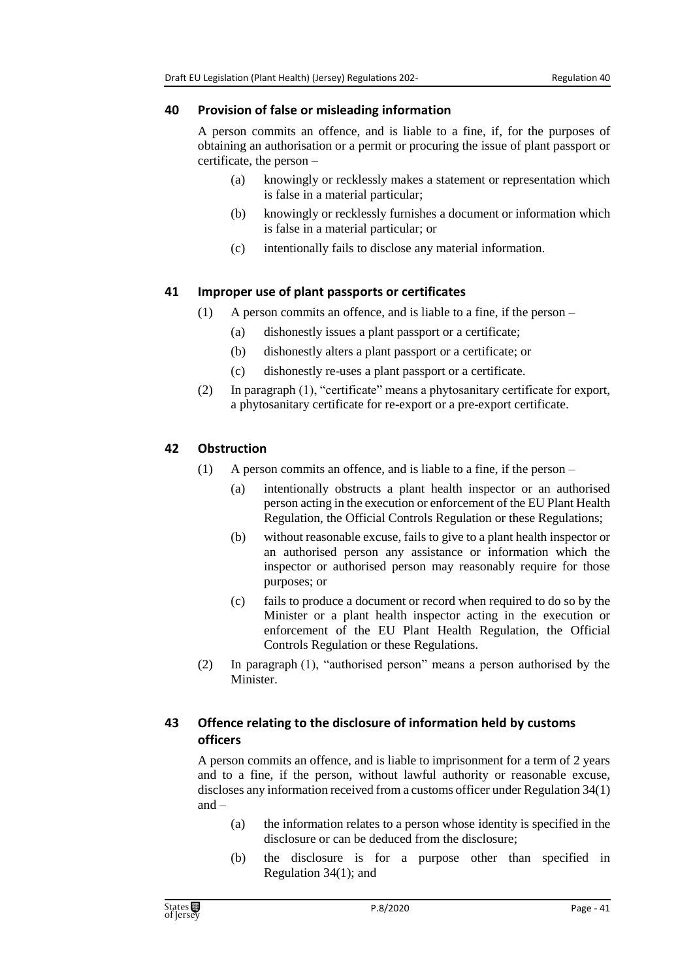#### **40 Provision of false or misleading information**

A person commits an offence, and is liable to a fine, if, for the purposes of obtaining an authorisation or a permit or procuring the issue of plant passport or certificate, the person –

- (a) knowingly or recklessly makes a statement or representation which is false in a material particular;
- (b) knowingly or recklessly furnishes a document or information which is false in a material particular; or
- (c) intentionally fails to disclose any material information.

# **41 Improper use of plant passports or certificates**

- (1) A person commits an offence, and is liable to a fine, if the person
	- (a) dishonestly issues a plant passport or a certificate;
	- (b) dishonestly alters a plant passport or a certificate; or
	- (c) dishonestly re-uses a plant passport or a certificate.
- (2) In paragraph (1), "certificate" means a phytosanitary certificate for export, a phytosanitary certificate for re-export or a pre-export certificate.

# **42 Obstruction**

- (1) A person commits an offence, and is liable to a fine, if the person
	- (a) intentionally obstructs a plant health inspector or an authorised person acting in the execution or enforcement of the EU Plant Health Regulation, the Official Controls Regulation or these Regulations;
	- (b) without reasonable excuse, fails to give to a plant health inspector or an authorised person any assistance or information which the inspector or authorised person may reasonably require for those purposes; or
	- (c) fails to produce a document or record when required to do so by the Minister or a plant health inspector acting in the execution or enforcement of the EU Plant Health Regulation, the Official Controls Regulation or these Regulations.
- (2) In paragraph (1), "authorised person" means a person authorised by the Minister.

# **43 Offence relating to the disclosure of information held by customs officers**

A person commits an offence, and is liable to imprisonment for a term of 2 years and to a fine, if the person, without lawful authority or reasonable excuse, discloses any information received from a customs officer under Regulation 34(1) and –

- (a) the information relates to a person whose identity is specified in the disclosure or can be deduced from the disclosure;
- (b) the disclosure is for a purpose other than specified in Regulation 34(1); and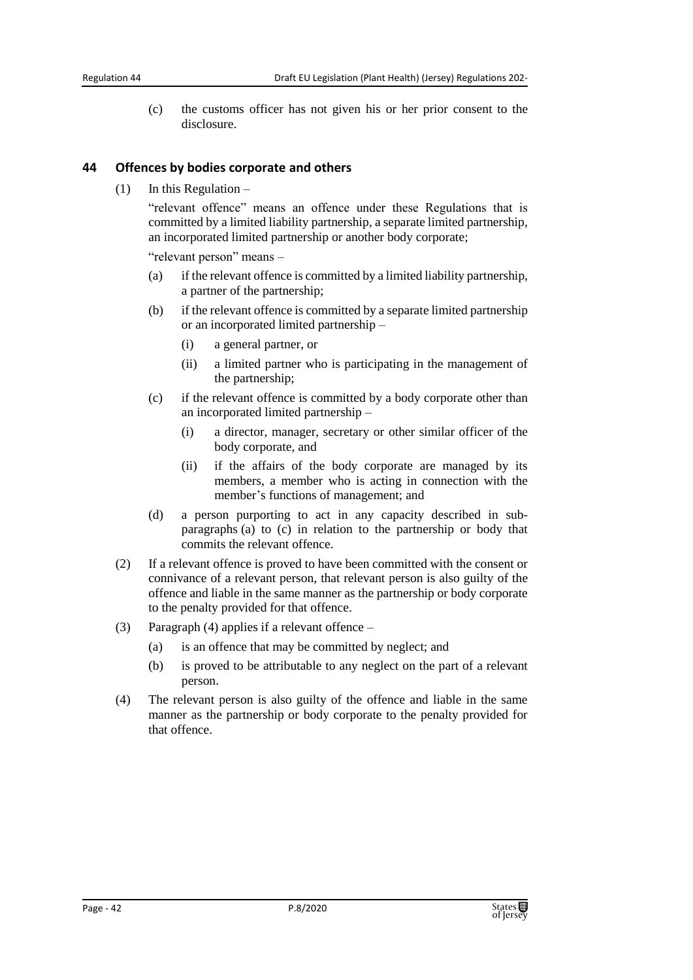(c) the customs officer has not given his or her prior consent to the disclosure.

#### **44 Offences by bodies corporate and others**

(1) In this Regulation –

"relevant offence" means an offence under these Regulations that is committed by a limited liability partnership, a separate limited partnership, an incorporated limited partnership or another body corporate;

"relevant person" means –

- (a) if the relevant offence is committed by a limited liability partnership, a partner of the partnership;
- (b) if the relevant offence is committed by a separate limited partnership or an incorporated limited partnership –
	- (i) a general partner, or
	- (ii) a limited partner who is participating in the management of the partnership;
- (c) if the relevant offence is committed by a body corporate other than an incorporated limited partnership –
	- (i) a director, manager, secretary or other similar officer of the body corporate, and
	- (ii) if the affairs of the body corporate are managed by its members, a member who is acting in connection with the member's functions of management; and
- (d) a person purporting to act in any capacity described in subparagraphs (a) to (c) in relation to the partnership or body that commits the relevant offence.
- (2) If a relevant offence is proved to have been committed with the consent or connivance of a relevant person, that relevant person is also guilty of the offence and liable in the same manner as the partnership or body corporate to the penalty provided for that offence.
- (3) Paragraph (4) applies if a relevant offence
	- (a) is an offence that may be committed by neglect; and
	- (b) is proved to be attributable to any neglect on the part of a relevant person.
- (4) The relevant person is also guilty of the offence and liable in the same manner as the partnership or body corporate to the penalty provided for that offence.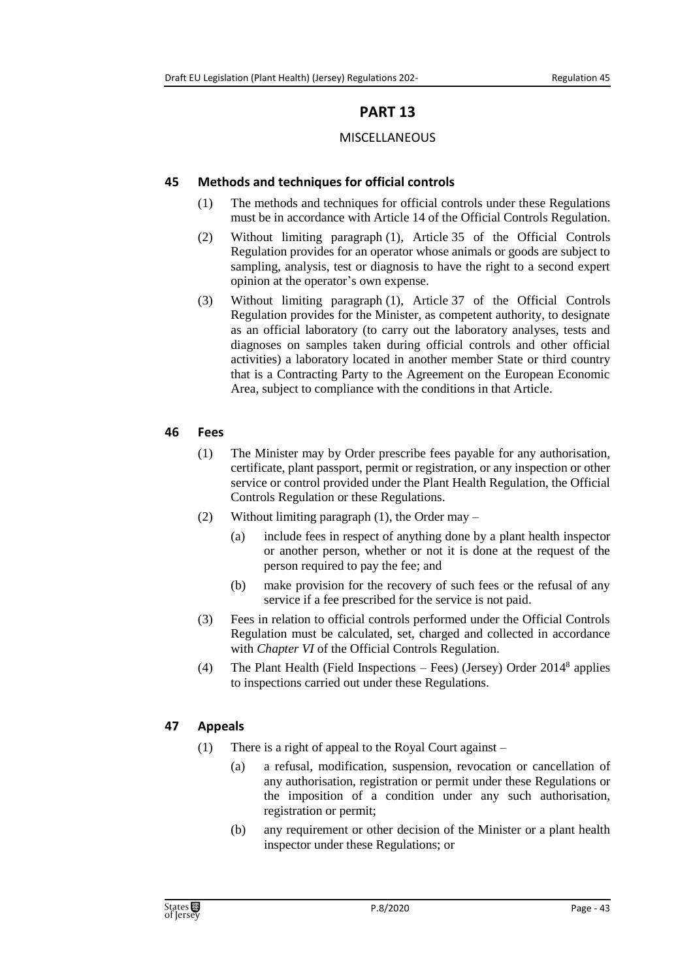# **PART 13**

### MISCELLANEOUS

### **45 Methods and techniques for official controls**

- (1) The methods and techniques for official controls under these Regulations must be in accordance with Article 14 of the Official Controls Regulation.
- (2) Without limiting paragraph (1), Article 35 of the Official Controls Regulation provides for an operator whose animals or goods are subject to sampling, analysis, test or diagnosis to have the right to a second expert opinion at the operator's own expense.
- (3) Without limiting paragraph (1), Article 37 of the Official Controls Regulation provides for the Minister, as competent authority, to designate as an official laboratory (to carry out the laboratory analyses, tests and diagnoses on samples taken during official controls and other official activities) a laboratory located in another member State or third country that is a Contracting Party to the Agreement on the European Economic Area, subject to compliance with the conditions in that Article.

#### **46 Fees**

- (1) The Minister may by Order prescribe fees payable for any authorisation, certificate, plant passport, permit or registration, or any inspection or other service or control provided under the Plant Health Regulation, the Official Controls Regulation or these Regulations.
- (2) Without limiting paragraph (1), the Order may
	- (a) include fees in respect of anything done by a plant health inspector or another person, whether or not it is done at the request of the person required to pay the fee; and
	- (b) make provision for the recovery of such fees or the refusal of any service if a fee prescribed for the service is not paid.
- (3) Fees in relation to official controls performed under the Official Controls Regulation must be calculated, set, charged and collected in accordance with *Chapter VI* of the Official Controls Regulation.
- (4) The Plant Health (Field Inspections Fees) (Jersey) Order 2014<sup>8</sup> applies to inspections carried out under these Regulations.

## **47 Appeals**

- (1) There is a right of appeal to the Royal Court against
	- (a) a refusal, modification, suspension, revocation or cancellation of any authorisation, registration or permit under these Regulations or the imposition of a condition under any such authorisation, registration or permit;
	- (b) any requirement or other decision of the Minister or a plant health inspector under these Regulations; or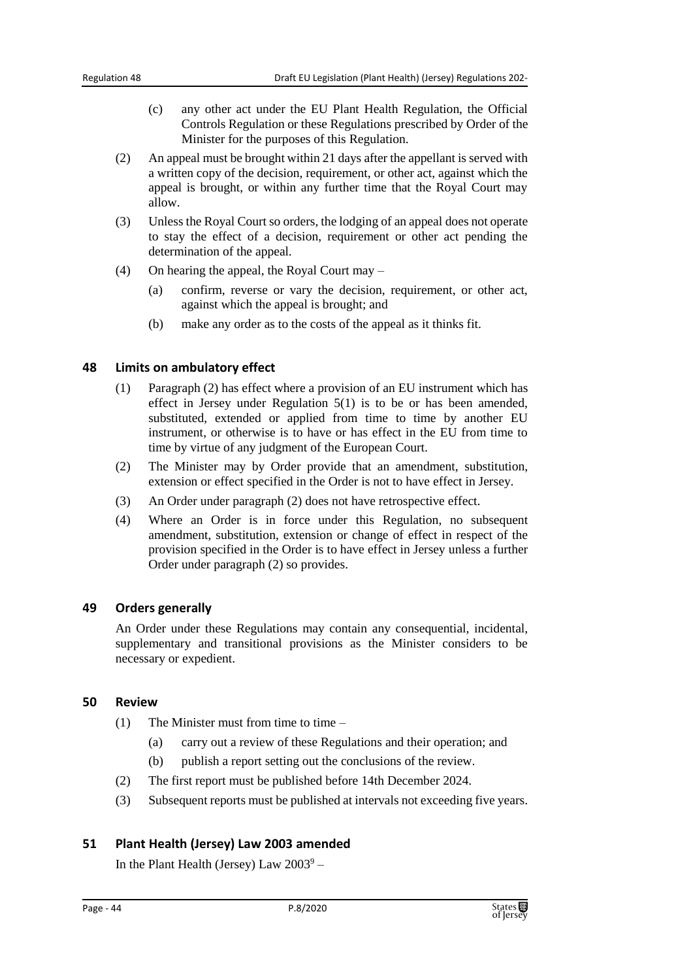- (c) any other act under the EU Plant Health Regulation, the Official Controls Regulation or these Regulations prescribed by Order of the Minister for the purposes of this Regulation.
- (2) An appeal must be brought within 21 days after the appellant is served with a written copy of the decision, requirement, or other act, against which the appeal is brought, or within any further time that the Royal Court may allow.
- (3) Unless the Royal Court so orders, the lodging of an appeal does not operate to stay the effect of a decision, requirement or other act pending the determination of the appeal.
- (4) On hearing the appeal, the Royal Court may
	- (a) confirm, reverse or vary the decision, requirement, or other act, against which the appeal is brought; and
	- (b) make any order as to the costs of the appeal as it thinks fit.

#### **48 Limits on ambulatory effect**

- (1) Paragraph (2) has effect where a provision of an EU instrument which has effect in Jersey under Regulation 5(1) is to be or has been amended, substituted, extended or applied from time to time by another EU instrument, or otherwise is to have or has effect in the EU from time to time by virtue of any judgment of the European Court.
- (2) The Minister may by Order provide that an amendment, substitution, extension or effect specified in the Order is not to have effect in Jersey.
- (3) An Order under paragraph (2) does not have retrospective effect.
- (4) Where an Order is in force under this Regulation, no subsequent amendment, substitution, extension or change of effect in respect of the provision specified in the Order is to have effect in Jersey unless a further Order under paragraph (2) so provides.

#### **49 Orders generally**

An Order under these Regulations may contain any consequential, incidental, supplementary and transitional provisions as the Minister considers to be necessary or expedient.

#### **50 Review**

- (1) The Minister must from time to time  $-$ 
	- (a) carry out a review of these Regulations and their operation; and
	- (b) publish a report setting out the conclusions of the review.
- (2) The first report must be published before 14th December 2024.
- (3) Subsequent reports must be published at intervals not exceeding five years.

#### **51 Plant Health (Jersey) Law 2003 amended**

In the Plant Health (Jersey) Law  $2003^9$  –

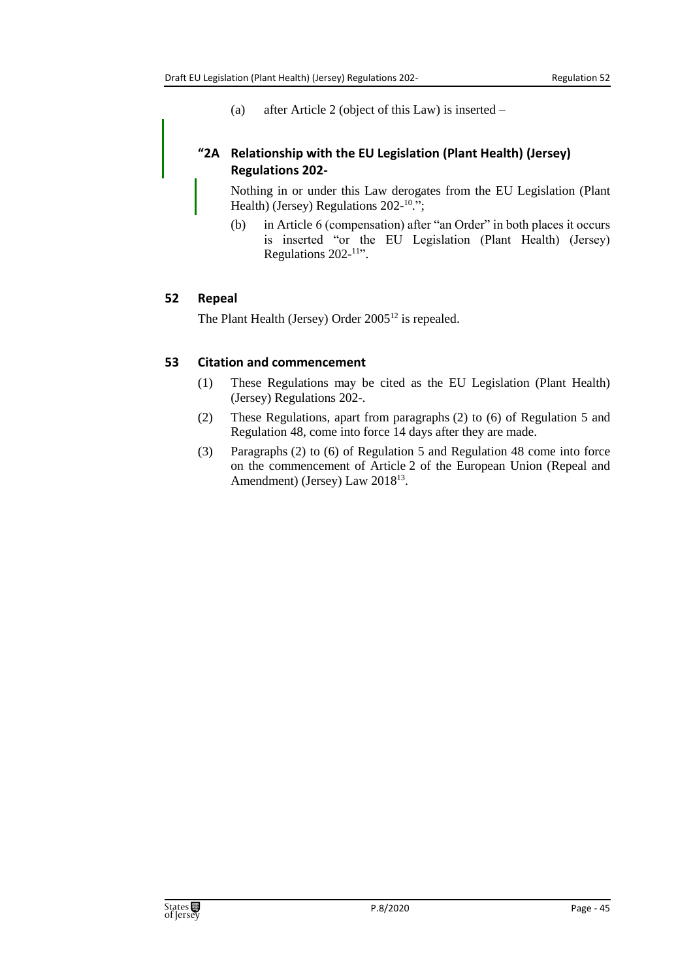(a) after Article 2 (object of this Law) is inserted –

## **"2A Relationship with the EU Legislation (Plant Health) (Jersey) Regulations 202-**

Nothing in or under this Law derogates from the EU Legislation (Plant Health) (Jersey) Regulations 202-<sup>10</sup>.";

(b) in Article 6 (compensation) after "an Order" in both places it occurs is inserted "or the EU Legislation (Plant Health) (Jersey) Regulations 202-<sup>11</sup>".

## **52 Repeal**

The Plant Health (Jersey) Order 2005<sup>12</sup> is repealed.

### **53 Citation and commencement**

- (1) These Regulations may be cited as the EU Legislation (Plant Health) (Jersey) Regulations 202-.
- (2) These Regulations, apart from paragraphs (2) to (6) of Regulation 5 and Regulation 48, come into force 14 days after they are made.
- (3) Paragraphs (2) to (6) of Regulation 5 and Regulation 48 come into force on the commencement of Article 2 of the European Union (Repeal and Amendment) (Jersey) Law 2018<sup>13</sup>.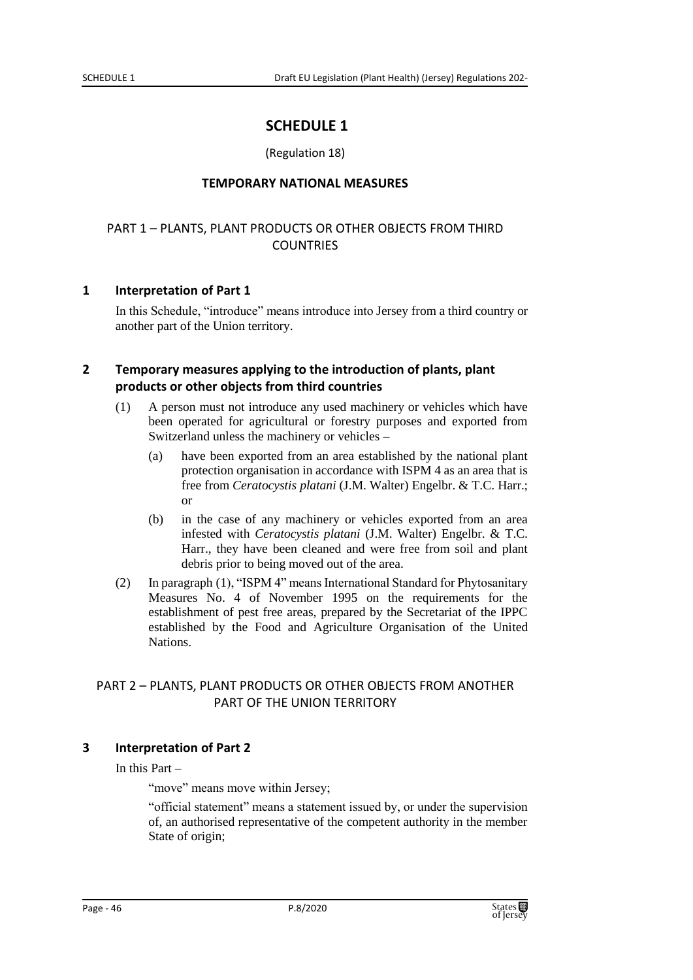# **SCHEDULE 1**

#### (Regulation 18)

#### **TEMPORARY NATIONAL MEASURES**

### PART 1 – PLANTS, PLANT PRODUCTS OR OTHER OBJECTS FROM THIRD **COUNTRIES**

#### **1 Interpretation of Part 1**

In this Schedule, "introduce" means introduce into Jersey from a third country or another part of the Union territory.

#### **2 Temporary measures applying to the introduction of plants, plant products or other objects from third countries**

- (1) A person must not introduce any used machinery or vehicles which have been operated for agricultural or forestry purposes and exported from Switzerland unless the machinery or vehicles –
	- (a) have been exported from an area established by the national plant protection organisation in accordance with ISPM 4 as an area that is free from *Ceratocystis platani* (J.M. Walter) Engelbr. & T.C. Harr.; or
	- (b) in the case of any machinery or vehicles exported from an area infested with *Ceratocystis platani* (J.M. Walter) Engelbr. & T.C. Harr., they have been cleaned and were free from soil and plant debris prior to being moved out of the area.
- (2) In paragraph (1), "ISPM 4" means International Standard for Phytosanitary Measures No. 4 of November 1995 on the requirements for the establishment of pest free areas, prepared by the Secretariat of the IPPC established by the Food and Agriculture Organisation of the United Nations.

### PART 2 – PLANTS, PLANT PRODUCTS OR OTHER OBJECTS FROM ANOTHER PART OF THE UNION TERRITORY

#### **3 Interpretation of Part 2**

In this Part –

"move" means move within Jersey;

"official statement" means a statement issued by, or under the supervision of, an authorised representative of the competent authority in the member State of origin;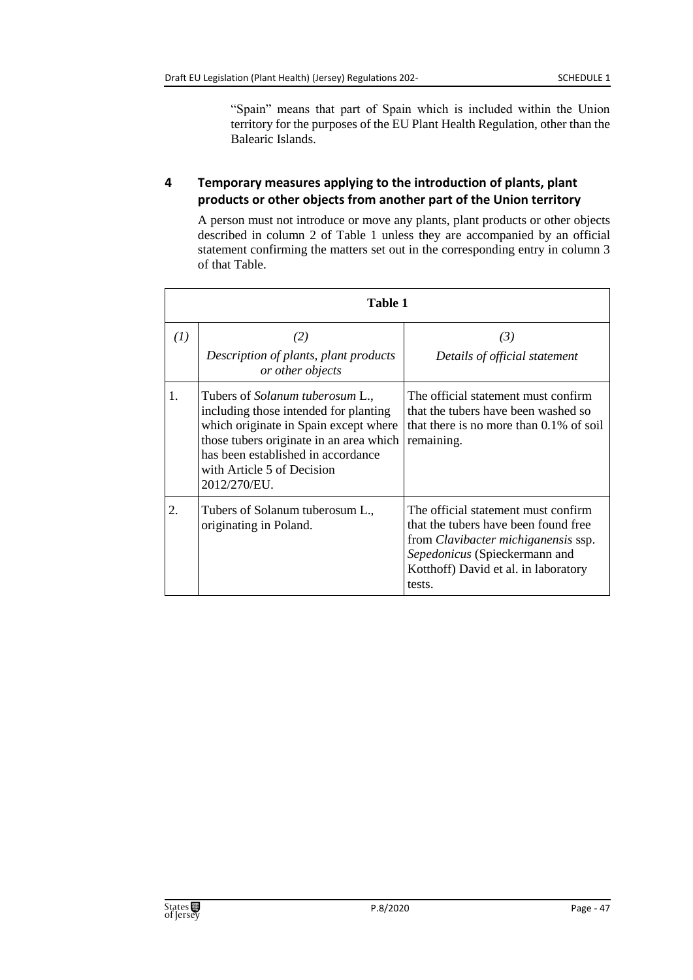"Spain" means that part of Spain which is included within the Union territory for the purposes of the EU Plant Health Regulation, other than the Balearic Islands.

## **4 Temporary measures applying to the introduction of plants, plant products or other objects from another part of the Union territory**

A person must not introduce or move any plants, plant products or other objects described in column 2 of Table 1 unless they are accompanied by an official statement confirming the matters set out in the corresponding entry in column 3 of that Table.

|     | Table 1                                                                                                                                                                                                                                                 |                                                                                                                                                                                                              |  |
|-----|---------------------------------------------------------------------------------------------------------------------------------------------------------------------------------------------------------------------------------------------------------|--------------------------------------------------------------------------------------------------------------------------------------------------------------------------------------------------------------|--|
| (I) | (2)<br>Description of plants, plant products<br>or other objects                                                                                                                                                                                        | (3)<br>Details of official statement                                                                                                                                                                         |  |
| 1.  | Tubers of <i>Solanum tuberosum</i> L.,<br>including those intended for planting<br>which originate in Spain except where<br>those tubers originate in an area which<br>has been established in accordance<br>with Article 5 of Decision<br>2012/270/EU. | The official statement must confirm<br>that the tubers have been washed so<br>that there is no more than $0.1\%$ of soil<br>remaining.                                                                       |  |
| 2.  | Tubers of Solanum tuberosum L.,<br>originating in Poland.                                                                                                                                                                                               | The official statement must confirm<br>that the tubers have been found free<br>from <i>Clavibacter michiganensis</i> ssp.<br>Sepedonicus (Spieckermann and<br>Kotthoff) David et al. in laboratory<br>tests. |  |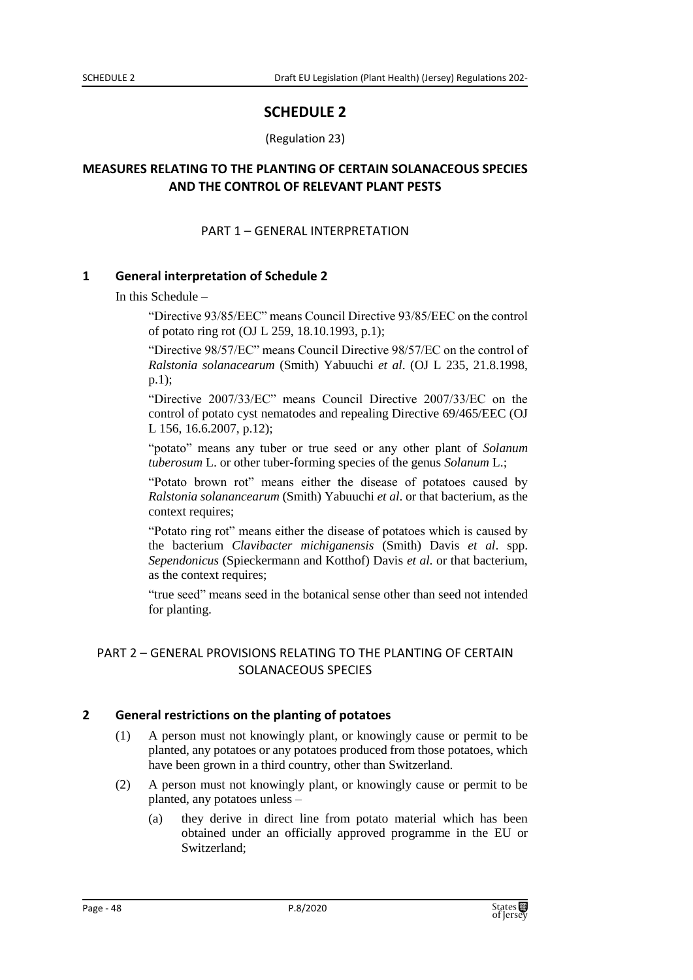# **SCHEDULE 2**

#### (Regulation 23)

## **MEASURES RELATING TO THE PLANTING OF CERTAIN SOLANACEOUS SPECIES AND THE CONTROL OF RELEVANT PLANT PESTS**

### PART 1 – GENERAL INTERPRETATION

#### **1 General interpretation of Schedule 2**

In this Schedule –

"Directive 93/85/EEC" means Council Directive 93/85/EEC on the control of potato ring rot (OJ L 259, 18.10.1993, p.1);

"Directive 98/57/EC" means Council Directive 98/57/EC on the control of *Ralstonia solanacearum* (Smith) Yabuuchi *et al*. (OJ L 235, 21.8.1998, p.1);

"Directive 2007/33/EC" means Council Directive 2007/33/EC on the control of potato cyst nematodes and repealing Directive 69/465/EEC (OJ L 156, 16.6.2007, p.12);

"potato" means any tuber or true seed or any other plant of *Solanum tuberosum* L. or other tuber-forming species of the genus *Solanum* L.;

"Potato brown rot" means either the disease of potatoes caused by *Ralstonia solanancearum* (Smith) Yabuuchi *et al*. or that bacterium, as the context requires;

"Potato ring rot" means either the disease of potatoes which is caused by the bacterium *Clavibacter michiganensis* (Smith) Davis *et al*. spp. *Sependonicus* (Spieckermann and Kotthof) Davis *et al*. or that bacterium, as the context requires;

"true seed" means seed in the botanical sense other than seed not intended for planting.

## PART 2 – GENERAL PROVISIONS RELATING TO THE PLANTING OF CERTAIN SOLANACEOUS SPECIES

## **2 General restrictions on the planting of potatoes**

- (1) A person must not knowingly plant, or knowingly cause or permit to be planted, any potatoes or any potatoes produced from those potatoes, which have been grown in a third country, other than Switzerland.
- (2) A person must not knowingly plant, or knowingly cause or permit to be planted, any potatoes unless –
	- (a) they derive in direct line from potato material which has been obtained under an officially approved programme in the EU or Switzerland;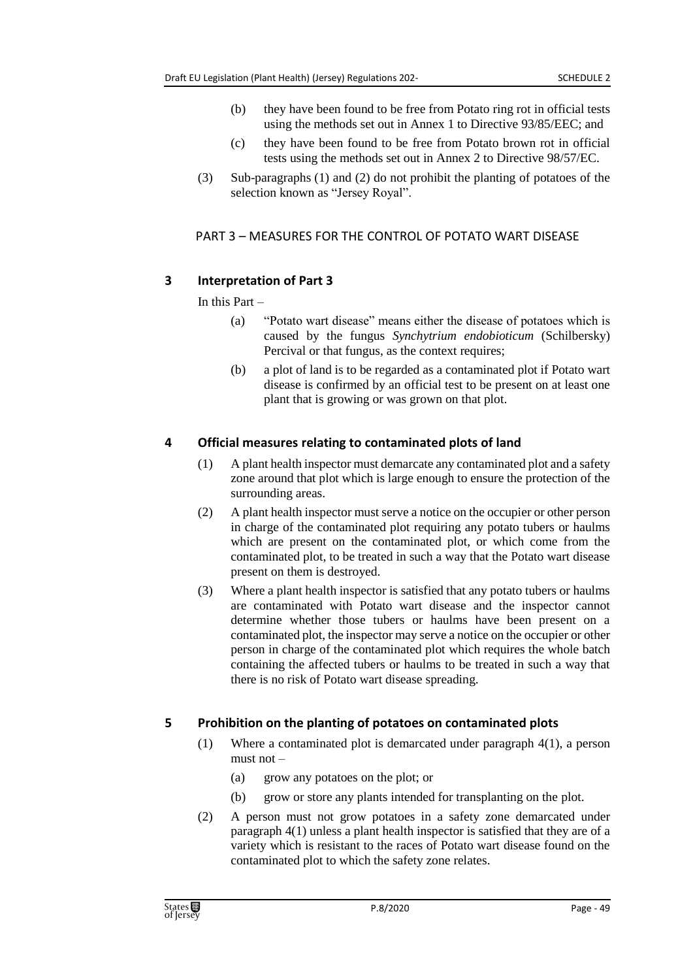- (b) they have been found to be free from Potato ring rot in official tests using the methods set out in Annex 1 to Directive 93/85/EEC; and
- (c) they have been found to be free from Potato brown rot in official tests using the methods set out in Annex 2 to Directive 98/57/EC.
- (3) Sub-paragraphs (1) and (2) do not prohibit the planting of potatoes of the selection known as "Jersey Royal".

### PART 3 – MEASURES FOR THE CONTROL OF POTATO WART DISEASE

## **3 Interpretation of Part 3**

In this Part –

- (a) "Potato wart disease" means either the disease of potatoes which is caused by the fungus *Synchytrium endobioticum* (Schilbersky) Percival or that fungus, as the context requires;
- (b) a plot of land is to be regarded as a contaminated plot if Potato wart disease is confirmed by an official test to be present on at least one plant that is growing or was grown on that plot.

### **4 Official measures relating to contaminated plots of land**

- (1) A plant health inspector must demarcate any contaminated plot and a safety zone around that plot which is large enough to ensure the protection of the surrounding areas.
- (2) A plant health inspector must serve a notice on the occupier or other person in charge of the contaminated plot requiring any potato tubers or haulms which are present on the contaminated plot, or which come from the contaminated plot, to be treated in such a way that the Potato wart disease present on them is destroyed.
- (3) Where a plant health inspector is satisfied that any potato tubers or haulms are contaminated with Potato wart disease and the inspector cannot determine whether those tubers or haulms have been present on a contaminated plot, the inspector may serve a notice on the occupier or other person in charge of the contaminated plot which requires the whole batch containing the affected tubers or haulms to be treated in such a way that there is no risk of Potato wart disease spreading.

## **5 Prohibition on the planting of potatoes on contaminated plots**

- (1) Where a contaminated plot is demarcated under paragraph 4(1), a person must not –
	- (a) grow any potatoes on the plot; or
	- (b) grow or store any plants intended for transplanting on the plot.
- (2) A person must not grow potatoes in a safety zone demarcated under paragraph 4(1) unless a plant health inspector is satisfied that they are of a variety which is resistant to the races of Potato wart disease found on the contaminated plot to which the safety zone relates.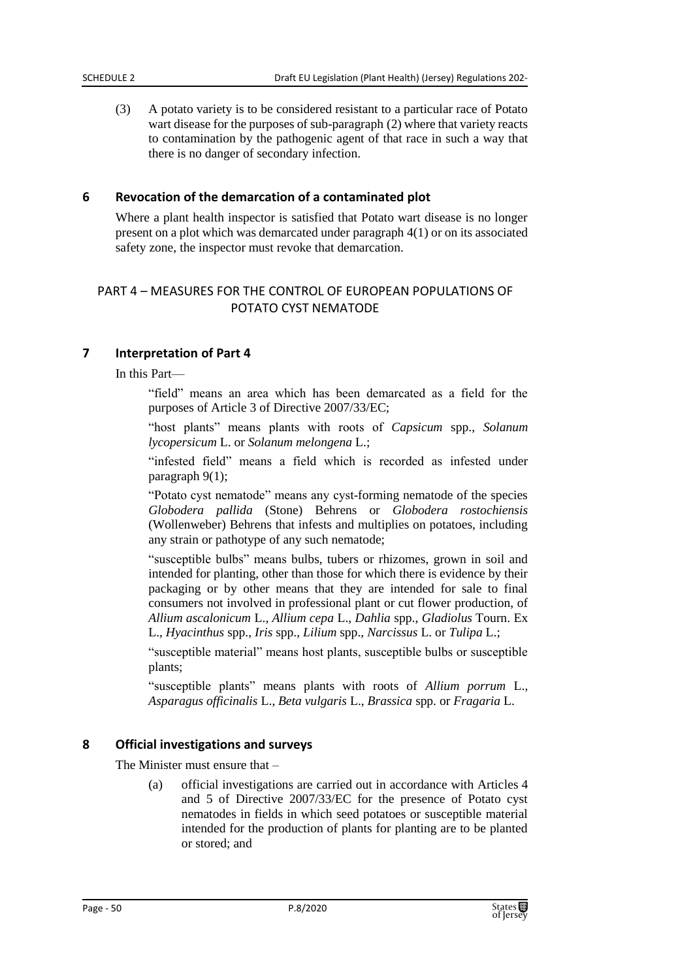(3) A potato variety is to be considered resistant to a particular race of Potato wart disease for the purposes of sub-paragraph (2) where that variety reacts to contamination by the pathogenic agent of that race in such a way that there is no danger of secondary infection.

#### **6 Revocation of the demarcation of a contaminated plot**

Where a plant health inspector is satisfied that Potato wart disease is no longer present on a plot which was demarcated under paragraph 4(1) or on its associated safety zone, the inspector must revoke that demarcation.

### PART 4 – MEASURES FOR THE CONTROL OF EUROPEAN POPULATIONS OF POTATO CYST NEMATODE

#### **7 Interpretation of Part 4**

In this Part—

"field" means an area which has been demarcated as a field for the purposes of Article 3 of Directive 2007/33/EC;

"host plants" means plants with roots of *Capsicum* spp., *Solanum lycopersicum* L. or *Solanum melongena* L.;

"infested field" means a field which is recorded as infested under paragraph 9(1);

"Potato cyst nematode" means any cyst-forming nematode of the species *Globodera pallida* (Stone) Behrens or *Globodera rostochiensis* (Wollenweber) Behrens that infests and multiplies on potatoes, including any strain or pathotype of any such nematode;

"susceptible bulbs" means bulbs, tubers or rhizomes, grown in soil and intended for planting, other than those for which there is evidence by their packaging or by other means that they are intended for sale to final consumers not involved in professional plant or cut flower production, of *Allium ascalonicum* L., *Allium cepa* L., *Dahlia* spp., *Gladiolus* Tourn. Ex L., *Hyacinthus* spp., *Iris* spp., *Lilium* spp., *Narcissus* L. or *Tulipa* L.;

"susceptible material" means host plants, susceptible bulbs or susceptible plants;

"susceptible plants" means plants with roots of *Allium porrum* L., *Asparagus officinalis* L., *Beta vulgaris* L., *Brassica* spp. or *Fragaria* L.

#### **8 Official investigations and surveys**

The Minister must ensure that –

(a) official investigations are carried out in accordance with Articles 4 and 5 of Directive 2007/33/EC for the presence of Potato cyst nematodes in fields in which seed potatoes or susceptible material intended for the production of plants for planting are to be planted or stored; and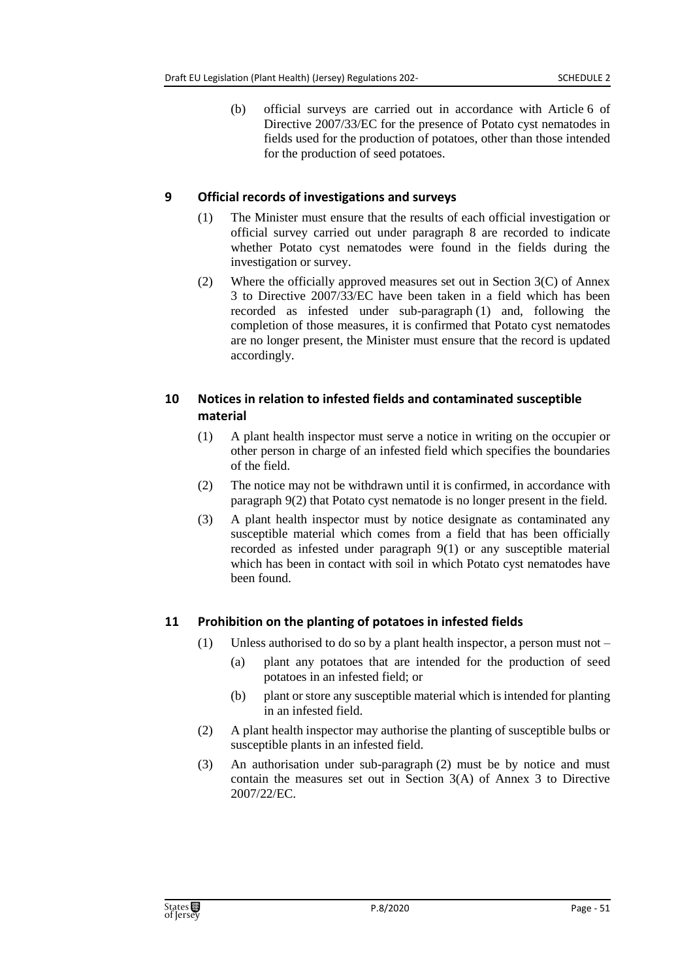(b) official surveys are carried out in accordance with Article 6 of Directive 2007/33/EC for the presence of Potato cyst nematodes in fields used for the production of potatoes, other than those intended for the production of seed potatoes.

### **9 Official records of investigations and surveys**

- (1) The Minister must ensure that the results of each official investigation or official survey carried out under paragraph 8 are recorded to indicate whether Potato cyst nematodes were found in the fields during the investigation or survey.
- (2) Where the officially approved measures set out in Section 3(C) of Annex 3 to Directive 2007/33/EC have been taken in a field which has been recorded as infested under sub-paragraph (1) and, following the completion of those measures, it is confirmed that Potato cyst nematodes are no longer present, the Minister must ensure that the record is updated accordingly.

# **10 Notices in relation to infested fields and contaminated susceptible material**

- (1) A plant health inspector must serve a notice in writing on the occupier or other person in charge of an infested field which specifies the boundaries of the field.
- (2) The notice may not be withdrawn until it is confirmed, in accordance with paragraph 9(2) that Potato cyst nematode is no longer present in the field.
- (3) A plant health inspector must by notice designate as contaminated any susceptible material which comes from a field that has been officially recorded as infested under paragraph 9(1) or any susceptible material which has been in contact with soil in which Potato cyst nematodes have been found.

## **11 Prohibition on the planting of potatoes in infested fields**

- (1) Unless authorised to do so by a plant health inspector, a person must not
	- (a) plant any potatoes that are intended for the production of seed potatoes in an infested field; or
	- (b) plant or store any susceptible material which is intended for planting in an infested field.
- (2) A plant health inspector may authorise the planting of susceptible bulbs or susceptible plants in an infested field.
- (3) An authorisation under sub-paragraph (2) must be by notice and must contain the measures set out in Section 3(A) of Annex 3 to Directive 2007/22/EC.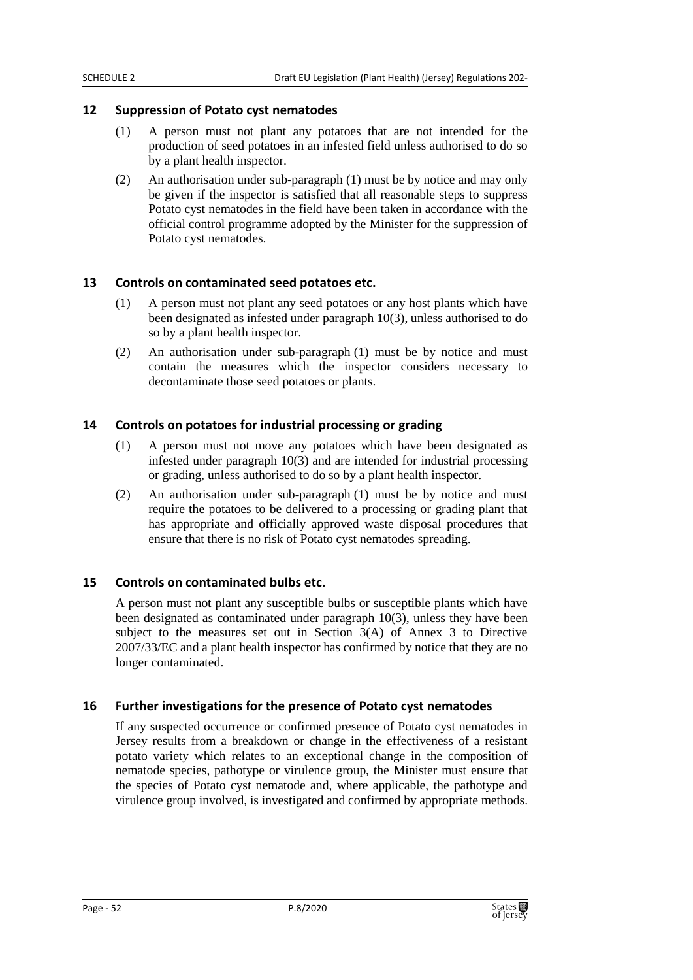#### **12 Suppression of Potato cyst nematodes**

- (1) A person must not plant any potatoes that are not intended for the production of seed potatoes in an infested field unless authorised to do so by a plant health inspector.
- (2) An authorisation under sub-paragraph (1) must be by notice and may only be given if the inspector is satisfied that all reasonable steps to suppress Potato cyst nematodes in the field have been taken in accordance with the official control programme adopted by the Minister for the suppression of Potato cyst nematodes.

#### **13 Controls on contaminated seed potatoes etc.**

- (1) A person must not plant any seed potatoes or any host plants which have been designated as infested under paragraph 10(3), unless authorised to do so by a plant health inspector.
- (2) An authorisation under sub-paragraph (1) must be by notice and must contain the measures which the inspector considers necessary to decontaminate those seed potatoes or plants.

#### **14 Controls on potatoes for industrial processing or grading**

- (1) A person must not move any potatoes which have been designated as infested under paragraph 10(3) and are intended for industrial processing or grading, unless authorised to do so by a plant health inspector.
- (2) An authorisation under sub-paragraph (1) must be by notice and must require the potatoes to be delivered to a processing or grading plant that has appropriate and officially approved waste disposal procedures that ensure that there is no risk of Potato cyst nematodes spreading.

#### **15 Controls on contaminated bulbs etc.**

A person must not plant any susceptible bulbs or susceptible plants which have been designated as contaminated under paragraph 10(3), unless they have been subject to the measures set out in Section  $3(A)$  of Annex 3 to Directive 2007/33/EC and a plant health inspector has confirmed by notice that they are no longer contaminated.

#### **16 Further investigations for the presence of Potato cyst nematodes**

If any suspected occurrence or confirmed presence of Potato cyst nematodes in Jersey results from a breakdown or change in the effectiveness of a resistant potato variety which relates to an exceptional change in the composition of nematode species, pathotype or virulence group, the Minister must ensure that the species of Potato cyst nematode and, where applicable, the pathotype and virulence group involved, is investigated and confirmed by appropriate methods.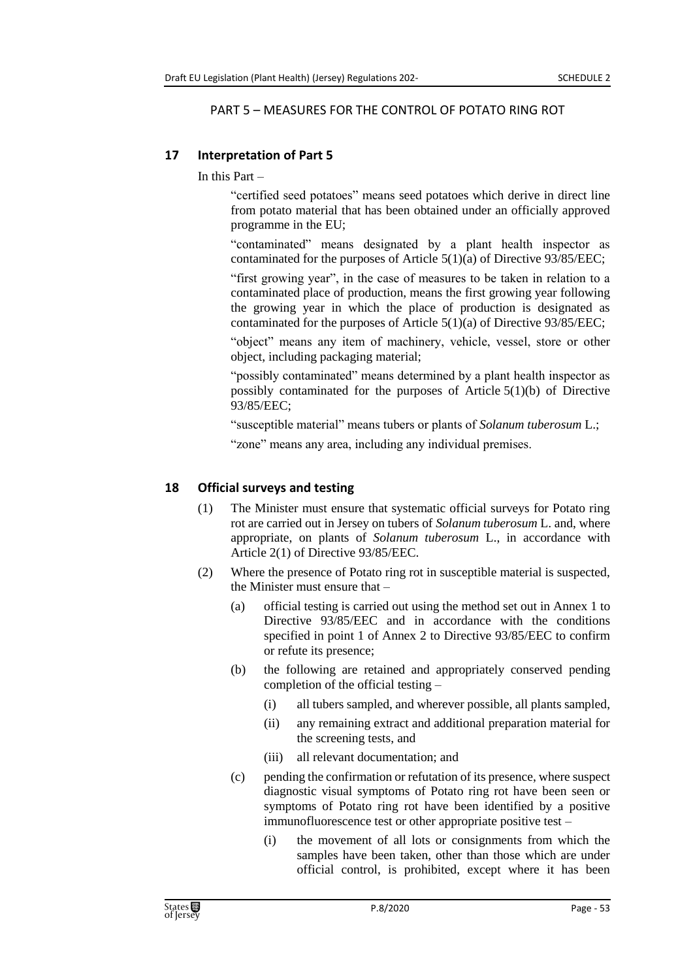#### PART 5 – MEASURES FOR THE CONTROL OF POTATO RING ROT

### **17 Interpretation of Part 5**

In this Part  $-$ 

"certified seed potatoes" means seed potatoes which derive in direct line from potato material that has been obtained under an officially approved programme in the EU;

"contaminated" means designated by a plant health inspector as contaminated for the purposes of Article 5(1)(a) of Directive 93/85/EEC;

"first growing year", in the case of measures to be taken in relation to a contaminated place of production, means the first growing year following the growing year in which the place of production is designated as contaminated for the purposes of Article 5(1)(a) of Directive 93/85/EEC;

"object" means any item of machinery, vehicle, vessel, store or other object, including packaging material;

"possibly contaminated" means determined by a plant health inspector as possibly contaminated for the purposes of Article 5(1)(b) of Directive 93/85/EEC;

"susceptible material" means tubers or plants of *Solanum tuberosum* L.;

"zone" means any area, including any individual premises.

### **18 Official surveys and testing**

- (1) The Minister must ensure that systematic official surveys for Potato ring rot are carried out in Jersey on tubers of *Solanum tuberosum* L. and, where appropriate, on plants of *Solanum tuberosum* L., in accordance with Article 2(1) of Directive 93/85/EEC.
- (2) Where the presence of Potato ring rot in susceptible material is suspected, the Minister must ensure that –
	- (a) official testing is carried out using the method set out in Annex 1 to Directive 93/85/EEC and in accordance with the conditions specified in point 1 of Annex 2 to Directive 93/85/EEC to confirm or refute its presence;
	- (b) the following are retained and appropriately conserved pending completion of the official testing –
		- (i) all tubers sampled, and wherever possible, all plants sampled,
		- (ii) any remaining extract and additional preparation material for the screening tests, and
		- (iii) all relevant documentation; and
	- (c) pending the confirmation or refutation of its presence, where suspect diagnostic visual symptoms of Potato ring rot have been seen or symptoms of Potato ring rot have been identified by a positive immunofluorescence test or other appropriate positive test –
		- (i) the movement of all lots or consignments from which the samples have been taken, other than those which are under official control, is prohibited, except where it has been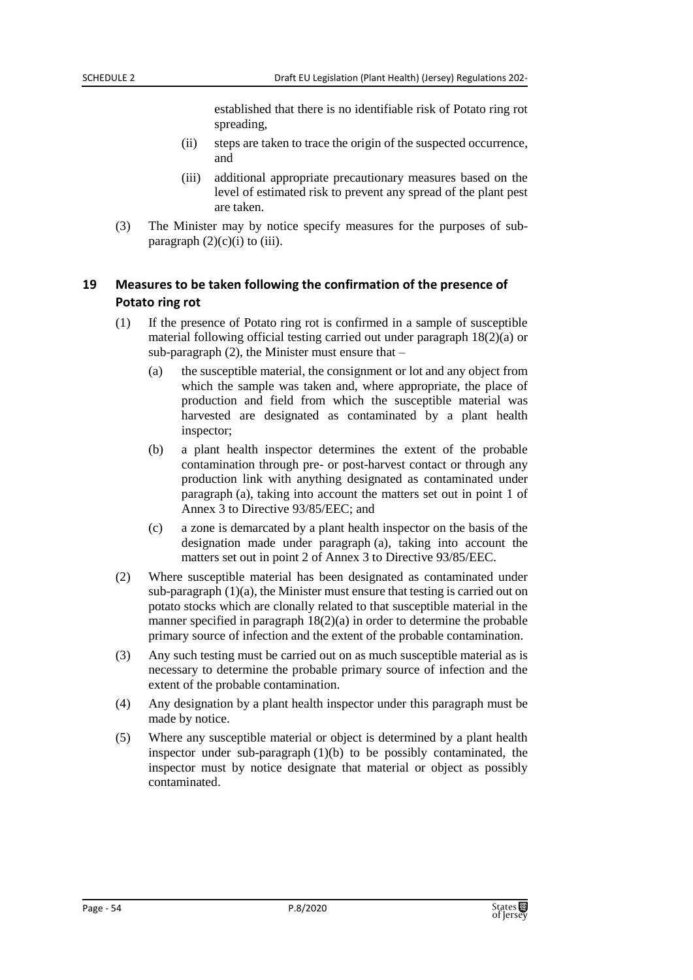established that there is no identifiable risk of Potato ring rot spreading,

- (ii) steps are taken to trace the origin of the suspected occurrence, and
- (iii) additional appropriate precautionary measures based on the level of estimated risk to prevent any spread of the plant pest are taken.
- (3) The Minister may by notice specify measures for the purposes of subparagraph  $(2)(c)(i)$  to (iii).

## **19 Measures to be taken following the confirmation of the presence of Potato ring rot**

- (1) If the presence of Potato ring rot is confirmed in a sample of susceptible material following official testing carried out under paragraph 18(2)(a) or sub-paragraph  $(2)$ , the Minister must ensure that  $-$ 
	- (a) the susceptible material, the consignment or lot and any object from which the sample was taken and, where appropriate, the place of production and field from which the susceptible material was harvested are designated as contaminated by a plant health inspector;
	- (b) a plant health inspector determines the extent of the probable contamination through pre- or post-harvest contact or through any production link with anything designated as contaminated under paragraph (a), taking into account the matters set out in point 1 of Annex 3 to Directive 93/85/EEC; and
	- (c) a zone is demarcated by a plant health inspector on the basis of the designation made under paragraph (a), taking into account the matters set out in point 2 of Annex 3 to Directive 93/85/EEC.
- (2) Where susceptible material has been designated as contaminated under sub-paragraph (1)(a), the Minister must ensure that testing is carried out on potato stocks which are clonally related to that susceptible material in the manner specified in paragraph 18(2)(a) in order to determine the probable primary source of infection and the extent of the probable contamination.
- (3) Any such testing must be carried out on as much susceptible material as is necessary to determine the probable primary source of infection and the extent of the probable contamination.
- (4) Any designation by a plant health inspector under this paragraph must be made by notice.
- (5) Where any susceptible material or object is determined by a plant health inspector under sub-paragraph  $(1)(b)$  to be possibly contaminated, the inspector must by notice designate that material or object as possibly contaminated.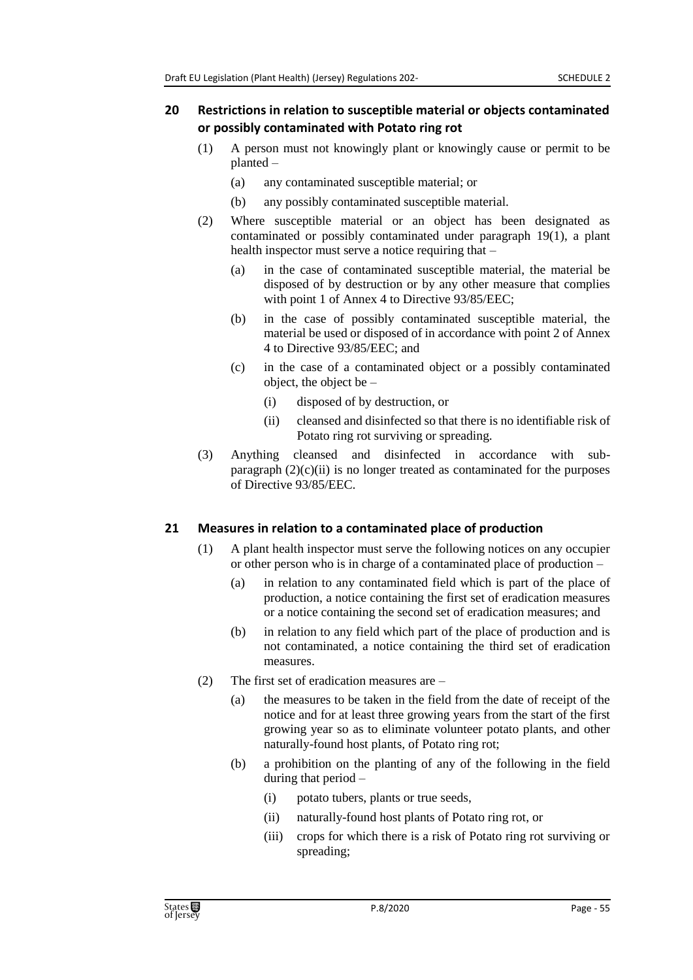### **20 Restrictions in relation to susceptible material or objects contaminated or possibly contaminated with Potato ring rot**

- (1) A person must not knowingly plant or knowingly cause or permit to be planted –
	- (a) any contaminated susceptible material; or
	- (b) any possibly contaminated susceptible material.
- (2) Where susceptible material or an object has been designated as contaminated or possibly contaminated under paragraph 19(1), a plant health inspector must serve a notice requiring that –
	- (a) in the case of contaminated susceptible material, the material be disposed of by destruction or by any other measure that complies with point 1 of Annex 4 to Directive 93/85/EEC;
	- (b) in the case of possibly contaminated susceptible material, the material be used or disposed of in accordance with point 2 of Annex 4 to Directive 93/85/EEC; and
	- (c) in the case of a contaminated object or a possibly contaminated object, the object be –
		- (i) disposed of by destruction, or
		- (ii) cleansed and disinfected so that there is no identifiable risk of Potato ring rot surviving or spreading.
- (3) Anything cleansed and disinfected in accordance with subparagraph  $(2)(c)(ii)$  is no longer treated as contaminated for the purposes of Directive 93/85/EEC.

## **21 Measures in relation to a contaminated place of production**

- (1) A plant health inspector must serve the following notices on any occupier or other person who is in charge of a contaminated place of production –
	- (a) in relation to any contaminated field which is part of the place of production, a notice containing the first set of eradication measures or a notice containing the second set of eradication measures; and
	- (b) in relation to any field which part of the place of production and is not contaminated, a notice containing the third set of eradication measures.
- (2) The first set of eradication measures are
	- (a) the measures to be taken in the field from the date of receipt of the notice and for at least three growing years from the start of the first growing year so as to eliminate volunteer potato plants, and other naturally-found host plants, of Potato ring rot;
	- (b) a prohibition on the planting of any of the following in the field during that period –
		- (i) potato tubers, plants or true seeds,
		- (ii) naturally-found host plants of Potato ring rot, or
		- (iii) crops for which there is a risk of Potato ring rot surviving or spreading;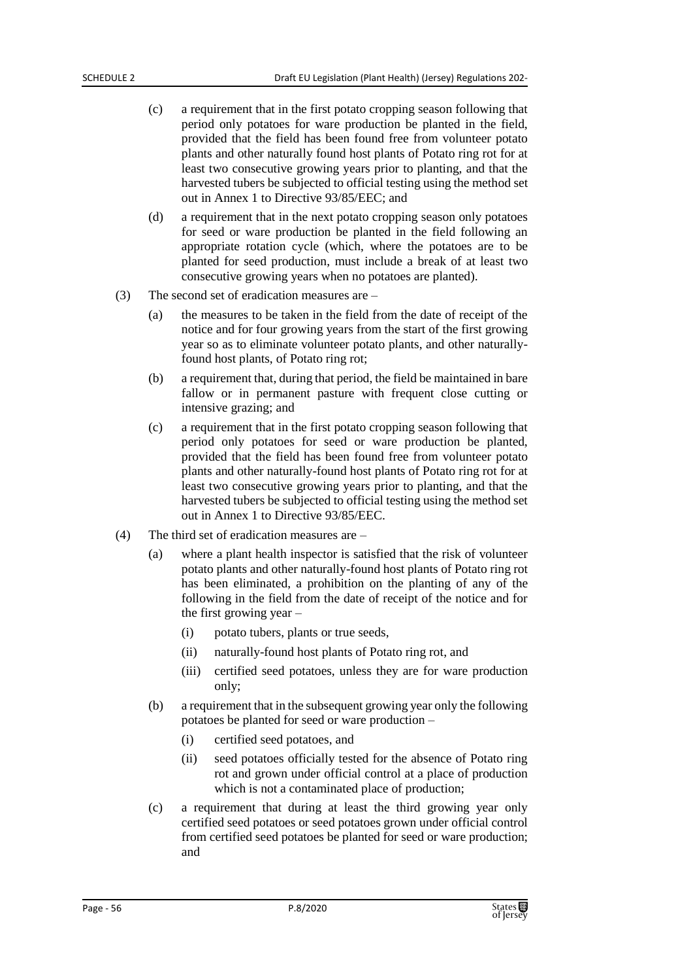- (c) a requirement that in the first potato cropping season following that period only potatoes for ware production be planted in the field, provided that the field has been found free from volunteer potato plants and other naturally found host plants of Potato ring rot for at least two consecutive growing years prior to planting, and that the harvested tubers be subjected to official testing using the method set out in Annex 1 to Directive 93/85/EEC; and
- (d) a requirement that in the next potato cropping season only potatoes for seed or ware production be planted in the field following an appropriate rotation cycle (which, where the potatoes are to be planted for seed production, must include a break of at least two consecutive growing years when no potatoes are planted).
- (3) The second set of eradication measures are
	- (a) the measures to be taken in the field from the date of receipt of the notice and for four growing years from the start of the first growing year so as to eliminate volunteer potato plants, and other naturallyfound host plants, of Potato ring rot;
	- (b) a requirement that, during that period, the field be maintained in bare fallow or in permanent pasture with frequent close cutting or intensive grazing; and
	- (c) a requirement that in the first potato cropping season following that period only potatoes for seed or ware production be planted, provided that the field has been found free from volunteer potato plants and other naturally-found host plants of Potato ring rot for at least two consecutive growing years prior to planting, and that the harvested tubers be subjected to official testing using the method set out in Annex 1 to Directive 93/85/EEC.
- (4) The third set of eradication measures are
	- (a) where a plant health inspector is satisfied that the risk of volunteer potato plants and other naturally-found host plants of Potato ring rot has been eliminated, a prohibition on the planting of any of the following in the field from the date of receipt of the notice and for the first growing year –
		- (i) potato tubers, plants or true seeds,
		- (ii) naturally-found host plants of Potato ring rot, and
		- (iii) certified seed potatoes, unless they are for ware production only;
	- (b) a requirement that in the subsequent growing year only the following potatoes be planted for seed or ware production –
		- (i) certified seed potatoes, and
		- (ii) seed potatoes officially tested for the absence of Potato ring rot and grown under official control at a place of production which is not a contaminated place of production;
	- (c) a requirement that during at least the third growing year only certified seed potatoes or seed potatoes grown under official control from certified seed potatoes be planted for seed or ware production; and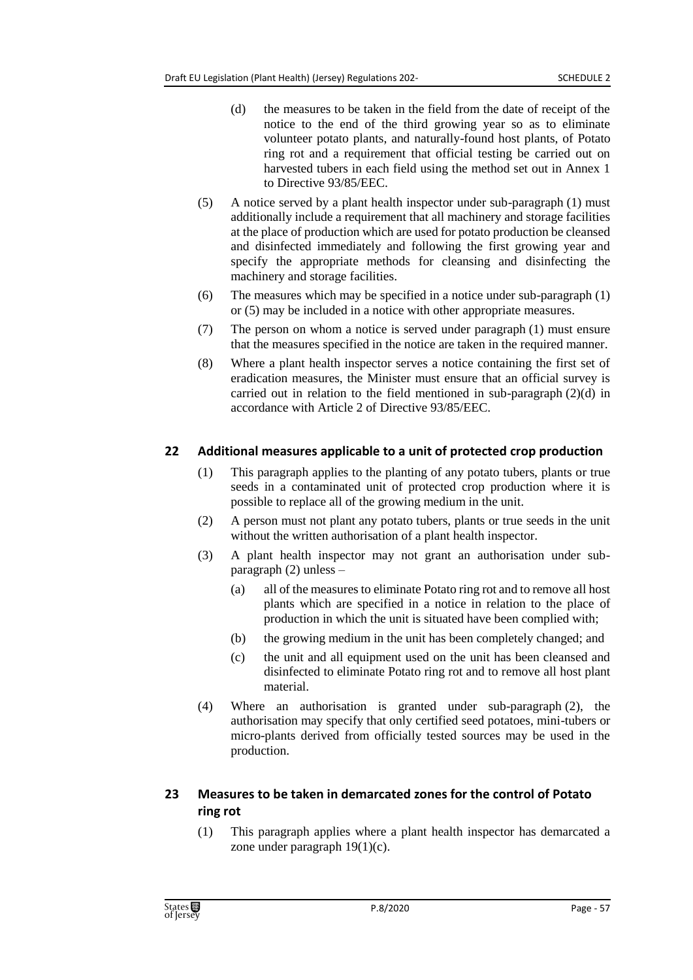- (d) the measures to be taken in the field from the date of receipt of the notice to the end of the third growing year so as to eliminate volunteer potato plants, and naturally-found host plants, of Potato ring rot and a requirement that official testing be carried out on harvested tubers in each field using the method set out in Annex 1 to Directive 93/85/EEC.
- (5) A notice served by a plant health inspector under sub-paragraph (1) must additionally include a requirement that all machinery and storage facilities at the place of production which are used for potato production be cleansed and disinfected immediately and following the first growing year and specify the appropriate methods for cleansing and disinfecting the machinery and storage facilities.
- (6) The measures which may be specified in a notice under sub-paragraph (1) or (5) may be included in a notice with other appropriate measures.
- (7) The person on whom a notice is served under paragraph (1) must ensure that the measures specified in the notice are taken in the required manner.
- (8) Where a plant health inspector serves a notice containing the first set of eradication measures, the Minister must ensure that an official survey is carried out in relation to the field mentioned in sub-paragraph (2)(d) in accordance with Article 2 of Directive 93/85/EEC.

### **22 Additional measures applicable to a unit of protected crop production**

- (1) This paragraph applies to the planting of any potato tubers, plants or true seeds in a contaminated unit of protected crop production where it is possible to replace all of the growing medium in the unit.
- (2) A person must not plant any potato tubers, plants or true seeds in the unit without the written authorisation of a plant health inspector.
- (3) A plant health inspector may not grant an authorisation under subparagraph (2) unless –
	- (a) all of the measures to eliminate Potato ring rot and to remove all host plants which are specified in a notice in relation to the place of production in which the unit is situated have been complied with;
	- (b) the growing medium in the unit has been completely changed; and
	- (c) the unit and all equipment used on the unit has been cleansed and disinfected to eliminate Potato ring rot and to remove all host plant material.
- (4) Where an authorisation is granted under sub-paragraph (2), the authorisation may specify that only certified seed potatoes, mini-tubers or micro-plants derived from officially tested sources may be used in the production.

## **23 Measures to be taken in demarcated zones for the control of Potato ring rot**

(1) This paragraph applies where a plant health inspector has demarcated a zone under paragraph 19(1)(c).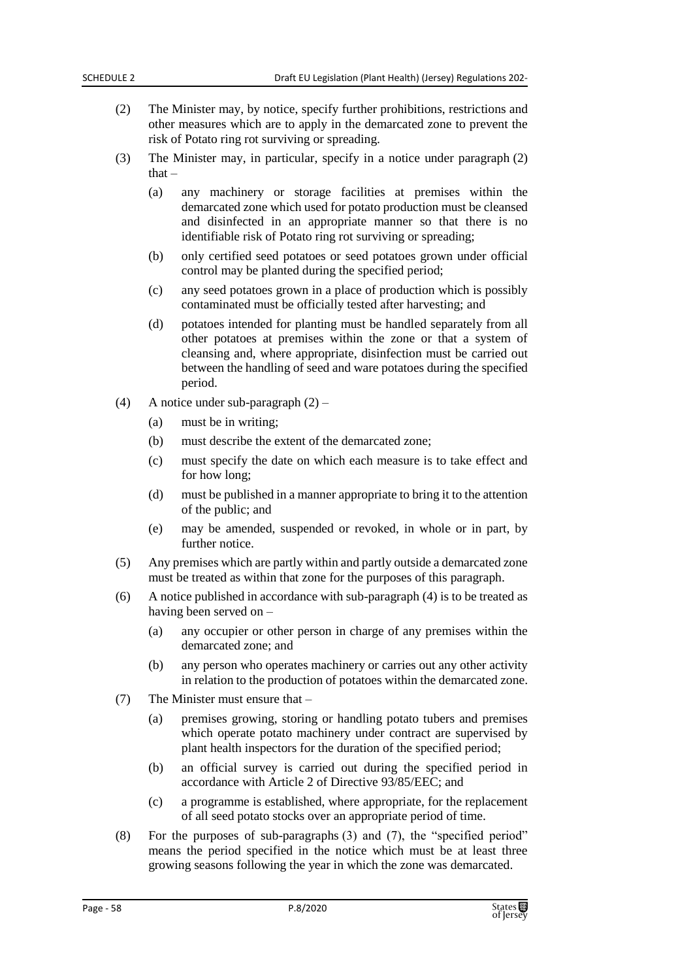- (2) The Minister may, by notice, specify further prohibitions, restrictions and other measures which are to apply in the demarcated zone to prevent the risk of Potato ring rot surviving or spreading.
- (3) The Minister may, in particular, specify in a notice under paragraph (2) that $-$ 
	- (a) any machinery or storage facilities at premises within the demarcated zone which used for potato production must be cleansed and disinfected in an appropriate manner so that there is no identifiable risk of Potato ring rot surviving or spreading;
	- (b) only certified seed potatoes or seed potatoes grown under official control may be planted during the specified period;
	- (c) any seed potatoes grown in a place of production which is possibly contaminated must be officially tested after harvesting; and
	- (d) potatoes intended for planting must be handled separately from all other potatoes at premises within the zone or that a system of cleansing and, where appropriate, disinfection must be carried out between the handling of seed and ware potatoes during the specified period.
- (4) A notice under sub-paragraph (2)
	- (a) must be in writing;
	- (b) must describe the extent of the demarcated zone;
	- (c) must specify the date on which each measure is to take effect and for how long;
	- (d) must be published in a manner appropriate to bring it to the attention of the public; and
	- (e) may be amended, suspended or revoked, in whole or in part, by further notice.
- (5) Any premises which are partly within and partly outside a demarcated zone must be treated as within that zone for the purposes of this paragraph.
- (6) A notice published in accordance with sub-paragraph (4) is to be treated as having been served on –
	- (a) any occupier or other person in charge of any premises within the demarcated zone; and
	- (b) any person who operates machinery or carries out any other activity in relation to the production of potatoes within the demarcated zone.
- (7) The Minister must ensure that
	- (a) premises growing, storing or handling potato tubers and premises which operate potato machinery under contract are supervised by plant health inspectors for the duration of the specified period;
	- (b) an official survey is carried out during the specified period in accordance with Article 2 of Directive 93/85/EEC; and
	- (c) a programme is established, where appropriate, for the replacement of all seed potato stocks over an appropriate period of time.
- (8) For the purposes of sub-paragraphs (3) and (7), the "specified period" means the period specified in the notice which must be at least three growing seasons following the year in which the zone was demarcated.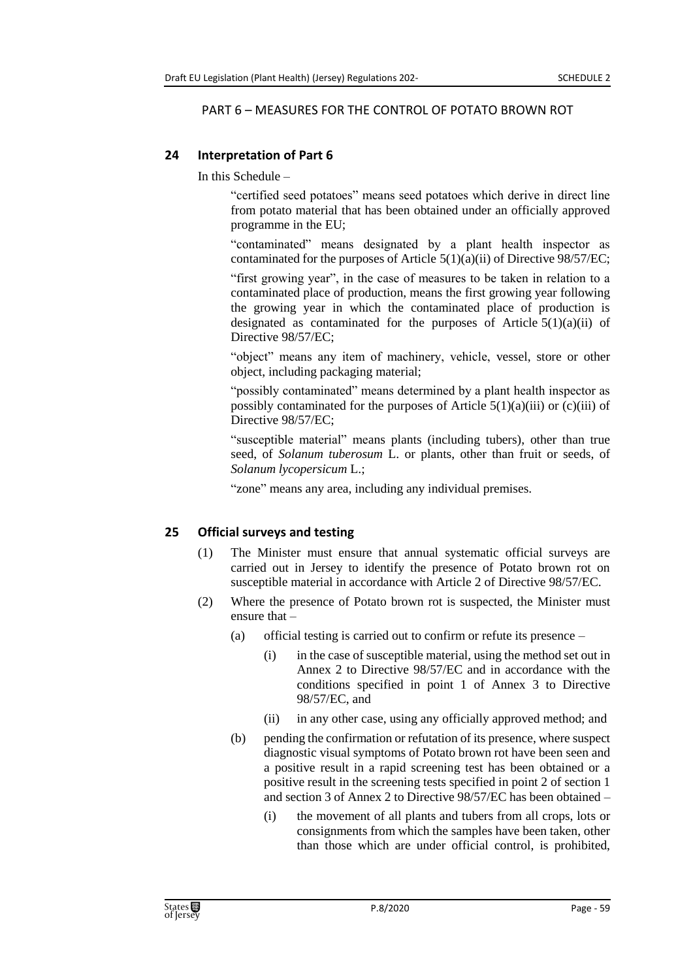#### PART 6 – MEASURES FOR THE CONTROL OF POTATO BROWN ROT

### **24 Interpretation of Part 6**

In this Schedule –

"certified seed potatoes" means seed potatoes which derive in direct line from potato material that has been obtained under an officially approved programme in the EU;

"contaminated" means designated by a plant health inspector as contaminated for the purposes of Article 5(1)(a)(ii) of Directive 98/57/EC;

"first growing year", in the case of measures to be taken in relation to a contaminated place of production, means the first growing year following the growing year in which the contaminated place of production is designated as contaminated for the purposes of Article  $5(1)(a)(ii)$  of Directive 98/57/EC;

"object" means any item of machinery, vehicle, vessel, store or other object, including packaging material;

"possibly contaminated" means determined by a plant health inspector as possibly contaminated for the purposes of Article  $5(1)(a)(iii)$  or  $(c)(iii)$  of Directive 98/57/EC;

"susceptible material" means plants (including tubers), other than true seed, of *Solanum tuberosum* L. or plants, other than fruit or seeds, of *Solanum lycopersicum* L.;

"zone" means any area, including any individual premises.

## **25 Official surveys and testing**

- (1) The Minister must ensure that annual systematic official surveys are carried out in Jersey to identify the presence of Potato brown rot on susceptible material in accordance with Article 2 of Directive 98/57/EC.
- (2) Where the presence of Potato brown rot is suspected, the Minister must ensure that –
	- (a) official testing is carried out to confirm or refute its presence
		- (i) in the case of susceptible material, using the method set out in Annex 2 to Directive 98/57/EC and in accordance with the conditions specified in point 1 of Annex 3 to Directive 98/57/EC, and
		- (ii) in any other case, using any officially approved method; and
	- (b) pending the confirmation or refutation of its presence, where suspect diagnostic visual symptoms of Potato brown rot have been seen and a positive result in a rapid screening test has been obtained or a positive result in the screening tests specified in point 2 of section 1 and section 3 of Annex 2 to Directive 98/57/EC has been obtained –
		- (i) the movement of all plants and tubers from all crops, lots or consignments from which the samples have been taken, other than those which are under official control, is prohibited,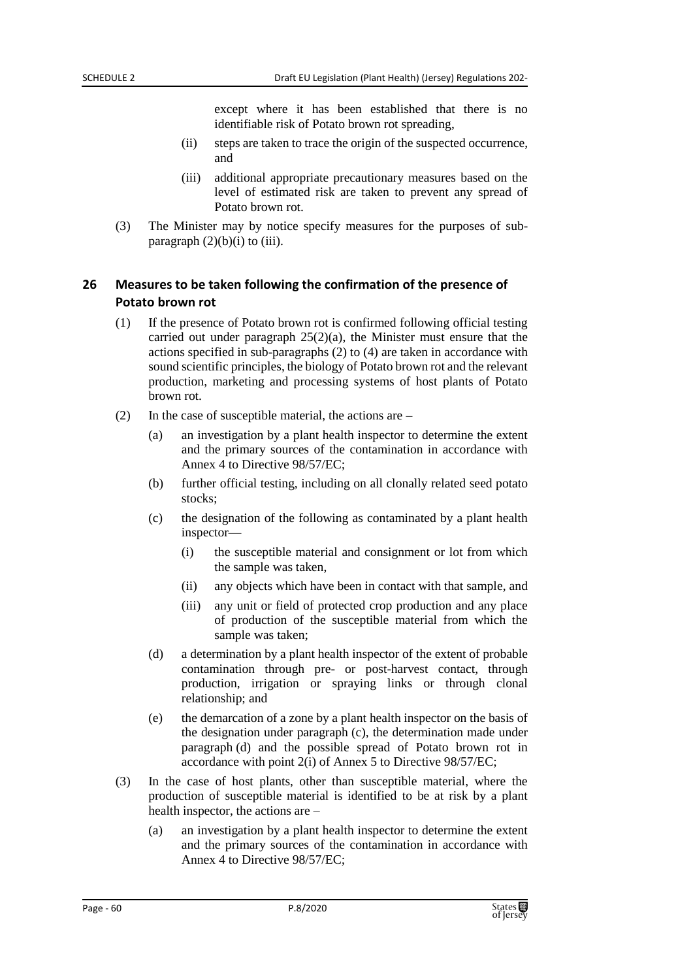except where it has been established that there is no identifiable risk of Potato brown rot spreading,

- (ii) steps are taken to trace the origin of the suspected occurrence, and
- (iii) additional appropriate precautionary measures based on the level of estimated risk are taken to prevent any spread of Potato brown rot.
- (3) The Minister may by notice specify measures for the purposes of subparagraph  $(2)(b)(i)$  to  $(iii)$ .

## **26 Measures to be taken following the confirmation of the presence of Potato brown rot**

- (1) If the presence of Potato brown rot is confirmed following official testing carried out under paragraph 25(2)(a), the Minister must ensure that the actions specified in sub-paragraphs (2) to (4) are taken in accordance with sound scientific principles, the biology of Potato brown rot and the relevant production, marketing and processing systems of host plants of Potato brown rot.
- (2) In the case of susceptible material, the actions are
	- (a) an investigation by a plant health inspector to determine the extent and the primary sources of the contamination in accordance with Annex 4 to Directive 98/57/EC;
	- (b) further official testing, including on all clonally related seed potato stocks;
	- (c) the designation of the following as contaminated by a plant health inspector—
		- (i) the susceptible material and consignment or lot from which the sample was taken,
		- (ii) any objects which have been in contact with that sample, and
		- (iii) any unit or field of protected crop production and any place of production of the susceptible material from which the sample was taken;
	- (d) a determination by a plant health inspector of the extent of probable contamination through pre- or post-harvest contact, through production, irrigation or spraying links or through clonal relationship; and
	- (e) the demarcation of a zone by a plant health inspector on the basis of the designation under paragraph (c), the determination made under paragraph (d) and the possible spread of Potato brown rot in accordance with point 2(i) of Annex 5 to Directive 98/57/EC;
- (3) In the case of host plants, other than susceptible material, where the production of susceptible material is identified to be at risk by a plant health inspector, the actions are –
	- (a) an investigation by a plant health inspector to determine the extent and the primary sources of the contamination in accordance with Annex 4 to Directive 98/57/EC;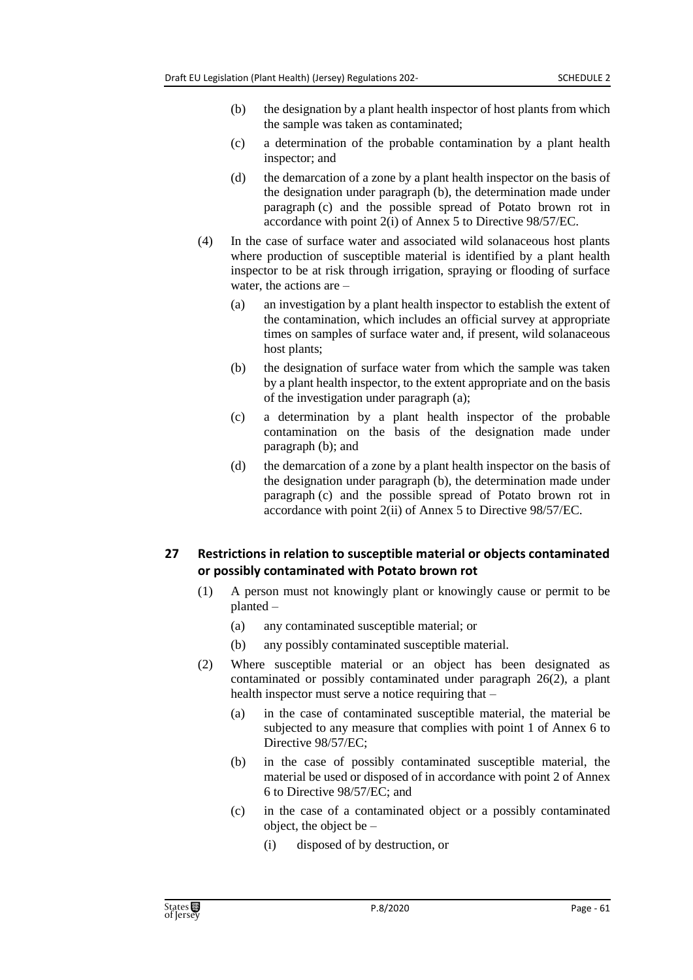- (b) the designation by a plant health inspector of host plants from which the sample was taken as contaminated;
- (c) a determination of the probable contamination by a plant health inspector; and
- (d) the demarcation of a zone by a plant health inspector on the basis of the designation under paragraph (b), the determination made under paragraph (c) and the possible spread of Potato brown rot in accordance with point 2(i) of Annex 5 to Directive 98/57/EC.
- (4) In the case of surface water and associated wild solanaceous host plants where production of susceptible material is identified by a plant health inspector to be at risk through irrigation, spraying or flooding of surface water, the actions are –
	- (a) an investigation by a plant health inspector to establish the extent of the contamination, which includes an official survey at appropriate times on samples of surface water and, if present, wild solanaceous host plants;
	- (b) the designation of surface water from which the sample was taken by a plant health inspector, to the extent appropriate and on the basis of the investigation under paragraph (a);
	- (c) a determination by a plant health inspector of the probable contamination on the basis of the designation made under paragraph (b); and
	- (d) the demarcation of a zone by a plant health inspector on the basis of the designation under paragraph (b), the determination made under paragraph (c) and the possible spread of Potato brown rot in accordance with point 2(ii) of Annex 5 to Directive 98/57/EC.

### **27 Restrictions in relation to susceptible material or objects contaminated or possibly contaminated with Potato brown rot**

- (1) A person must not knowingly plant or knowingly cause or permit to be planted –
	- (a) any contaminated susceptible material; or
	- (b) any possibly contaminated susceptible material.
- (2) Where susceptible material or an object has been designated as contaminated or possibly contaminated under paragraph 26(2), a plant health inspector must serve a notice requiring that –
	- (a) in the case of contaminated susceptible material, the material be subjected to any measure that complies with point 1 of Annex 6 to Directive 98/57/EC;
	- (b) in the case of possibly contaminated susceptible material, the material be used or disposed of in accordance with point 2 of Annex 6 to Directive 98/57/EC; and
	- (c) in the case of a contaminated object or a possibly contaminated object, the object be –
		- (i) disposed of by destruction, or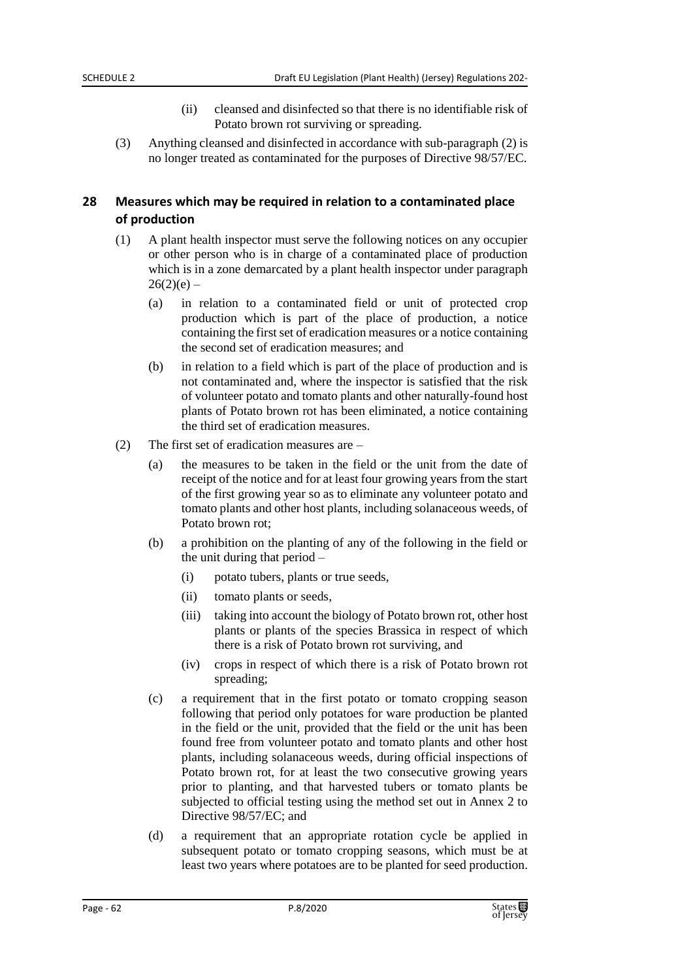- (ii) cleansed and disinfected so that there is no identifiable risk of Potato brown rot surviving or spreading.
- (3) Anything cleansed and disinfected in accordance with sub-paragraph (2) is no longer treated as contaminated for the purposes of Directive 98/57/EC.

### **28 Measures which may be required in relation to a contaminated place of production**

- (1) A plant health inspector must serve the following notices on any occupier or other person who is in charge of a contaminated place of production which is in a zone demarcated by a plant health inspector under paragraph  $26(2)(e)$  –
	- (a) in relation to a contaminated field or unit of protected crop production which is part of the place of production, a notice containing the first set of eradication measures or a notice containing the second set of eradication measures; and
	- (b) in relation to a field which is part of the place of production and is not contaminated and, where the inspector is satisfied that the risk of volunteer potato and tomato plants and other naturally-found host plants of Potato brown rot has been eliminated, a notice containing the third set of eradication measures.
- (2) The first set of eradication measures are
	- (a) the measures to be taken in the field or the unit from the date of receipt of the notice and for at least four growing years from the start of the first growing year so as to eliminate any volunteer potato and tomato plants and other host plants, including solanaceous weeds, of Potato brown rot;
	- (b) a prohibition on the planting of any of the following in the field or the unit during that period –
		- (i) potato tubers, plants or true seeds,
		- (ii) tomato plants or seeds,
		- (iii) taking into account the biology of Potato brown rot, other host plants or plants of the species Brassica in respect of which there is a risk of Potato brown rot surviving, and
		- (iv) crops in respect of which there is a risk of Potato brown rot spreading;
	- (c) a requirement that in the first potato or tomato cropping season following that period only potatoes for ware production be planted in the field or the unit, provided that the field or the unit has been found free from volunteer potato and tomato plants and other host plants, including solanaceous weeds, during official inspections of Potato brown rot, for at least the two consecutive growing years prior to planting, and that harvested tubers or tomato plants be subjected to official testing using the method set out in Annex 2 to Directive 98/57/EC; and
	- (d) a requirement that an appropriate rotation cycle be applied in subsequent potato or tomato cropping seasons, which must be at least two years where potatoes are to be planted for seed production.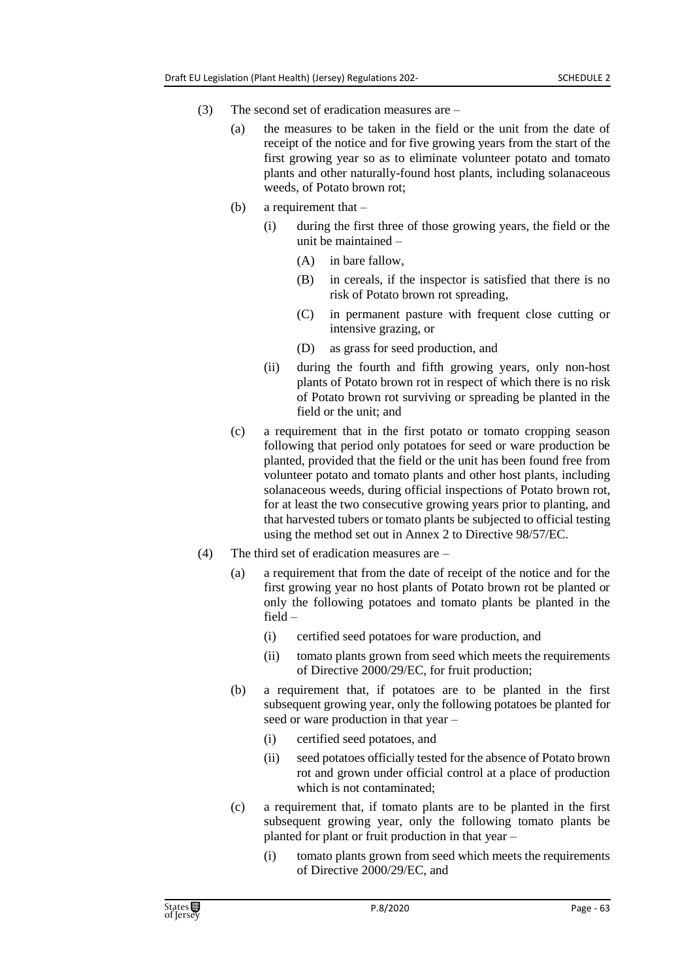- (3) The second set of eradication measures are
	- (a) the measures to be taken in the field or the unit from the date of receipt of the notice and for five growing years from the start of the first growing year so as to eliminate volunteer potato and tomato plants and other naturally-found host plants, including solanaceous weeds, of Potato brown rot;
	- (b) a requirement that
		- (i) during the first three of those growing years, the field or the unit be maintained –
			- (A) in bare fallow,
			- (B) in cereals, if the inspector is satisfied that there is no risk of Potato brown rot spreading,
			- (C) in permanent pasture with frequent close cutting or intensive grazing, or
			- (D) as grass for seed production, and
		- (ii) during the fourth and fifth growing years, only non-host plants of Potato brown rot in respect of which there is no risk of Potato brown rot surviving or spreading be planted in the field or the unit; and
	- (c) a requirement that in the first potato or tomato cropping season following that period only potatoes for seed or ware production be planted, provided that the field or the unit has been found free from volunteer potato and tomato plants and other host plants, including solanaceous weeds, during official inspections of Potato brown rot, for at least the two consecutive growing years prior to planting, and that harvested tubers or tomato plants be subjected to official testing using the method set out in Annex 2 to Directive 98/57/EC.
- (4) The third set of eradication measures are
	- (a) a requirement that from the date of receipt of the notice and for the first growing year no host plants of Potato brown rot be planted or only the following potatoes and tomato plants be planted in the field –
		- (i) certified seed potatoes for ware production, and
		- (ii) tomato plants grown from seed which meets the requirements of Directive 2000/29/EC, for fruit production;
	- (b) a requirement that, if potatoes are to be planted in the first subsequent growing year, only the following potatoes be planted for seed or ware production in that year –
		- (i) certified seed potatoes, and
		- (ii) seed potatoes officially tested for the absence of Potato brown rot and grown under official control at a place of production which is not contaminated;
	- (c) a requirement that, if tomato plants are to be planted in the first subsequent growing year, only the following tomato plants be planted for plant or fruit production in that year –
		- (i) tomato plants grown from seed which meets the requirements of Directive 2000/29/EC, and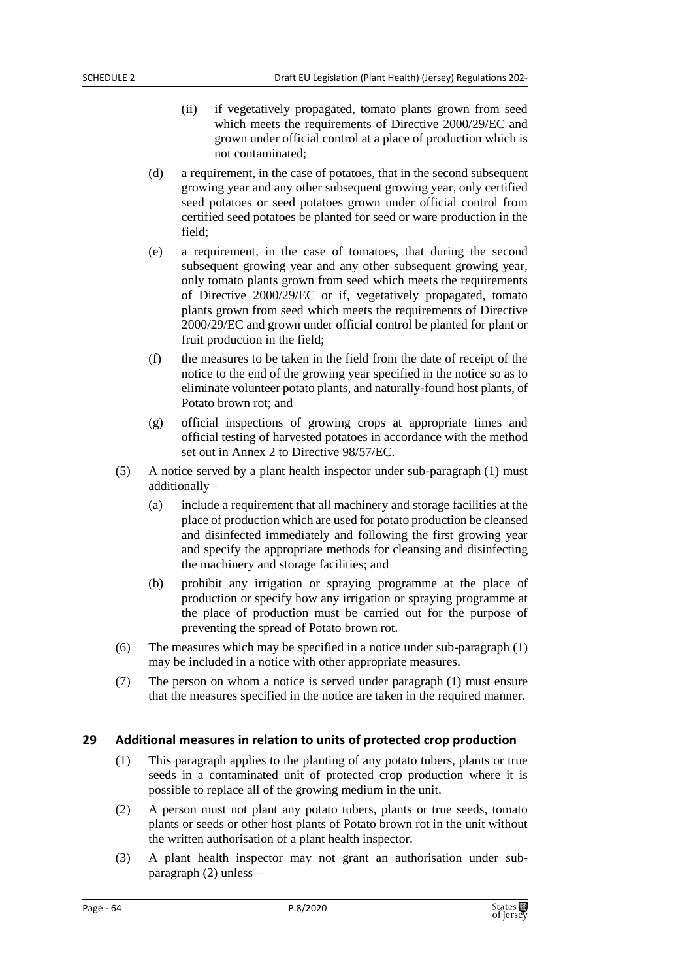- (ii) if vegetatively propagated, tomato plants grown from seed which meets the requirements of Directive 2000/29/EC and grown under official control at a place of production which is not contaminated;
- (d) a requirement, in the case of potatoes, that in the second subsequent growing year and any other subsequent growing year, only certified seed potatoes or seed potatoes grown under official control from certified seed potatoes be planted for seed or ware production in the field;
- (e) a requirement, in the case of tomatoes, that during the second subsequent growing year and any other subsequent growing year, only tomato plants grown from seed which meets the requirements of Directive 2000/29/EC or if, vegetatively propagated, tomato plants grown from seed which meets the requirements of Directive 2000/29/EC and grown under official control be planted for plant or fruit production in the field;
- (f) the measures to be taken in the field from the date of receipt of the notice to the end of the growing year specified in the notice so as to eliminate volunteer potato plants, and naturally-found host plants, of Potato brown rot; and
- (g) official inspections of growing crops at appropriate times and official testing of harvested potatoes in accordance with the method set out in Annex 2 to Directive 98/57/EC.
- (5) A notice served by a plant health inspector under sub-paragraph (1) must additionally –
	- (a) include a requirement that all machinery and storage facilities at the place of production which are used for potato production be cleansed and disinfected immediately and following the first growing year and specify the appropriate methods for cleansing and disinfecting the machinery and storage facilities; and
	- (b) prohibit any irrigation or spraying programme at the place of production or specify how any irrigation or spraying programme at the place of production must be carried out for the purpose of preventing the spread of Potato brown rot.
- (6) The measures which may be specified in a notice under sub-paragraph (1) may be included in a notice with other appropriate measures.
- (7) The person on whom a notice is served under paragraph (1) must ensure that the measures specified in the notice are taken in the required manner.

#### **29 Additional measures in relation to units of protected crop production**

- (1) This paragraph applies to the planting of any potato tubers, plants or true seeds in a contaminated unit of protected crop production where it is possible to replace all of the growing medium in the unit.
- (2) A person must not plant any potato tubers, plants or true seeds, tomato plants or seeds or other host plants of Potato brown rot in the unit without the written authorisation of a plant health inspector.
- (3) A plant health inspector may not grant an authorisation under subparagraph (2) unless –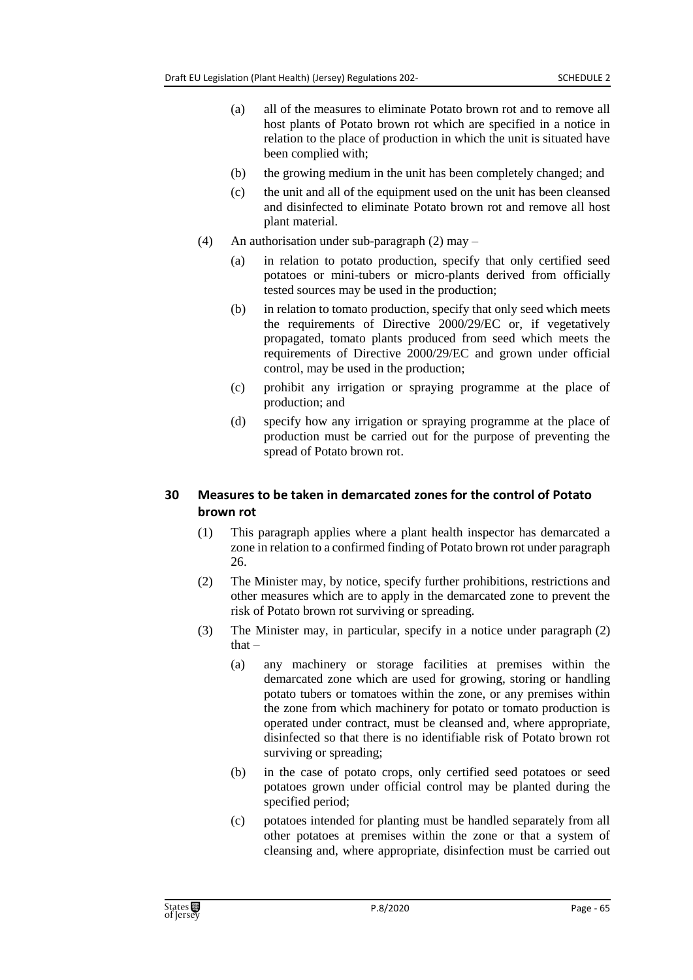- (a) all of the measures to eliminate Potato brown rot and to remove all host plants of Potato brown rot which are specified in a notice in relation to the place of production in which the unit is situated have been complied with;
- (b) the growing medium in the unit has been completely changed; and
- (c) the unit and all of the equipment used on the unit has been cleansed and disinfected to eliminate Potato brown rot and remove all host plant material.
- (4) An authorisation under sub-paragraph (2) may
	- (a) in relation to potato production, specify that only certified seed potatoes or mini-tubers or micro-plants derived from officially tested sources may be used in the production;
	- (b) in relation to tomato production, specify that only seed which meets the requirements of Directive 2000/29/EC or, if vegetatively propagated, tomato plants produced from seed which meets the requirements of Directive 2000/29/EC and grown under official control, may be used in the production;
	- (c) prohibit any irrigation or spraying programme at the place of production; and
	- (d) specify how any irrigation or spraying programme at the place of production must be carried out for the purpose of preventing the spread of Potato brown rot.

# **30 Measures to be taken in demarcated zones for the control of Potato brown rot**

- (1) This paragraph applies where a plant health inspector has demarcated a zone in relation to a confirmed finding of Potato brown rot under paragraph 26.
- (2) The Minister may, by notice, specify further prohibitions, restrictions and other measures which are to apply in the demarcated zone to prevent the risk of Potato brown rot surviving or spreading.
- (3) The Minister may, in particular, specify in a notice under paragraph (2) that –
	- (a) any machinery or storage facilities at premises within the demarcated zone which are used for growing, storing or handling potato tubers or tomatoes within the zone, or any premises within the zone from which machinery for potato or tomato production is operated under contract, must be cleansed and, where appropriate, disinfected so that there is no identifiable risk of Potato brown rot surviving or spreading;
	- (b) in the case of potato crops, only certified seed potatoes or seed potatoes grown under official control may be planted during the specified period;
	- (c) potatoes intended for planting must be handled separately from all other potatoes at premises within the zone or that a system of cleansing and, where appropriate, disinfection must be carried out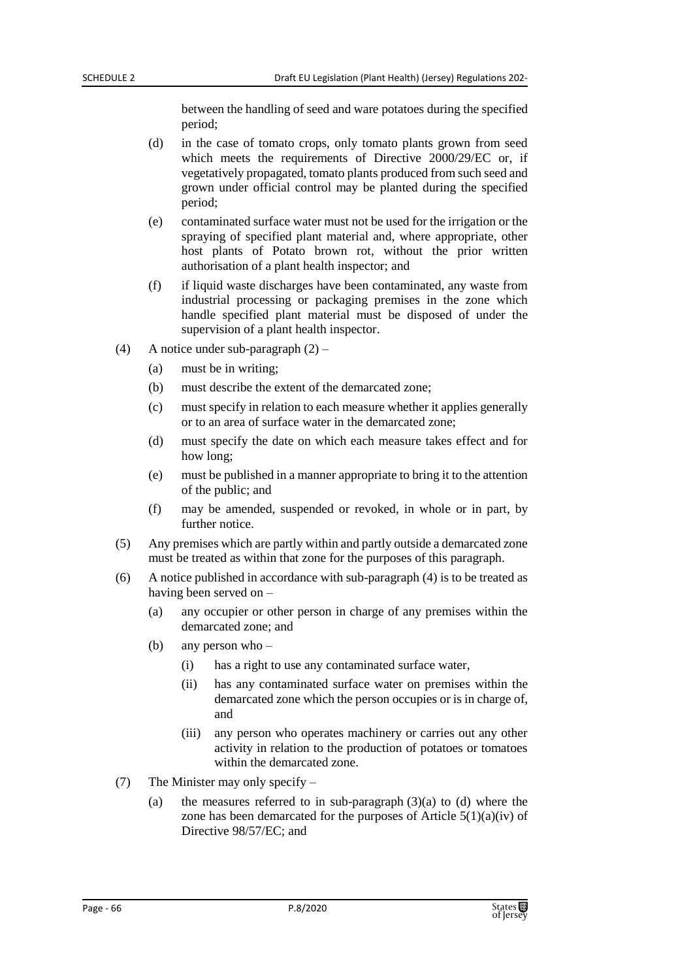between the handling of seed and ware potatoes during the specified period;

- (d) in the case of tomato crops, only tomato plants grown from seed which meets the requirements of Directive 2000/29/EC or, if vegetatively propagated, tomato plants produced from such seed and grown under official control may be planted during the specified period;
- (e) contaminated surface water must not be used for the irrigation or the spraying of specified plant material and, where appropriate, other host plants of Potato brown rot, without the prior written authorisation of a plant health inspector; and
- (f) if liquid waste discharges have been contaminated, any waste from industrial processing or packaging premises in the zone which handle specified plant material must be disposed of under the supervision of a plant health inspector.
- (4) A notice under sub-paragraph (2)
	- (a) must be in writing;
	- (b) must describe the extent of the demarcated zone;
	- (c) must specify in relation to each measure whether it applies generally or to an area of surface water in the demarcated zone;
	- (d) must specify the date on which each measure takes effect and for how long;
	- (e) must be published in a manner appropriate to bring it to the attention of the public; and
	- (f) may be amended, suspended or revoked, in whole or in part, by further notice.
- (5) Any premises which are partly within and partly outside a demarcated zone must be treated as within that zone for the purposes of this paragraph.
- (6) A notice published in accordance with sub-paragraph (4) is to be treated as having been served on –
	- (a) any occupier or other person in charge of any premises within the demarcated zone; and
	- (b) any person who
		- (i) has a right to use any contaminated surface water,
		- (ii) has any contaminated surface water on premises within the demarcated zone which the person occupies or is in charge of, and
		- (iii) any person who operates machinery or carries out any other activity in relation to the production of potatoes or tomatoes within the demarcated zone.
- (7) The Minister may only specify
	- (a) the measures referred to in sub-paragraph  $(3)(a)$  to  $(d)$  where the zone has been demarcated for the purposes of Article  $5(1)(a)(iv)$  of Directive 98/57/EC; and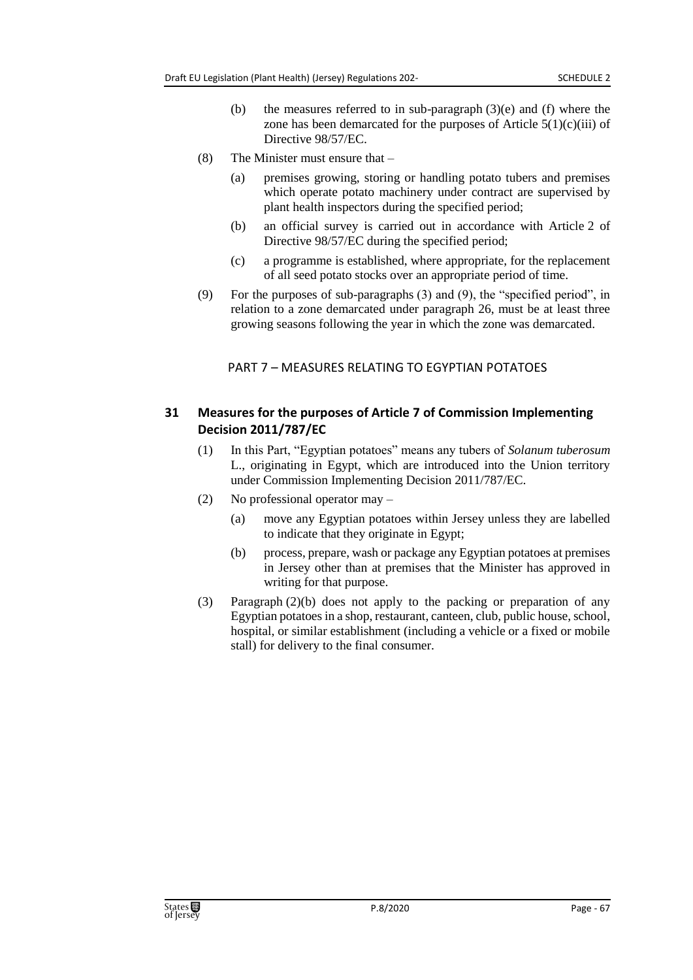- (b) the measures referred to in sub-paragraph  $(3)(e)$  and  $(f)$  where the zone has been demarcated for the purposes of Article  $5(1)(c)(iii)$  of Directive 98/57/EC.
- (8) The Minister must ensure that
	- (a) premises growing, storing or handling potato tubers and premises which operate potato machinery under contract are supervised by plant health inspectors during the specified period;
	- (b) an official survey is carried out in accordance with Article 2 of Directive 98/57/EC during the specified period;
	- (c) a programme is established, where appropriate, for the replacement of all seed potato stocks over an appropriate period of time.
- (9) For the purposes of sub-paragraphs (3) and (9), the "specified period", in relation to a zone demarcated under paragraph 26, must be at least three growing seasons following the year in which the zone was demarcated.

### PART 7 – MEASURES RELATING TO EGYPTIAN POTATOES

# **31 Measures for the purposes of Article 7 of Commission Implementing Decision 2011/787/EC**

- (1) In this Part, "Egyptian potatoes" means any tubers of *Solanum tuberosum* L., originating in Egypt, which are introduced into the Union territory under Commission Implementing Decision 2011/787/EC.
- (2) No professional operator may
	- (a) move any Egyptian potatoes within Jersey unless they are labelled to indicate that they originate in Egypt;
	- (b) process, prepare, wash or package any Egyptian potatoes at premises in Jersey other than at premises that the Minister has approved in writing for that purpose.
- (3) Paragraph (2)(b) does not apply to the packing or preparation of any Egyptian potatoes in a shop, restaurant, canteen, club, public house, school, hospital, or similar establishment (including a vehicle or a fixed or mobile stall) for delivery to the final consumer.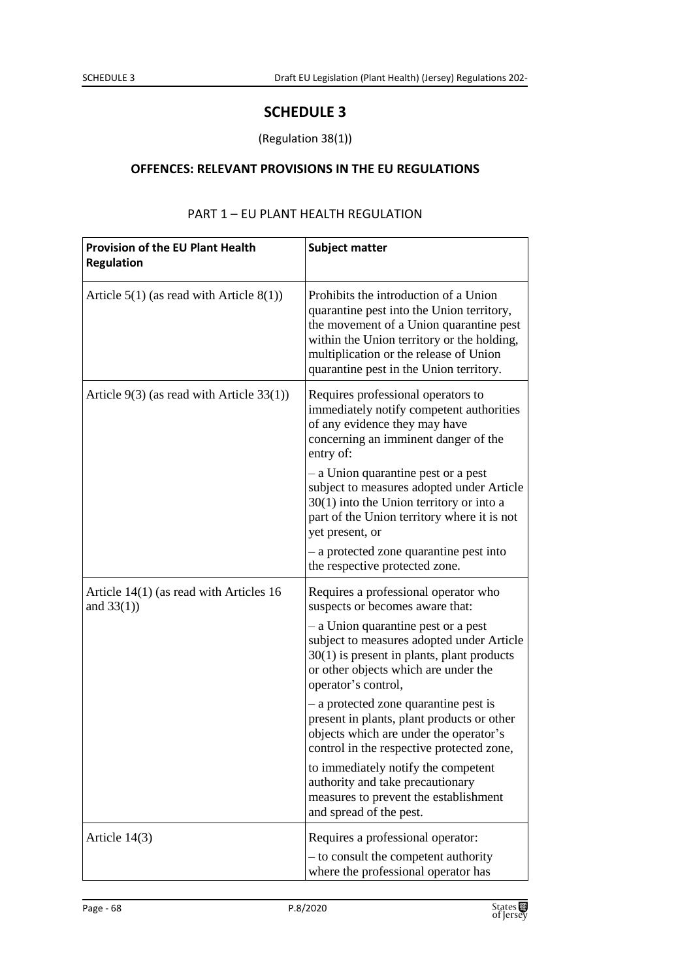# **SCHEDULE 3**

## (Regulation 38(1))

### **OFFENCES: RELEVANT PROVISIONS IN THE EU REGULATIONS**

| <b>Provision of the EU Plant Health</b><br><b>Regulation</b> | <b>Subject matter</b>                                                                                                                                                                                                                                            |
|--------------------------------------------------------------|------------------------------------------------------------------------------------------------------------------------------------------------------------------------------------------------------------------------------------------------------------------|
| Article $5(1)$ (as read with Article $8(1)$ )                | Prohibits the introduction of a Union<br>quarantine pest into the Union territory,<br>the movement of a Union quarantine pest<br>within the Union territory or the holding,<br>multiplication or the release of Union<br>quarantine pest in the Union territory. |
| Article $9(3)$ (as read with Article 33(1))                  | Requires professional operators to<br>immediately notify competent authorities<br>of any evidence they may have<br>concerning an imminent danger of the<br>entry of:                                                                                             |
|                                                              | - a Union quarantine pest or a pest<br>subject to measures adopted under Article<br>$30(1)$ into the Union territory or into a<br>part of the Union territory where it is not<br>yet present, or                                                                 |
|                                                              | - a protected zone quarantine pest into<br>the respective protected zone.                                                                                                                                                                                        |
| Article 14(1) (as read with Articles 16<br>and $33(1)$ )     | Requires a professional operator who<br>suspects or becomes aware that:                                                                                                                                                                                          |
|                                                              | - a Union quarantine pest or a pest<br>subject to measures adopted under Article<br>$30(1)$ is present in plants, plant products<br>or other objects which are under the<br>operator's control,                                                                  |
|                                                              | - a protected zone quarantine pest is<br>present in plants, plant products or other<br>objects which are under the operator's<br>control in the respective protected zone,                                                                                       |
|                                                              | to immediately notify the competent<br>authority and take precautionary<br>measures to prevent the establishment<br>and spread of the pest.                                                                                                                      |
| Article 14(3)                                                | Requires a professional operator:<br>- to consult the competent authority<br>where the professional operator has                                                                                                                                                 |

# PART 1 – EU PLANT HEALTH REGULATION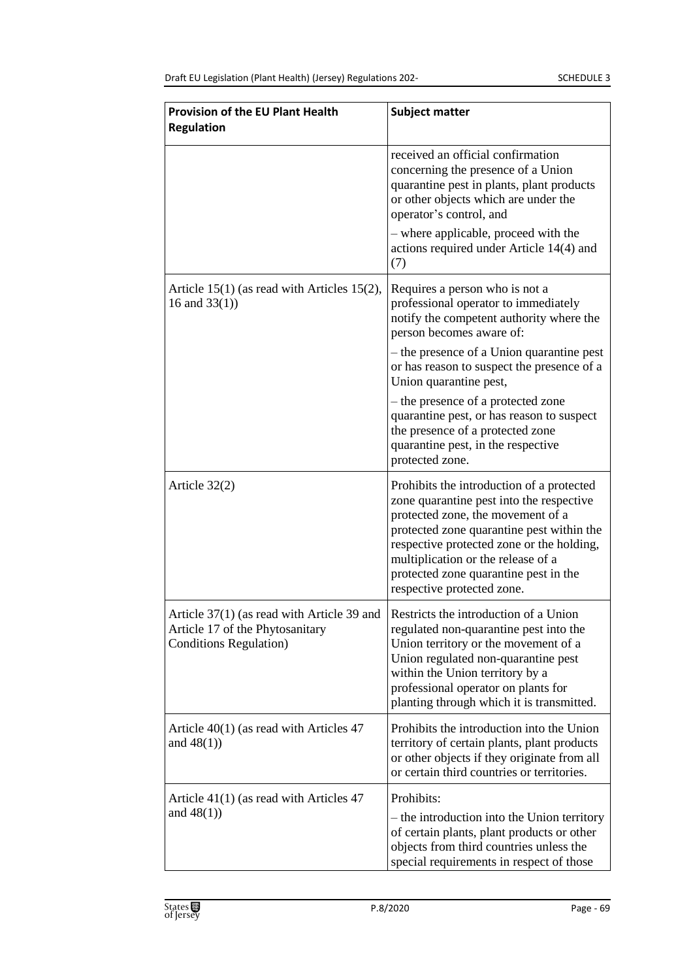| <b>Provision of the EU Plant Health</b><br><b>Regulation</b>                                                    | <b>Subject matter</b>                                                                                                                                                                                                                                                                                                             |
|-----------------------------------------------------------------------------------------------------------------|-----------------------------------------------------------------------------------------------------------------------------------------------------------------------------------------------------------------------------------------------------------------------------------------------------------------------------------|
|                                                                                                                 | received an official confirmation<br>concerning the presence of a Union<br>quarantine pest in plants, plant products<br>or other objects which are under the<br>operator's control, and                                                                                                                                           |
|                                                                                                                 | - where applicable, proceed with the<br>actions required under Article 14(4) and<br>(7)                                                                                                                                                                                                                                           |
| Article $15(1)$ (as read with Articles 15(2),<br>16 and $33(1)$ )                                               | Requires a person who is not a<br>professional operator to immediately<br>notify the competent authority where the<br>person becomes aware of:                                                                                                                                                                                    |
|                                                                                                                 | - the presence of a Union quarantine pest<br>or has reason to suspect the presence of a<br>Union quarantine pest,                                                                                                                                                                                                                 |
|                                                                                                                 | - the presence of a protected zone<br>quarantine pest, or has reason to suspect<br>the presence of a protected zone<br>quarantine pest, in the respective<br>protected zone.                                                                                                                                                      |
| Article $32(2)$                                                                                                 | Prohibits the introduction of a protected<br>zone quarantine pest into the respective<br>protected zone, the movement of a<br>protected zone quarantine pest within the<br>respective protected zone or the holding,<br>multiplication or the release of a<br>protected zone quarantine pest in the<br>respective protected zone. |
| Article 37(1) (as read with Article 39 and<br>Article 17 of the Phytosanitary<br><b>Conditions Regulation</b> ) | Restricts the introduction of a Union<br>regulated non-quarantine pest into the<br>Union territory or the movement of a<br>Union regulated non-quarantine pest<br>within the Union territory by a<br>professional operator on plants for<br>planting through which it is transmitted.                                             |
| Article $40(1)$ (as read with Articles 47<br>and $48(1)$ )                                                      | Prohibits the introduction into the Union<br>territory of certain plants, plant products<br>or other objects if they originate from all<br>or certain third countries or territories.                                                                                                                                             |
| Article $41(1)$ (as read with Articles 47<br>and $48(1)$ )                                                      | Prohibits:<br>– the introduction into the Union territory<br>of certain plants, plant products or other<br>objects from third countries unless the<br>special requirements in respect of those                                                                                                                                    |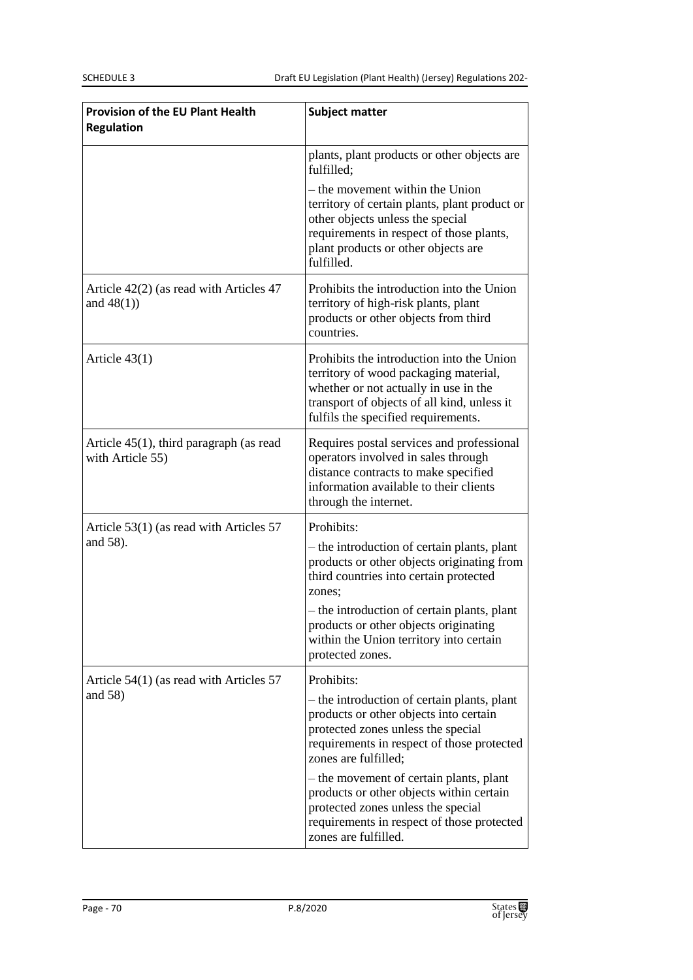| <b>Provision of the EU Plant Health</b><br><b>Regulation</b>   | <b>Subject matter</b>                                                                                                                                                                                                 |
|----------------------------------------------------------------|-----------------------------------------------------------------------------------------------------------------------------------------------------------------------------------------------------------------------|
|                                                                | plants, plant products or other objects are<br>fulfilled:                                                                                                                                                             |
|                                                                | – the movement within the Union<br>territory of certain plants, plant product or<br>other objects unless the special<br>requirements in respect of those plants,<br>plant products or other objects are<br>fulfilled. |
| Article $42(2)$ (as read with Articles 47<br>and $48(1)$ )     | Prohibits the introduction into the Union<br>territory of high-risk plants, plant<br>products or other objects from third<br>countries.                                                                               |
| Article $43(1)$                                                | Prohibits the introduction into the Union<br>territory of wood packaging material,<br>whether or not actually in use in the<br>transport of objects of all kind, unless it<br>fulfils the specified requirements.     |
| Article $45(1)$ , third paragraph (as read<br>with Article 55) | Requires postal services and professional<br>operators involved in sales through<br>distance contracts to make specified<br>information available to their clients<br>through the internet.                           |
| Article $53(1)$ (as read with Articles 57<br>and 58).          | Prohibits:<br>- the introduction of certain plants, plant<br>products or other objects originating from<br>third countries into certain protected<br>zones:                                                           |
|                                                                | - the introduction of certain plants, plant<br>products or other objects originating<br>within the Union territory into certain<br>protected zones.                                                                   |
| Article $54(1)$ (as read with Articles 57                      | Prohibits:                                                                                                                                                                                                            |
| and $58$ )                                                     | - the introduction of certain plants, plant<br>products or other objects into certain<br>protected zones unless the special<br>requirements in respect of those protected<br>zones are fulfilled;                     |
|                                                                | – the movement of certain plants, plant<br>products or other objects within certain<br>protected zones unless the special<br>requirements in respect of those protected<br>zones are fulfilled.                       |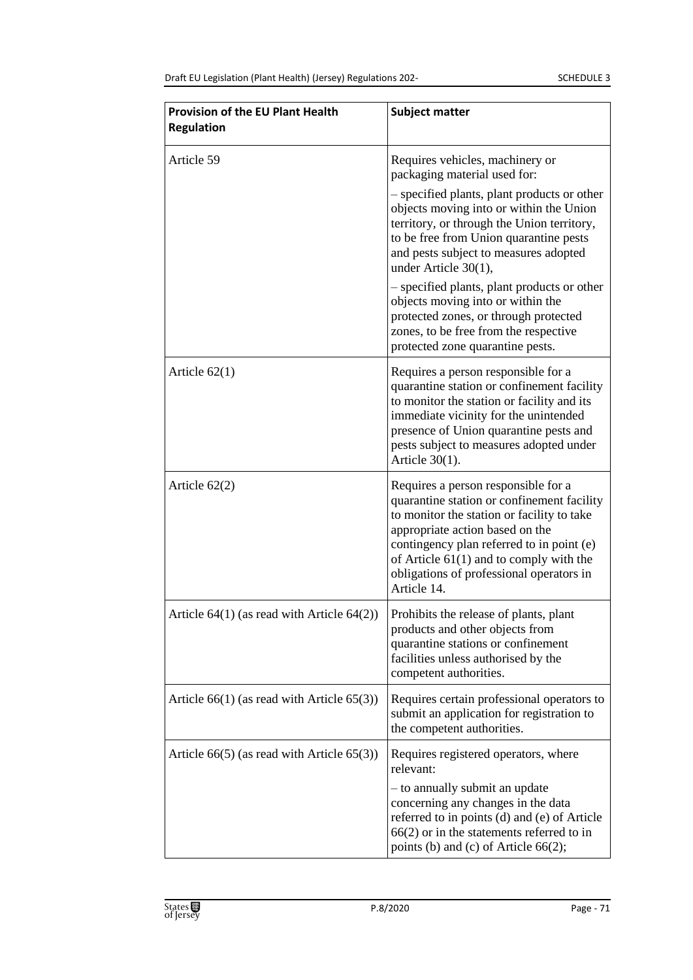| <b>Provision of the EU Plant Health</b><br><b>Regulation</b> | <b>Subject matter</b>                                                                                                                                                                                                                                                                                                   |
|--------------------------------------------------------------|-------------------------------------------------------------------------------------------------------------------------------------------------------------------------------------------------------------------------------------------------------------------------------------------------------------------------|
| Article 59                                                   | Requires vehicles, machinery or<br>packaging material used for:                                                                                                                                                                                                                                                         |
|                                                              | - specified plants, plant products or other<br>objects moving into or within the Union<br>territory, or through the Union territory,<br>to be free from Union quarantine pests<br>and pests subject to measures adopted<br>under Article 30(1),                                                                         |
|                                                              | - specified plants, plant products or other<br>objects moving into or within the<br>protected zones, or through protected<br>zones, to be free from the respective<br>protected zone quarantine pests.                                                                                                                  |
| Article $62(1)$                                              | Requires a person responsible for a<br>quarantine station or confinement facility<br>to monitor the station or facility and its<br>immediate vicinity for the unintended<br>presence of Union quarantine pests and<br>pests subject to measures adopted under<br>Article $30(1)$ .                                      |
| Article $62(2)$                                              | Requires a person responsible for a<br>quarantine station or confinement facility<br>to monitor the station or facility to take<br>appropriate action based on the<br>contingency plan referred to in point (e)<br>of Article $61(1)$ and to comply with the<br>obligations of professional operators in<br>Article 14. |
| Article $64(1)$ (as read with Article $64(2)$ )              | Prohibits the release of plants, plant<br>products and other objects from<br>quarantine stations or confinement<br>facilities unless authorised by the<br>competent authorities.                                                                                                                                        |
| Article $66(1)$ (as read with Article $65(3)$ )              | Requires certain professional operators to<br>submit an application for registration to<br>the competent authorities.                                                                                                                                                                                                   |
| Article $66(5)$ (as read with Article $65(3)$ )              | Requires registered operators, where<br>relevant:<br>- to annually submit an update<br>concerning any changes in the data<br>referred to in points (d) and (e) of Article<br>$66(2)$ or in the statements referred to in<br>points (b) and (c) of Article 66(2);                                                        |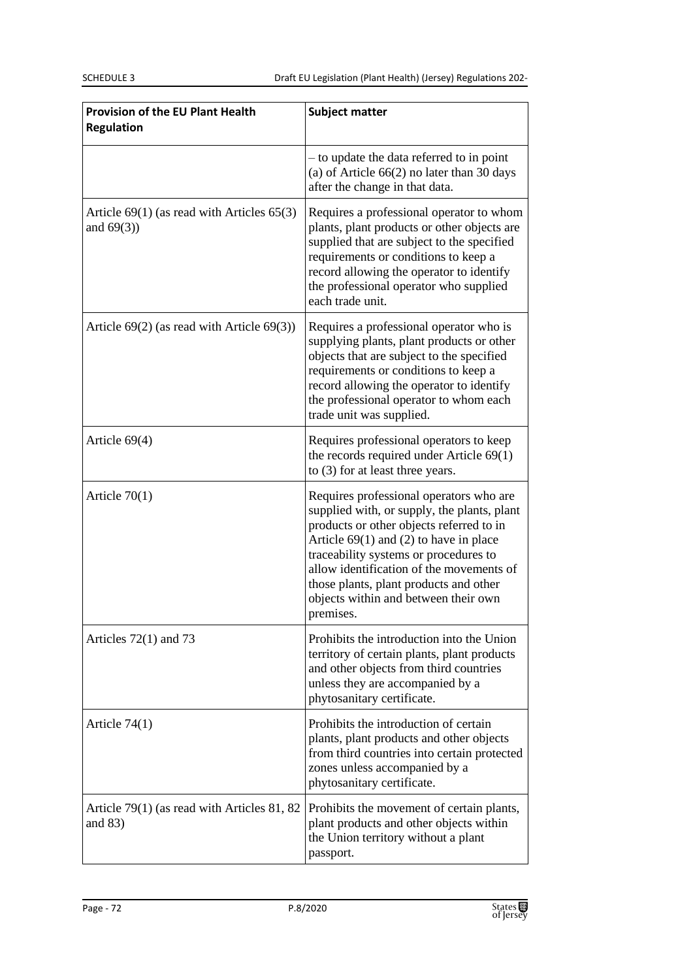| Provision of the EU Plant Health<br><b>Regulation</b>           | <b>Subject matter</b>                                                                                                                                                                                                                                                                                                                                              |
|-----------------------------------------------------------------|--------------------------------------------------------------------------------------------------------------------------------------------------------------------------------------------------------------------------------------------------------------------------------------------------------------------------------------------------------------------|
|                                                                 | - to update the data referred to in point<br>(a) of Article $66(2)$ no later than 30 days<br>after the change in that data.                                                                                                                                                                                                                                        |
| Article $69(1)$ (as read with Articles $65(3)$<br>and $69(3)$ ) | Requires a professional operator to whom<br>plants, plant products or other objects are<br>supplied that are subject to the specified<br>requirements or conditions to keep a<br>record allowing the operator to identify<br>the professional operator who supplied<br>each trade unit.                                                                            |
| Article $69(2)$ (as read with Article $69(3)$ )                 | Requires a professional operator who is<br>supplying plants, plant products or other<br>objects that are subject to the specified<br>requirements or conditions to keep a<br>record allowing the operator to identify<br>the professional operator to whom each<br>trade unit was supplied.                                                                        |
| Article 69(4)                                                   | Requires professional operators to keep<br>the records required under Article $69(1)$<br>to $(3)$ for at least three years.                                                                                                                                                                                                                                        |
| Article $70(1)$                                                 | Requires professional operators who are<br>supplied with, or supply, the plants, plant<br>products or other objects referred to in<br>Article $69(1)$ and (2) to have in place<br>traceability systems or procedures to<br>allow identification of the movements of<br>those plants, plant products and other<br>objects within and between their own<br>premises. |
| Articles $72(1)$ and $73$                                       | Prohibits the introduction into the Union<br>territory of certain plants, plant products<br>and other objects from third countries<br>unless they are accompanied by a<br>phytosanitary certificate.                                                                                                                                                               |
| Article $74(1)$                                                 | Prohibits the introduction of certain<br>plants, plant products and other objects<br>from third countries into certain protected<br>zones unless accompanied by a<br>phytosanitary certificate.                                                                                                                                                                    |
| Article 79(1) (as read with Articles 81, 82<br>and $83)$        | Prohibits the movement of certain plants,<br>plant products and other objects within<br>the Union territory without a plant<br>passport.                                                                                                                                                                                                                           |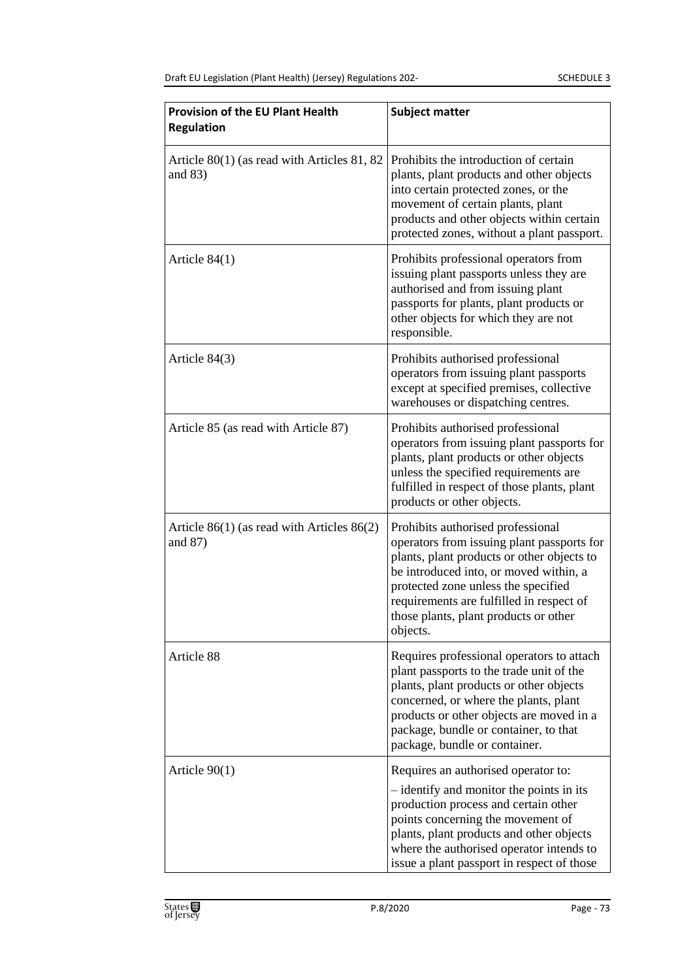| <b>Provision of the EU Plant Health</b><br><b>Regulation</b> | <b>Subject matter</b>                                                                                                                                                                                                                                                                                           |
|--------------------------------------------------------------|-----------------------------------------------------------------------------------------------------------------------------------------------------------------------------------------------------------------------------------------------------------------------------------------------------------------|
| Article 80(1) (as read with Articles 81, 82<br>and $83)$     | Prohibits the introduction of certain<br>plants, plant products and other objects<br>into certain protected zones, or the<br>movement of certain plants, plant<br>products and other objects within certain<br>protected zones, without a plant passport.                                                       |
| Article $84(1)$                                              | Prohibits professional operators from<br>issuing plant passports unless they are<br>authorised and from issuing plant<br>passports for plants, plant products or<br>other objects for which they are not<br>responsible.                                                                                        |
| Article 84(3)                                                | Prohibits authorised professional<br>operators from issuing plant passports<br>except at specified premises, collective<br>warehouses or dispatching centres.                                                                                                                                                   |
| Article 85 (as read with Article 87)                         | Prohibits authorised professional<br>operators from issuing plant passports for<br>plants, plant products or other objects<br>unless the specified requirements are<br>fulfilled in respect of those plants, plant<br>products or other objects.                                                                |
| Article $86(1)$ (as read with Articles $86(2)$ )<br>and 87)  | Prohibits authorised professional<br>operators from issuing plant passports for<br>plants, plant products or other objects to<br>be introduced into, or moved within, a<br>protected zone unless the specified<br>requirements are fulfilled in respect of<br>those plants, plant products or other<br>objects. |
| Article 88                                                   | Requires professional operators to attach<br>plant passports to the trade unit of the<br>plants, plant products or other objects<br>concerned, or where the plants, plant<br>products or other objects are moved in a<br>package, bundle or container, to that<br>package, bundle or container.                 |
| Article $90(1)$                                              | Requires an authorised operator to:<br>- identify and monitor the points in its<br>production process and certain other<br>points concerning the movement of<br>plants, plant products and other objects<br>where the authorised operator intends to<br>issue a plant passport in respect of those              |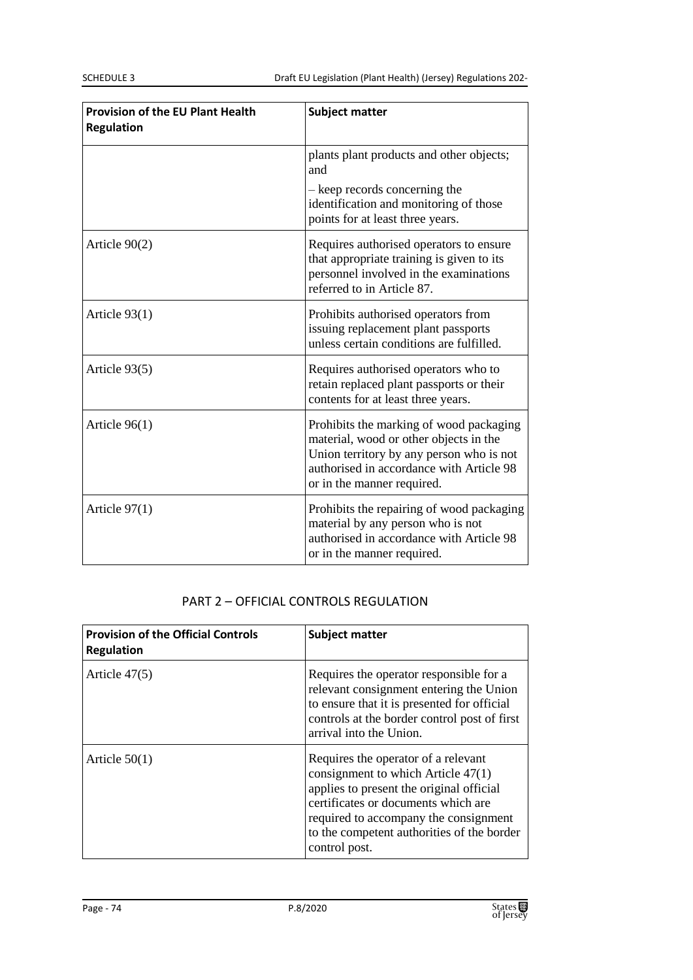| <b>Provision of the EU Plant Health</b><br><b>Regulation</b> | <b>Subject matter</b>                                                                                                                                                                                   |
|--------------------------------------------------------------|---------------------------------------------------------------------------------------------------------------------------------------------------------------------------------------------------------|
|                                                              | plants plant products and other objects;<br>and                                                                                                                                                         |
|                                                              | - keep records concerning the<br>identification and monitoring of those<br>points for at least three years.                                                                                             |
| Article $90(2)$                                              | Requires authorised operators to ensure<br>that appropriate training is given to its<br>personnel involved in the examinations<br>referred to in Article 87.                                            |
| Article 93(1)                                                | Prohibits authorised operators from<br>issuing replacement plant passports<br>unless certain conditions are fulfilled.                                                                                  |
| Article 93(5)                                                | Requires authorised operators who to<br>retain replaced plant passports or their<br>contents for at least three years.                                                                                  |
| Article $96(1)$                                              | Prohibits the marking of wood packaging<br>material, wood or other objects in the<br>Union territory by any person who is not<br>authorised in accordance with Article 98<br>or in the manner required. |
| Article $97(1)$                                              | Prohibits the repairing of wood packaging<br>material by any person who is not<br>authorised in accordance with Article 98<br>or in the manner required.                                                |

#### PART 2 – OFFICIAL CONTROLS REGULATION

| <b>Provision of the Official Controls</b><br><b>Regulation</b> | <b>Subject matter</b>                                                                                                                                                                                                                                                  |
|----------------------------------------------------------------|------------------------------------------------------------------------------------------------------------------------------------------------------------------------------------------------------------------------------------------------------------------------|
| Article $47(5)$                                                | Requires the operator responsible for a<br>relevant consignment entering the Union<br>to ensure that it is presented for official<br>controls at the border control post of first<br>arrival into the Union.                                                           |
| Article $50(1)$                                                | Requires the operator of a relevant<br>consignment to which Article $47(1)$<br>applies to present the original official<br>certificates or documents which are<br>required to accompany the consignment<br>to the competent authorities of the border<br>control post. |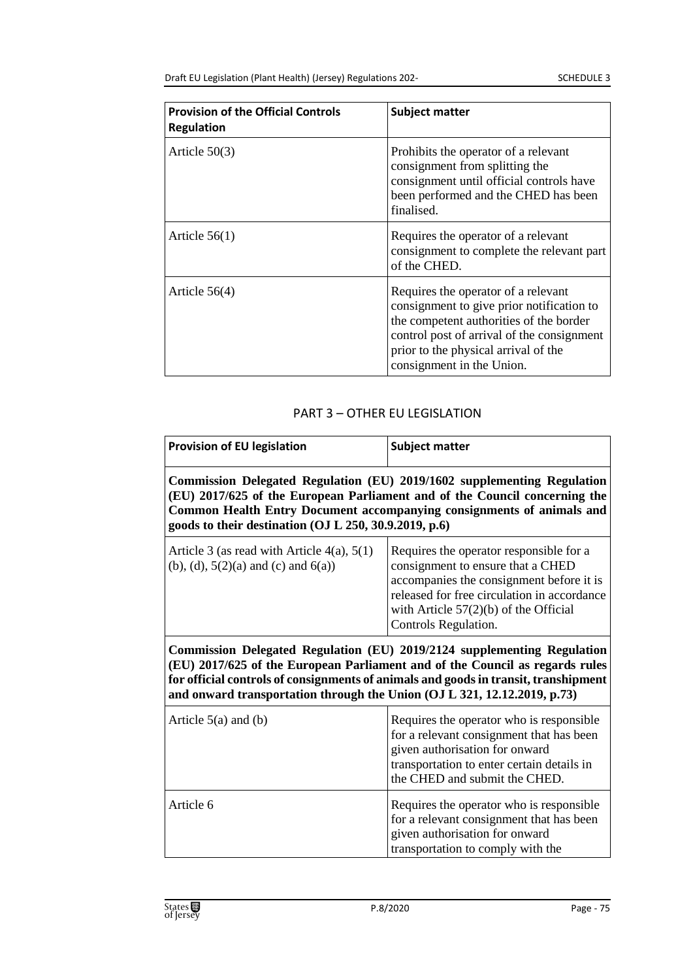| <b>Provision of the Official Controls</b><br><b>Regulation</b> | <b>Subject matter</b>                                                                                                                                                                                                                          |
|----------------------------------------------------------------|------------------------------------------------------------------------------------------------------------------------------------------------------------------------------------------------------------------------------------------------|
| Article $50(3)$                                                | Prohibits the operator of a relevant<br>consignment from splitting the<br>consignment until official controls have<br>been performed and the CHED has been<br>finalised.                                                                       |
| Article $56(1)$                                                | Requires the operator of a relevant<br>consignment to complete the relevant part<br>of the CHED.                                                                                                                                               |
| Article $56(4)$                                                | Requires the operator of a relevant<br>consignment to give prior notification to<br>the competent authorities of the border<br>control post of arrival of the consignment<br>prior to the physical arrival of the<br>consignment in the Union. |

#### PART 3 – OTHER EU LEGISLATION

| <b>Provision of EU legislation</b>                                                                                                                                                                                                                                                                                         | <b>Subject matter</b>                                                                                                                                                                                                                      |  |
|----------------------------------------------------------------------------------------------------------------------------------------------------------------------------------------------------------------------------------------------------------------------------------------------------------------------------|--------------------------------------------------------------------------------------------------------------------------------------------------------------------------------------------------------------------------------------------|--|
| Commission Delegated Regulation (EU) 2019/1602 supplementing Regulation<br>(EU) 2017/625 of the European Parliament and of the Council concerning the<br><b>Common Health Entry Document accompanying consignments of animals and</b><br>goods to their destination (OJ L 250, 30.9.2019, p.6)                             |                                                                                                                                                                                                                                            |  |
| Article 3 (as read with Article $4(a)$ , $5(1)$ )<br>(b), (d), $5(2)(a)$ and (c) and $6(a)$ )                                                                                                                                                                                                                              | Requires the operator responsible for a<br>consignment to ensure that a CHED<br>accompanies the consignment before it is<br>released for free circulation in accordance<br>with Article $57(2)(b)$ of the Official<br>Controls Regulation. |  |
| Commission Delegated Regulation (EU) 2019/2124 supplementing Regulation<br>(EU) 2017/625 of the European Parliament and of the Council as regards rules<br>for official controls of consignments of animals and goods in transit, transhipment<br>and onward transportation through the Union (OJ L 321, 12.12.2019, p.73) |                                                                                                                                                                                                                                            |  |
| Article $5(a)$ and (b)                                                                                                                                                                                                                                                                                                     | Requires the operator who is responsible<br>for a relevant consignment that has been<br>given authorisation for onward<br>transportation to enter certain details in<br>the CHED and submit the CHED.                                      |  |
| Article 6                                                                                                                                                                                                                                                                                                                  | Requires the operator who is responsible<br>for a relevant consignment that has been<br>given authorisation for onward<br>transportation to comply with the                                                                                |  |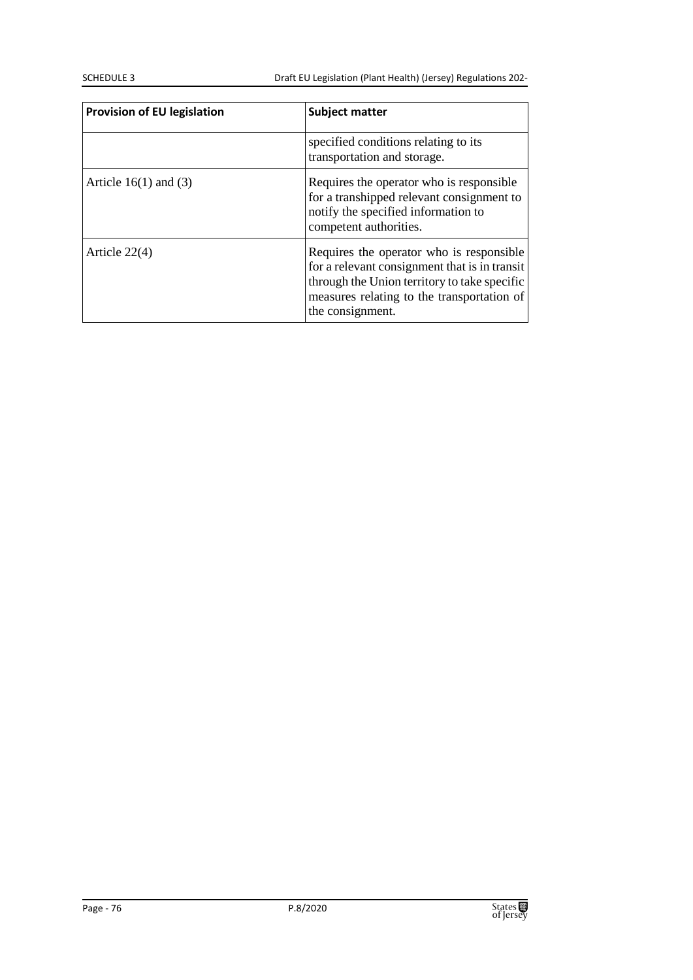SCHEDULE 3 Draft EU Legislation (Plant Health) (Jersey) Regulations 202-

| <b>Provision of EU legislation</b> | <b>Subject matter</b>                                                                                                                                                                                       |
|------------------------------------|-------------------------------------------------------------------------------------------------------------------------------------------------------------------------------------------------------------|
|                                    | specified conditions relating to its<br>transportation and storage.                                                                                                                                         |
| Article $16(1)$ and $(3)$          | Requires the operator who is responsible.<br>for a transhipped relevant consignment to<br>notify the specified information to<br>competent authorities.                                                     |
| Article $22(4)$                    | Requires the operator who is responsible<br>for a relevant consignment that is in transit<br>through the Union territory to take specific<br>measures relating to the transportation of<br>the consignment. |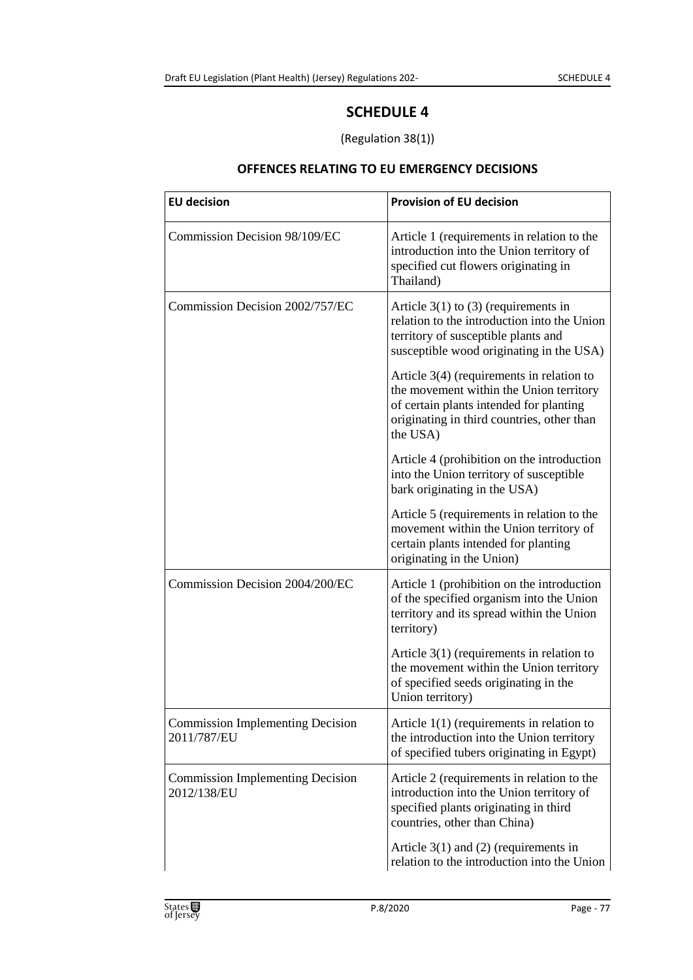# **SCHEDULE 4**

### (Regulation 38(1))

### **OFFENCES RELATING TO EU EMERGENCY DECISIONS**

| <b>EU decision</b>                                     | <b>Provision of EU decision</b>                                                                                                                                                             |
|--------------------------------------------------------|---------------------------------------------------------------------------------------------------------------------------------------------------------------------------------------------|
| Commission Decision 98/109/EC                          | Article 1 (requirements in relation to the<br>introduction into the Union territory of<br>specified cut flowers originating in<br>Thailand)                                                 |
| Commission Decision 2002/757/EC                        | Article $3(1)$ to (3) (requirements in<br>relation to the introduction into the Union<br>territory of susceptible plants and<br>susceptible wood originating in the USA)                    |
|                                                        | Article $3(4)$ (requirements in relation to<br>the movement within the Union territory<br>of certain plants intended for planting<br>originating in third countries, other than<br>the USA) |
|                                                        | Article 4 (prohibition on the introduction<br>into the Union territory of susceptible<br>bark originating in the USA)                                                                       |
|                                                        | Article 5 (requirements in relation to the<br>movement within the Union territory of<br>certain plants intended for planting<br>originating in the Union)                                   |
| Commission Decision 2004/200/EC                        | Article 1 (prohibition on the introduction<br>of the specified organism into the Union<br>territory and its spread within the Union<br>territory)                                           |
|                                                        | Article $3(1)$ (requirements in relation to<br>the movement within the Union territory<br>of specified seeds originating in the<br>Union territory)                                         |
| <b>Commission Implementing Decision</b><br>2011/787/EU | Article $1(1)$ (requirements in relation to<br>the introduction into the Union territory<br>of specified tubers originating in Egypt)                                                       |
| <b>Commission Implementing Decision</b><br>2012/138/EU | Article 2 (requirements in relation to the<br>introduction into the Union territory of<br>specified plants originating in third<br>countries, other than China)                             |
|                                                        | Article $3(1)$ and (2) (requirements in<br>relation to the introduction into the Union                                                                                                      |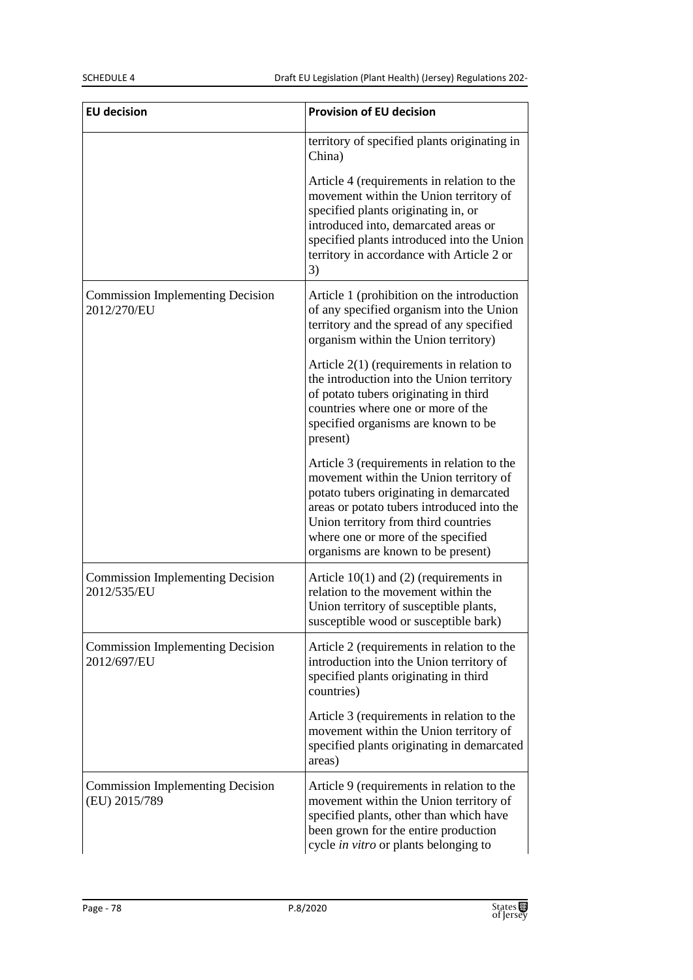| <b>EU decision</b>                                       | <b>Provision of EU decision</b>                                                                                                                                                                                                                                                                   |
|----------------------------------------------------------|---------------------------------------------------------------------------------------------------------------------------------------------------------------------------------------------------------------------------------------------------------------------------------------------------|
|                                                          | territory of specified plants originating in<br>China)                                                                                                                                                                                                                                            |
|                                                          | Article 4 (requirements in relation to the<br>movement within the Union territory of<br>specified plants originating in, or<br>introduced into, demarcated areas or<br>specified plants introduced into the Union<br>territory in accordance with Article 2 or<br>3)                              |
| <b>Commission Implementing Decision</b><br>2012/270/EU   | Article 1 (prohibition on the introduction<br>of any specified organism into the Union<br>territory and the spread of any specified<br>organism within the Union territory)                                                                                                                       |
|                                                          | Article $2(1)$ (requirements in relation to<br>the introduction into the Union territory<br>of potato tubers originating in third<br>countries where one or more of the<br>specified organisms are known to be<br>present)                                                                        |
|                                                          | Article 3 (requirements in relation to the<br>movement within the Union territory of<br>potato tubers originating in demarcated<br>areas or potato tubers introduced into the<br>Union territory from third countries<br>where one or more of the specified<br>organisms are known to be present) |
| <b>Commission Implementing Decision</b><br>2012/535/EU   | Article $10(1)$ and (2) (requirements in<br>relation to the movement within the<br>Union territory of susceptible plants,<br>susceptible wood or susceptible bark)                                                                                                                                |
| <b>Commission Implementing Decision</b><br>2012/697/EU   | Article 2 (requirements in relation to the<br>introduction into the Union territory of<br>specified plants originating in third<br>countries)                                                                                                                                                     |
|                                                          | Article 3 (requirements in relation to the<br>movement within the Union territory of<br>specified plants originating in demarcated<br>areas)                                                                                                                                                      |
| <b>Commission Implementing Decision</b><br>(EU) 2015/789 | Article 9 (requirements in relation to the<br>movement within the Union territory of<br>specified plants, other than which have<br>been grown for the entire production<br>cycle in vitro or plants belonging to                                                                                  |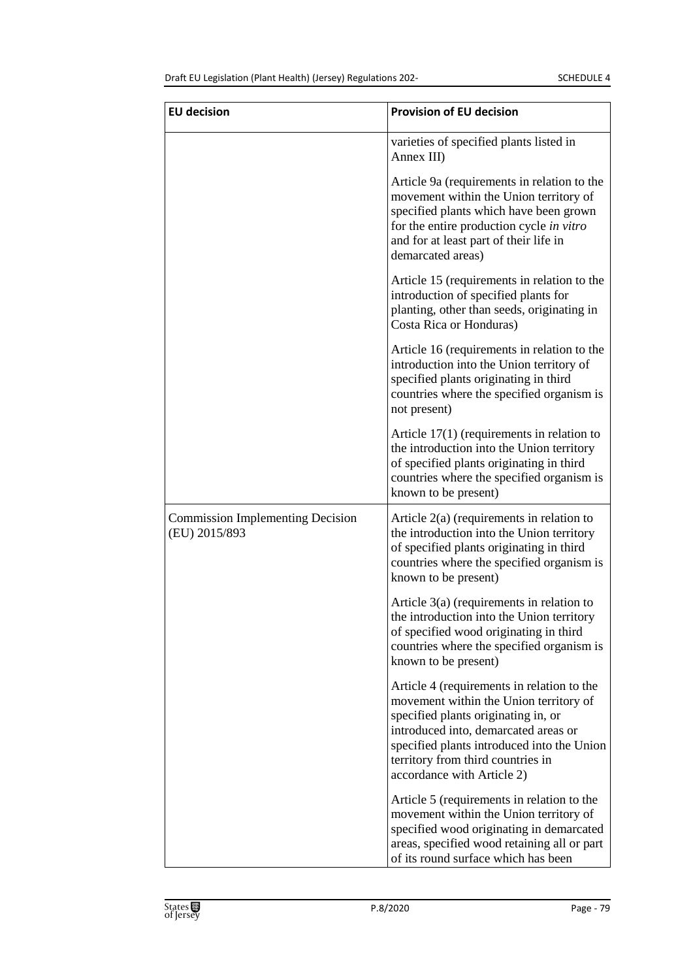| <b>EU decision</b>                                       | <b>Provision of EU decision</b>                                                                                                                                                                                                                                                      |
|----------------------------------------------------------|--------------------------------------------------------------------------------------------------------------------------------------------------------------------------------------------------------------------------------------------------------------------------------------|
|                                                          | varieties of specified plants listed in<br>Annex III)                                                                                                                                                                                                                                |
|                                                          | Article 9a (requirements in relation to the<br>movement within the Union territory of<br>specified plants which have been grown<br>for the entire production cycle in vitro<br>and for at least part of their life in<br>demarcated areas)                                           |
|                                                          | Article 15 (requirements in relation to the<br>introduction of specified plants for<br>planting, other than seeds, originating in<br>Costa Rica or Honduras)                                                                                                                         |
|                                                          | Article 16 (requirements in relation to the<br>introduction into the Union territory of<br>specified plants originating in third<br>countries where the specified organism is<br>not present)                                                                                        |
|                                                          | Article $17(1)$ (requirements in relation to<br>the introduction into the Union territory<br>of specified plants originating in third<br>countries where the specified organism is<br>known to be present)                                                                           |
| <b>Commission Implementing Decision</b><br>(EU) 2015/893 | Article $2(a)$ (requirements in relation to<br>the introduction into the Union territory<br>of specified plants originating in third<br>countries where the specified organism is<br>known to be present)                                                                            |
|                                                          | Article $3(a)$ (requirements in relation to<br>the introduction into the Union territory<br>of specified wood originating in third<br>countries where the specified organism is<br>known to be present)                                                                              |
|                                                          | Article 4 (requirements in relation to the<br>movement within the Union territory of<br>specified plants originating in, or<br>introduced into, demarcated areas or<br>specified plants introduced into the Union<br>territory from third countries in<br>accordance with Article 2) |
|                                                          | Article 5 (requirements in relation to the<br>movement within the Union territory of<br>specified wood originating in demarcated<br>areas, specified wood retaining all or part<br>of its round surface which has been                                                               |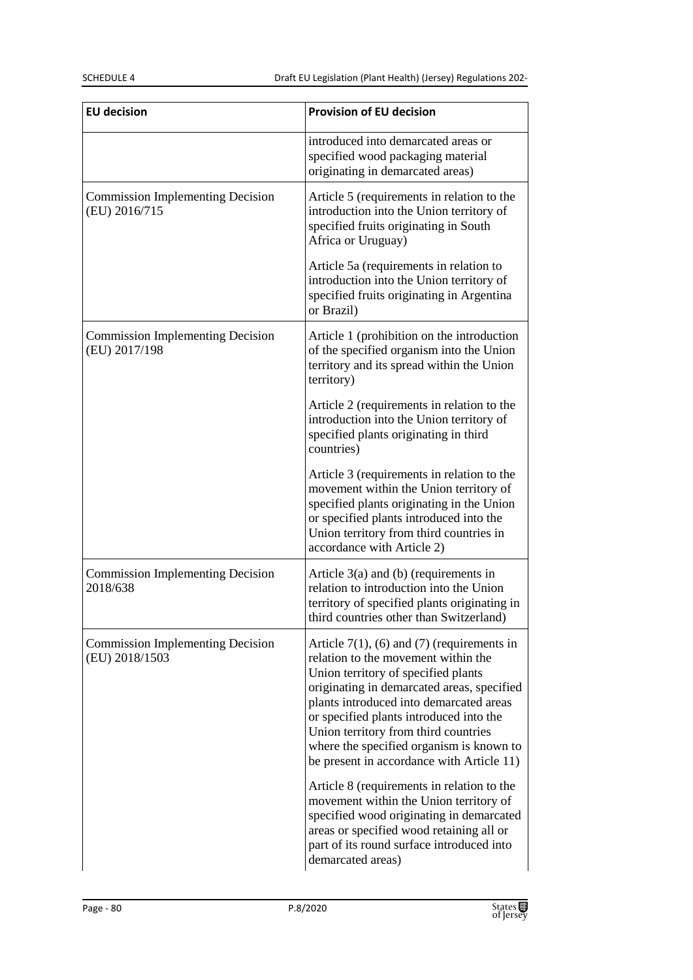| <b>EU decision</b>                                        | <b>Provision of EU decision</b>                                                                                                                                                                                                                                                                                                                                                                  |
|-----------------------------------------------------------|--------------------------------------------------------------------------------------------------------------------------------------------------------------------------------------------------------------------------------------------------------------------------------------------------------------------------------------------------------------------------------------------------|
|                                                           | introduced into demarcated areas or<br>specified wood packaging material<br>originating in demarcated areas)                                                                                                                                                                                                                                                                                     |
| <b>Commission Implementing Decision</b><br>(EU) 2016/715  | Article 5 (requirements in relation to the<br>introduction into the Union territory of<br>specified fruits originating in South<br>Africa or Uruguay)                                                                                                                                                                                                                                            |
|                                                           | Article 5a (requirements in relation to<br>introduction into the Union territory of<br>specified fruits originating in Argentina<br>or Brazil)                                                                                                                                                                                                                                                   |
| <b>Commission Implementing Decision</b><br>(EU) 2017/198  | Article 1 (prohibition on the introduction<br>of the specified organism into the Union<br>territory and its spread within the Union<br>territory)                                                                                                                                                                                                                                                |
|                                                           | Article 2 (requirements in relation to the<br>introduction into the Union territory of<br>specified plants originating in third<br>countries)                                                                                                                                                                                                                                                    |
|                                                           | Article 3 (requirements in relation to the<br>movement within the Union territory of<br>specified plants originating in the Union<br>or specified plants introduced into the<br>Union territory from third countries in<br>accordance with Article 2)                                                                                                                                            |
| <b>Commission Implementing Decision</b><br>2018/638       | Article $3(a)$ and (b) (requirements in<br>relation to introduction into the Union<br>territory of specified plants originating in<br>third countries other than Switzerland)                                                                                                                                                                                                                    |
| <b>Commission Implementing Decision</b><br>(EU) 2018/1503 | Article $7(1)$ , (6) and (7) (requirements in<br>relation to the movement within the<br>Union territory of specified plants<br>originating in demarcated areas, specified<br>plants introduced into demarcated areas<br>or specified plants introduced into the<br>Union territory from third countries<br>where the specified organism is known to<br>be present in accordance with Article 11) |
|                                                           | Article 8 (requirements in relation to the<br>movement within the Union territory of<br>specified wood originating in demarcated<br>areas or specified wood retaining all or<br>part of its round surface introduced into<br>demarcated areas)                                                                                                                                                   |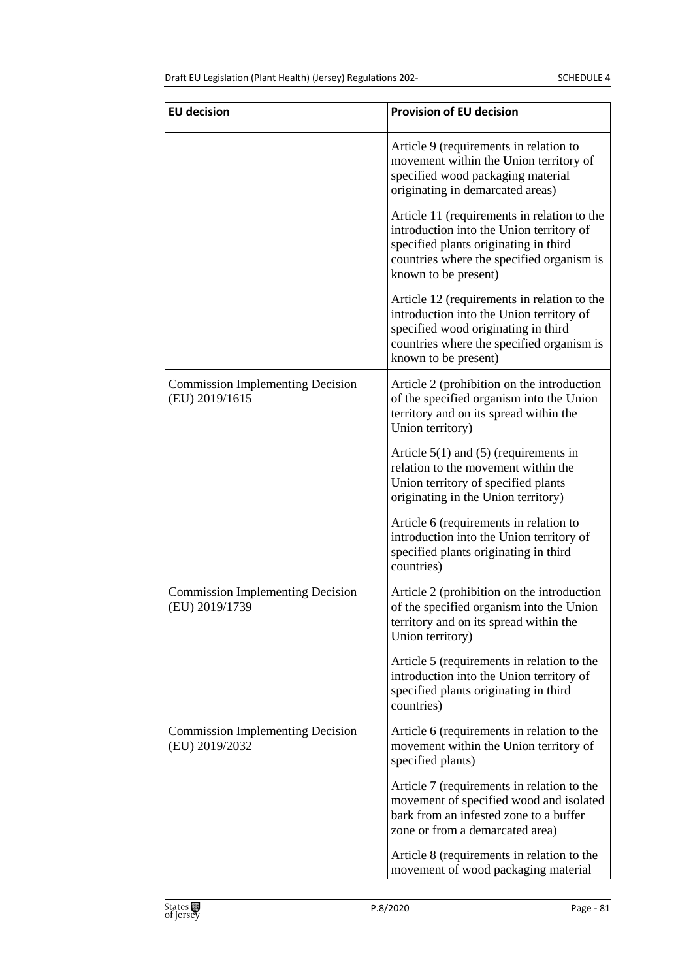| <b>EU decision</b>                                        | <b>Provision of EU decision</b>                                                                                                                                                                       |
|-----------------------------------------------------------|-------------------------------------------------------------------------------------------------------------------------------------------------------------------------------------------------------|
|                                                           | Article 9 (requirements in relation to<br>movement within the Union territory of<br>specified wood packaging material<br>originating in demarcated areas)                                             |
|                                                           | Article 11 (requirements in relation to the<br>introduction into the Union territory of<br>specified plants originating in third<br>countries where the specified organism is<br>known to be present) |
|                                                           | Article 12 (requirements in relation to the<br>introduction into the Union territory of<br>specified wood originating in third<br>countries where the specified organism is<br>known to be present)   |
| <b>Commission Implementing Decision</b><br>(EU) 2019/1615 | Article 2 (prohibition on the introduction<br>of the specified organism into the Union<br>territory and on its spread within the<br>Union territory)                                                  |
|                                                           | Article $5(1)$ and $(5)$ (requirements in<br>relation to the movement within the<br>Union territory of specified plants<br>originating in the Union territory)                                        |
|                                                           | Article 6 (requirements in relation to<br>introduction into the Union territory of<br>specified plants originating in third<br>countries)                                                             |
| <b>Commission Implementing Decision</b><br>(EU) 2019/1739 | Article 2 (prohibition on the introduction<br>of the specified organism into the Union<br>territory and on its spread within the<br>Union territory)                                                  |
|                                                           | Article 5 (requirements in relation to the<br>introduction into the Union territory of<br>specified plants originating in third<br>countries)                                                         |
| <b>Commission Implementing Decision</b><br>(EU) 2019/2032 | Article 6 (requirements in relation to the<br>movement within the Union territory of<br>specified plants)                                                                                             |
|                                                           | Article 7 (requirements in relation to the<br>movement of specified wood and isolated<br>bark from an infested zone to a buffer<br>zone or from a demarcated area)                                    |
|                                                           | Article 8 (requirements in relation to the<br>movement of wood packaging material                                                                                                                     |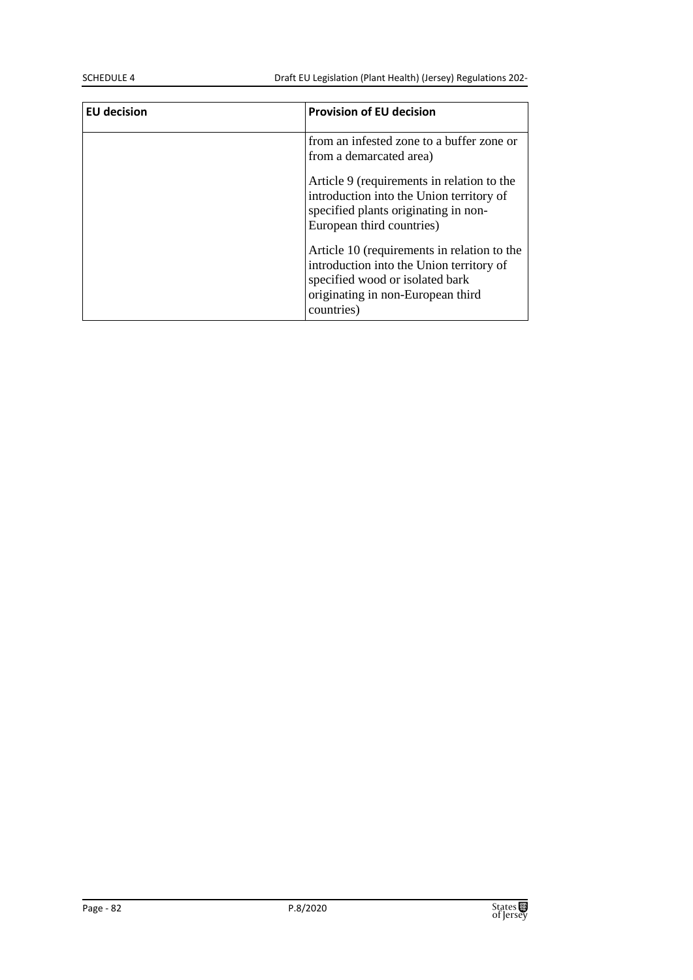SCHEDULE 4 Draft EU Legislation (Plant Health) (Jersey) Regulations 202-

| <b>EU</b> decision | <b>Provision of EU decision</b>                                                                                                                                               |
|--------------------|-------------------------------------------------------------------------------------------------------------------------------------------------------------------------------|
|                    | from an infested zone to a buffer zone or<br>from a demarcated area)                                                                                                          |
|                    | Article 9 (requirements in relation to the<br>introduction into the Union territory of<br>specified plants originating in non-<br>European third countries)                   |
|                    | Article 10 (requirements in relation to the<br>introduction into the Union territory of<br>specified wood or isolated bark<br>originating in non-European third<br>countries) |